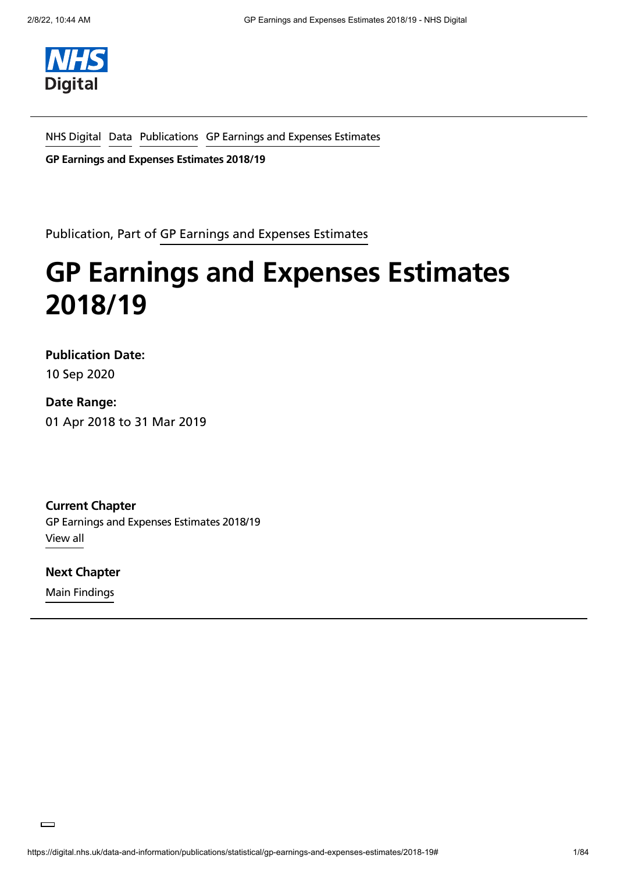

NHS [Digital](https://digital.nhs.uk/) [Data](https://digital.nhs.uk/data) [Publications](https://digital.nhs.uk/search/document-type/publication?xmPrimaryDocType=publication&sort=date) GP Earnings and Expenses [Estimates](https://digital.nhs.uk/data-and-information/publications/statistical/gp-earnings-and-expenses-estimates)

**GP Earnings and Expenses Estimates 2018/19**

Publication, Part of GP Earnings and Expenses [Estimates](https://digital.nhs.uk/data-and-information/publications/statistical/gp-earnings-and-expenses-estimates)

# **GP Earnings and Expenses Estimates 2018/19**

**Publication Date:**

10 Sep 2020

#### **Date Range:**

01 Apr 2018 to 31 Mar 2019

**Current Chapter** GP Earnings and Expenses Estimates 2018/19 [View](#page-5-0) all

Main Findings **Next [Chapter](https://digital.nhs.uk/data-and-information/publications/statistical/gp-earnings-and-expenses-estimates/2018-19/main-findings)**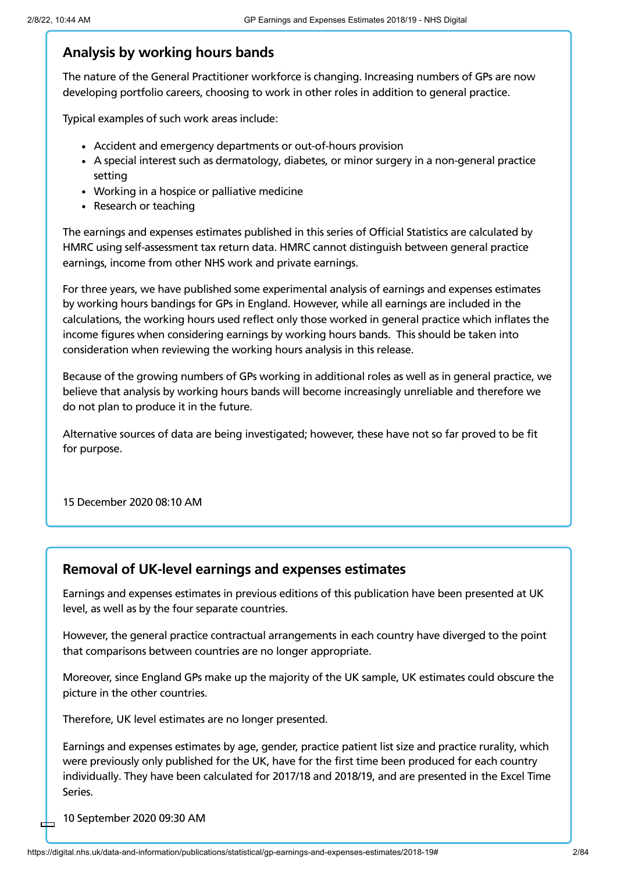#### **Analysis by working hours bands**

The nature of the General Practitioner workforce is changing. Increasing numbers of GPs are now developing portfolio careers, choosing to work in other roles in addition to general practice.

Typical examples of such work areas include:

- Accident and emergency departments or out-of-hours provision
- A special interest such as dermatology, diabetes, or minor surgery in a non-general practice setting
- Working in a hospice or palliative medicine
- Research or teaching

The earnings and expenses estimates published in this series of Official Statistics are calculated by HMRC using self-assessment tax return data. HMRC cannot distinguish between general practice earnings, income from other NHS work and private earnings.

For three years, we have published some experimental analysis of earnings and expenses estimates by working hours bandings for GPs in England. However, while all earnings are included in the calculations, the working hours used reflect only those worked in general practice which inflates the income figures when considering earnings by working hours bands. This should be taken into consideration when reviewing the working hours analysis in this release.

Because of the growing numbers of GPs working in additional roles as well as in general practice, we believe that analysis by working hours bands will become increasingly unreliable and therefore we do not plan to produce it in the future.

Alternative sources of data are being investigated; however, these have not so far proved to be fit for purpose.

15 December 2020 08:10 AM

#### **Removal of UK-level earnings and expenses estimates**

Earnings and expenses estimates in previous editions of this publication have been presented at UK level, as well as by the four separate countries.

However, the general practice contractual arrangements in each country have diverged to the point that comparisons between countries are no longer appropriate.

Moreover, since England GPs make up the majority of the UK sample, UK estimates could obscure the picture in the other countries.

Therefore, UK level estimates are no longer presented.

Earnings and expenses estimates by age, gender, practice patient list size and practice rurality, which were previously only published for the UK, have for the first time been produced for each country individually. They have been calculated for 2017/18 and 2018/19, and are presented in the Excel Time Series.

10 September 2020 09:30 AM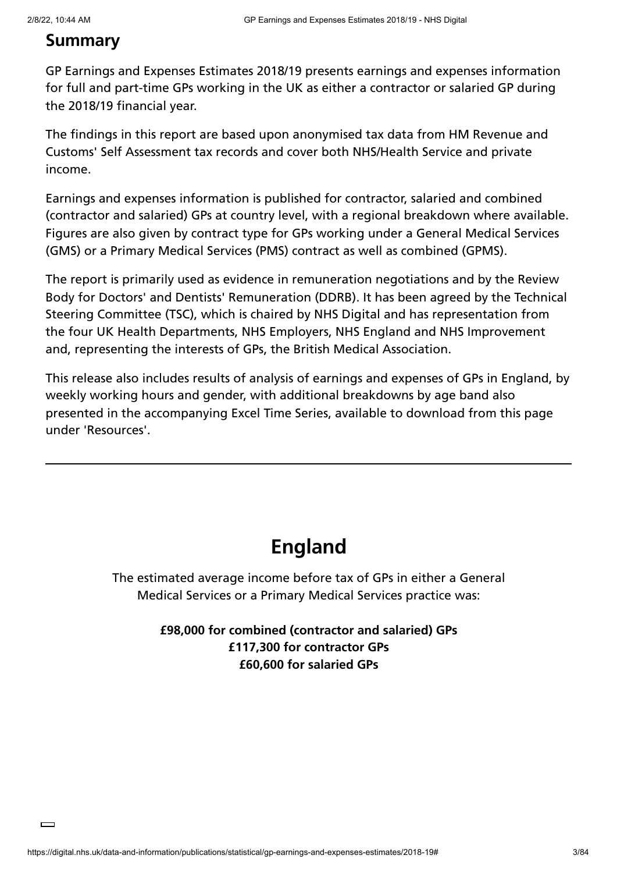### **Summary**

GP Earnings and Expenses Estimates 2018/19 presents earnings and expenses information for full and part-time GPs working in the UK as either a contractor or salaried GP during the 2018/19 financial year.

The findings in this report are based upon anonymised tax data from HM Revenue and Customs' Self Assessment tax records and cover both NHS/Health Service and private income.

Earnings and expenses information is published for contractor, salaried and combined (contractor and salaried) GPs at country level, with a regional breakdown where available. Figures are also given by contract type for GPs working under a General Medical Services (GMS) or a Primary Medical Services (PMS) contract as well as combined (GPMS).

The report is primarily used as evidence in remuneration negotiations and by the Review Body for Doctors' and Dentists' Remuneration (DDRB). It has been agreed by the Technical Steering Committee (TSC), which is chaired by NHS Digital and has representation from the four UK Health Departments, NHS Employers, NHS England and NHS Improvement and, representing the interests of GPs, the British Medical Association.

This release also includes results of analysis of earnings and expenses of GPs in England, by weekly working hours and gender, with additional breakdowns by age band also presented in the accompanying Excel Time Series, available to download from this page under 'Resources'.

## **England**

The estimated average income before tax of GPs in either a General Medical Services or a Primary Medical Services practice was:

#### **£98,000 for combined (contractor and salaried) GPs £117,300 for contractor GPs £60,600 for salaried GPs**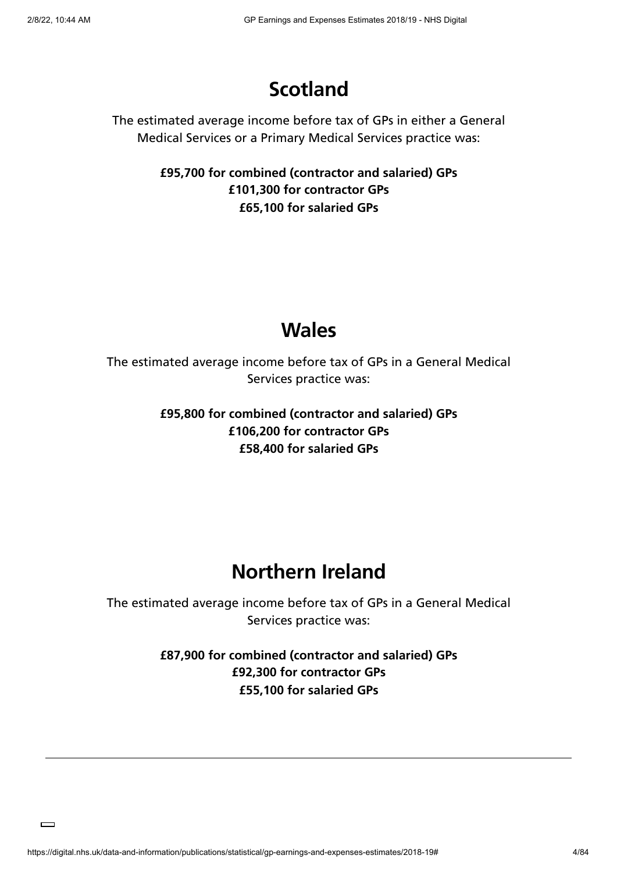## **Scotland**

The estimated average income before tax of GPs in either a General Medical Services or a Primary Medical Services practice was:

> **£95,700 for combined (contractor and salaried) GPs £101,300 for contractor GPs £65,100 for salaried GPs**

## **Wales**

The estimated average income before tax of GPs in a General Medical Services practice was:

> **£95,800 for combined (contractor and salaried) GPs £106,200 for contractor GPs £58,400 for salaried GPs**

## **Northern Ireland**

The estimated average income before tax of GPs in a General Medical Services practice was:

> **£87,900 for combined (contractor and salaried) GPs £92,300 for contractor GPs £55,100 for salaried GPs**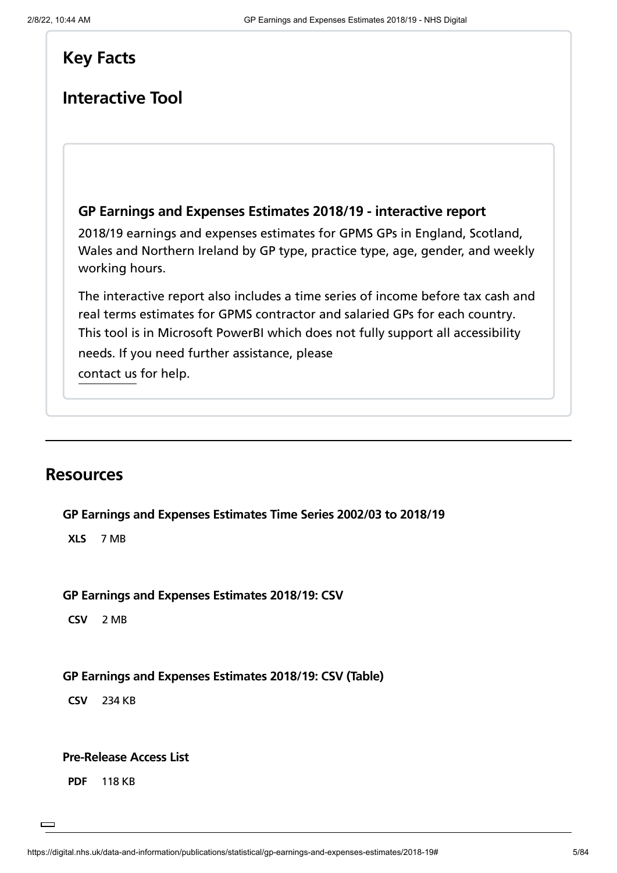### **Key Facts**

### **Interactive Tool**

#### **GP Earnings and Expenses Estimates 2018/19 - [interactive](https://app.powerbi.com/view?r=eyJrIjoiM2VlOWJiOWQtNzA1OS00ZmRmLThlNDYtNDc2MzhkYzg4ZDM5IiwidCI6IjUwZjYwNzFmLWJiZmUtNDAxYS04ODAzLTY3Mzc0OGU2MjllMiIsImMiOjh9&pageName=ReportSection9) report**

2018/19 earnings and expenses estimates for GPMS GPs in England, Scotland, Wales and Northern Ireland by GP type, practice type, age, gender, and weekly working hours.

The interactive report also includes a time series of income before tax cash and real terms estimates for GPMS contractor and salaried GPs for each country. [contact](https://digital.nhs.uk/about-nhs-digital/contact-us) us for help. This tool is in Microsoft PowerBI which does not fully support all [accessibility](https://app.powerbi.com/view?r=eyJrIjoiM2VlOWJiOWQtNzA1OS00ZmRmLThlNDYtNDc2MzhkYzg4ZDM5IiwidCI6IjUwZjYwNzFmLWJiZmUtNDAxYS04ODAzLTY3Mzc0OGU2MjllMiIsImMiOjh9&pageName=ReportSection9) needs. If you need further assistance, please

### **Resources**

**GP Earnings and Expenses [Estimates](https://files.digital.nhs.uk/02/96A5C1/gpearnextime_201819.xlsx) Time Series 2002/03 to 2018/19**

**XLS** 7 MB

#### **GP Earnings and Expenses [Estimates](https://files.digital.nhs.uk/ED/34F2AD/gp-earn-ex-1819-csv.csv) 2018/19: CSV**

**CSV** 2 MB

#### **GP Earnings and Expenses [Estimates](https://files.digital.nhs.uk/97/01AC95/gp-earn-ex-1819-csv-tabl.csv) 2018/19: CSV (Table)**

**CSV** 234 KB

#### **[Pre-Release](https://files.digital.nhs.uk/CA/39CAC2/Pre-Release%20Access%20List.pdf) Access List**

**PDF** 118 KB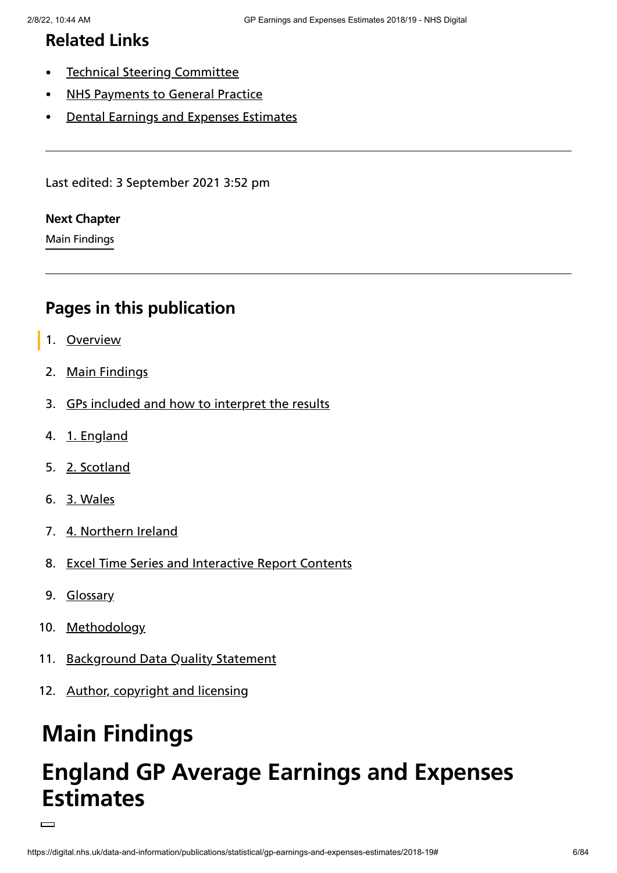## **Related Links**

- $\bullet$ Technical Steering [Committee](https://digital.nhs.uk/data-and-information/areas-of-interest/workforce/technical-steering-committee-tsc)
- NHS [Payments](https://digital.nhs.uk/data-and-information/publications/statistical/nhs-payments-to-general-practice) to General Practice
- Dental Earnings and Expenses [Estimates](https://digital.nhs.uk/data-and-information/publications/statistical/dental-earnings-and-expenses-estimates)

Last edited: 3 September 2021 3:52 pm

#### **Next [Chapter](https://digital.nhs.uk/data-and-information/publications/statistical/gp-earnings-and-expenses-estimates/2018-19/main-findings)**

Main Findings

## <span id="page-5-0"></span>**Pages in this publication**

- 1. [Overview](https://digital.nhs.uk/data-and-information/publications/statistical/gp-earnings-and-expenses-estimates/2018-19)
- 2. Main [Findings](https://digital.nhs.uk/data-and-information/publications/statistical/gp-earnings-and-expenses-estimates/2018-19/main-findings)
- 3. GPs included and how to [interpret](https://digital.nhs.uk/data-and-information/publications/statistical/gp-earnings-and-expenses-estimates/2018-19/gps-included-and-how-to-interpret-the-results) the results
- 4. 1. [England](https://digital.nhs.uk/data-and-information/publications/statistical/gp-earnings-and-expenses-estimates/2018-19/england)
- 5. 2. [Scotland](https://digital.nhs.uk/data-and-information/publications/statistical/gp-earnings-and-expenses-estimates/2018-19/scotland)
- 6. 3. [Wales](https://digital.nhs.uk/data-and-information/publications/statistical/gp-earnings-and-expenses-estimates/2018-19/wales)
- 7. 4. [Northern](https://digital.nhs.uk/data-and-information/publications/statistical/gp-earnings-and-expenses-estimates/2018-19/northern-ireland) Ireland
- 8. Excel Time Series and [Interactive](https://digital.nhs.uk/data-and-information/publications/statistical/gp-earnings-and-expenses-estimates/2018-19/time-series-contents) Report Contents
- 9. [Glossary](https://digital.nhs.uk/data-and-information/publications/statistical/gp-earnings-and-expenses-estimates/2018-19/glossary)
- 10. [Methodology](https://digital.nhs.uk/data-and-information/publications/statistical/gp-earnings-and-expenses-estimates/2018-19/methodology)
- 11. [Background](https://digital.nhs.uk/data-and-information/publications/statistical/gp-earnings-and-expenses-estimates/2018-19/data-quality-statement) Data Quality Statement
- 12. Author, [copyright](https://digital.nhs.uk/data-and-information/publications/statistical/gp-earnings-and-expenses-estimates/2018-19/author-copyright-and-licensing) and licensing

# **Main Findings**

# **England GP Average Earnings and Expenses Estimates**

 $\Box$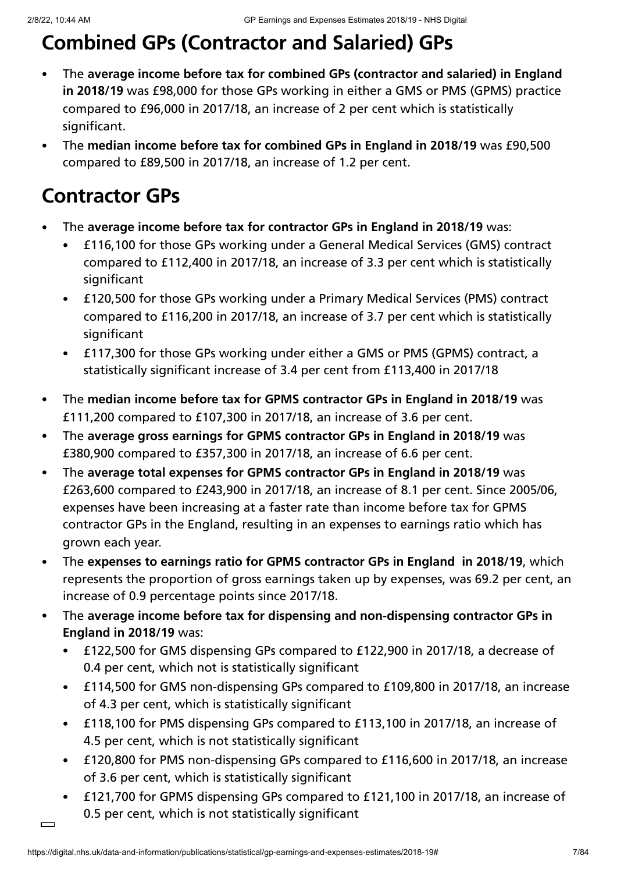# **Combined GPs (Contractor and Salaried) GPs**

- The **average income before tax for combined GPs (contractor and salaried) in England**  $\bullet$ **in 2018/19** was £98,000 for those GPs working in either a GMS or PMS (GPMS) practice compared to £96,000 in 2017/18, an increase of 2 per cent which is statistically significant.
- The **median income before tax for combined GPs in England in 2018/19** was £90,500  $\bullet$ compared to £89,500 in 2017/18, an increase of 1.2 per cent.

- The **average income before tax for contractor GPs in England in 2018/19** was:
	- £116,100 for those GPs working under a General Medical Services (GMS) contract  $\bullet$ compared to £112,400 in 2017/18, an increase of 3.3 per cent which is statistically significant
	- £120,500 for those GPs working under a Primary Medical Services (PMS) contract compared to £116,200 in 2017/18, an increase of 3.7 per cent which is statistically significant
	- £117,300 for those GPs working under either a GMS or PMS (GPMS) contract, a statistically significant increase of 3.4 per cent from £113,400 in 2017/18
- The **median income before tax for GPMS contractor GPs in England in 2018/19** was  $\bullet$ £111,200 compared to £107,300 in 2017/18, an increase of 3.6 per cent.
- The **average gross earnings for GPMS contractor GPs in England in 2018/19** was  $\bullet$ £380,900 compared to £357,300 in 2017/18, an increase of 6.6 per cent.
- The **average total expenses for GPMS contractor GPs in England in 2018/19** was  $\bullet$ £263,600 compared to £243,900 in 2017/18, an increase of 8.1 per cent. Since 2005/06, expenses have been increasing at a faster rate than income before tax for GPMS contractor GPs in the England, resulting in an expenses to earnings ratio which has grown each year.
- The **expenses to earnings ratio for GPMS contractor GPs in England in 2018/19**, which  $\bullet$ represents the proportion of gross earnings taken up by expenses, was 69.2 per cent, an increase of 0.9 percentage points since 2017/18.
- The **average income before tax for dispensing and non-dispensing contractor GPs in England in 2018/19** was:
	- £122,500 for GMS dispensing GPs compared to £122,900 in 2017/18, a decrease of  $\bullet$ 0.4 per cent, which not is statistically significant
	- £114,500 for GMS non-dispensing GPs compared to £109,800 in 2017/18, an increase of 4.3 per cent, which is statistically significant
	- £118,100 for PMS dispensing GPs compared to £113,100 in 2017/18, an increase of 4.5 per cent, which is not statistically significant
	- £120,800 for PMS non-dispensing GPs compared to £116,600 in 2017/18, an increase of 3.6 per cent, which is statistically significant
	- £121,700 for GPMS dispensing GPs compared to £121,100 in 2017/18, an increase of 0.5 per cent, which is not statistically significant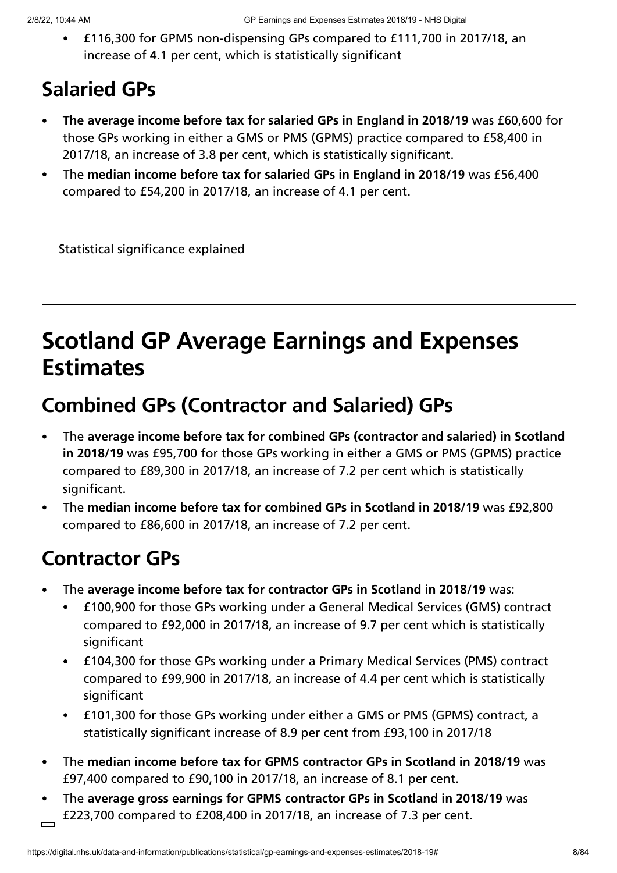£116,300 for GPMS non-dispensing GPs compared to £111,700 in 2017/18, an increase of 4.1 per cent, which is statistically significant

# **Salaried GPs**

- **The average income before tax for salaried GPs in England in 2018/19** was £60,600 for  $\bullet$ those GPs working in either a GMS or PMS (GPMS) practice compared to £58,400 in 2017/18, an increase of 3.8 per cent, which is statistically significant.
- The **median income before tax for salaried GPs in England in 2018/19** was £56,400 compared to £54,200 in 2017/18, an increase of 4.1 per cent.

Statistical significance explained

# **Scotland GP Average Earnings and Expenses Estimates**

## **Combined GPs (Contractor and Salaried) GPs**

- The **average income before tax for combined GPs (contractor and salaried) in Scotland**  $\bullet$ **in 2018/19** was £95,700 for those GPs working in either a GMS or PMS (GPMS) practice compared to £89,300 in 2017/18, an increase of 7.2 per cent which is statistically significant.
- The **median income before tax for combined GPs in Scotland in 2018/19** was £92,800  $\bullet$ compared to £86,600 in 2017/18, an increase of 7.2 per cent.

- The **average income before tax for contractor GPs in Scotland in 2018/19** was:
	- £100,900 for those GPs working under a General Medical Services (GMS) contract compared to £92,000 in 2017/18, an increase of 9.7 per cent which is statistically significant
	- £104,300 for those GPs working under a Primary Medical Services (PMS) contract compared to £99,900 in 2017/18, an increase of 4.4 per cent which is statistically significant
	- £101,300 for those GPs working under either a GMS or PMS (GPMS) contract, a statistically significant increase of 8.9 per cent from £93,100 in 2017/18
- The **median income before tax for GPMS contractor GPs in Scotland in 2018/19** was  $\bullet$ £97,400 compared to £90,100 in 2017/18, an increase of 8.1 per cent.
- The **average gross earnings for GPMS contractor GPs in Scotland in 2018/19** was £223,700 compared to £208,400 in 2017/18, an increase of 7.3 per cent.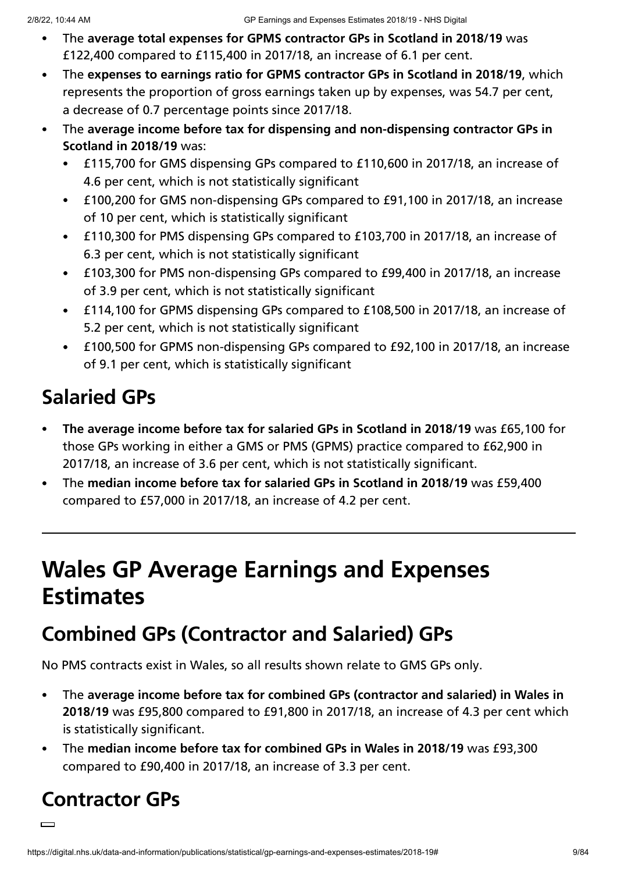- The **average total expenses for GPMS contractor GPs in Scotland in 2018/19** was £122,400 compared to £115,400 in 2017/18, an increase of 6.1 per cent.
- The **expenses to earnings ratio for GPMS contractor GPs in Scotland in 2018/19**, which represents the proportion of gross earnings taken up by expenses, was 54.7 per cent, a decrease of 0.7 percentage points since 2017/18.
- The **average income before tax for dispensing and non-dispensing contractor GPs in Scotland in 2018/19** was:
	- £115,700 for GMS dispensing GPs compared to £110,600 in 2017/18, an increase of  $\bullet$ 4.6 per cent, which is not statistically significant
	- £100,200 for GMS non-dispensing GPs compared to £91,100 in 2017/18, an increase  $\bullet$ of 10 per cent, which is statistically significant
	- £110,300 for PMS dispensing GPs compared to £103,700 in 2017/18, an increase of 6.3 per cent, which is not statistically significant
	- £103,300 for PMS non-dispensing GPs compared to £99,400 in 2017/18, an increase of 3.9 per cent, which is not statistically significant
	- £114,100 for GPMS dispensing GPs compared to £108,500 in 2017/18, an increase of 5.2 per cent, which is not statistically significant
	- £100,500 for GPMS non-dispensing GPs compared to £92,100 in 2017/18, an increase  $\bullet$ of 9.1 per cent, which is statistically significant

# **Salaried GPs**

- **The average income before tax for salaried GPs in Scotland in 2018/19** was £65,100 for  $\bullet$ those GPs working in either a GMS or PMS (GPMS) practice compared to £62,900 in 2017/18, an increase of 3.6 per cent, which is not statistically significant.
- The **median income before tax for salaried GPs in Scotland in 2018/19** was £59,400 compared to £57,000 in 2017/18, an increase of 4.2 per cent.

# **Wales GP Average Earnings and Expenses Estimates**

# **Combined GPs (Contractor and Salaried) GPs**

No PMS contracts exist in Wales, so all results shown relate to GMS GPs only.

- The **average income before tax for combined GPs (contractor and salaried) in Wales in**  $\bullet$ **2018/19** was £95,800 compared to £91,800 in 2017/18, an increase of 4.3 per cent which is statistically significant.
- The **median income before tax for combined GPs in Wales in 2018/19** was £93,300 compared to £90,400 in 2017/18, an increase of 3.3 per cent.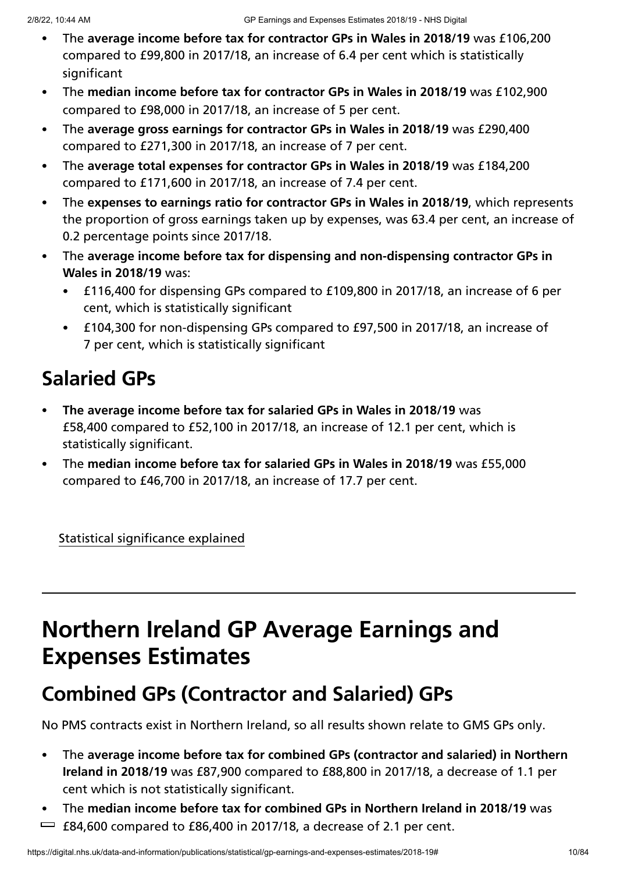- The **average income before tax for contractor GPs in Wales in 2018/19** was £106,200 compared to £99,800 in 2017/18, an increase of 6.4 per cent which is statistically significant
- The **median income before tax for contractor GPs in Wales in 2018/19** was £102,900 compared to £98,000 in 2017/18, an increase of 5 per cent.
- The **average gross earnings for contractor GPs in Wales in 2018/19** was £290,400  $\bullet$ compared to £271,300 in 2017/18, an increase of 7 per cent.
- The **average total expenses for contractor GPs in Wales in 2018/19** was £184,200 compared to £171,600 in 2017/18, an increase of 7.4 per cent.
- The **expenses to earnings ratio for contractor GPs in Wales in 2018/19**, which represents  $\bullet$ the proportion of gross earnings taken up by expenses, was 63.4 per cent, an increase of 0.2 percentage points since 2017/18.
- The **average income before tax for dispensing and non-dispensing contractor GPs in Wales in 2018/19** was:
	- £116,400 for dispensing GPs compared to £109,800 in 2017/18, an increase of 6 per cent, which is statistically significant
	- £104,300 for non-dispensing GPs compared to £97,500 in 2017/18, an increase of 7 per cent, which is statistically significant

# **Salaried GPs**

- **The average income before tax for salaried GPs in Wales in 2018/19** was £58,400 compared to £52,100 in 2017/18, an increase of 12.1 per cent, which is statistically significant.
- The **median income before tax for salaried GPs in Wales in 2018/19** was £55,000 compared to £46,700 in 2017/18, an increase of 17.7 per cent.

Statistical significance explained

# **Northern Ireland GP Average Earnings and Expenses Estimates**

# **Combined GPs (Contractor and Salaried) GPs**

No PMS contracts exist in Northern Ireland, so all results shown relate to GMS GPs only.

- The **average income before tax for combined GPs (contractor and salaried) in Northern**  $\bullet$ **Ireland in 2018/19** was £87,900 compared to £88,800 in 2017/18, a decrease of 1.1 per cent which is not statistically significant.
- The **median income before tax for combined GPs in Northern Ireland in 2018/19** was  $\bullet$  .  $\equiv$  £84,600 compared to £86,400 in 2017/18, a decrease of 2.1 per cent.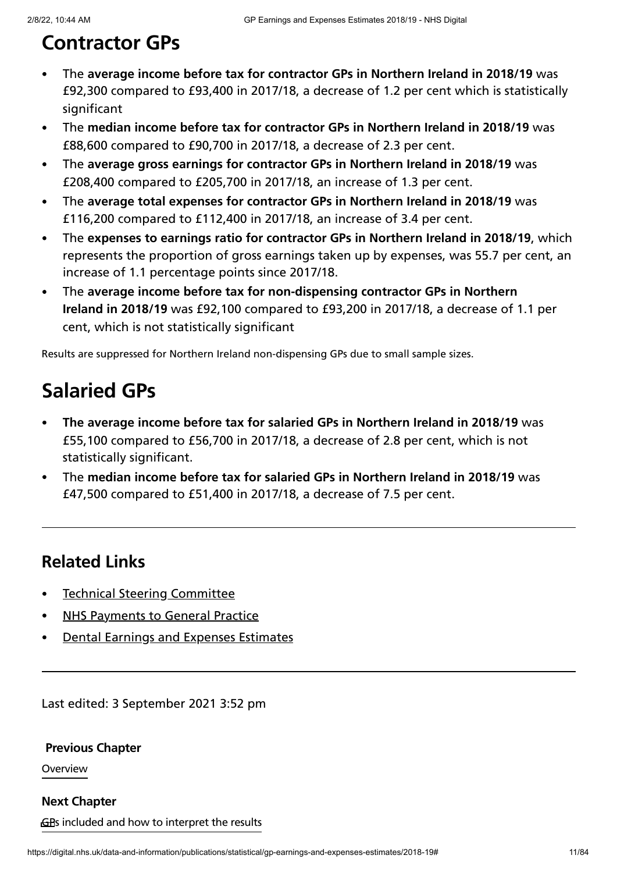# **Contractor GPs**

- The **average income before tax for contractor GPs in Northern Ireland in 2018/19** was  $\bullet$ £92,300 compared to £93,400 in 2017/18, a decrease of 1.2 per cent which is statistically significant
- The **median income before tax for contractor GPs in Northern Ireland in 2018/19** was £88,600 compared to £90,700 in 2017/18, a decrease of 2.3 per cent.
- The **average gross earnings for contractor GPs in Northern Ireland in 2018/19** was £208,400 compared to £205,700 in 2017/18, an increase of 1.3 per cent.
- The **average total expenses for contractor GPs in Northern Ireland in 2018/19** was  $\bullet$ £116,200 compared to £112,400 in 2017/18, an increase of 3.4 per cent.
- The **expenses to earnings ratio for contractor GPs in Northern Ireland in 2018/19**, which  $\bullet$ represents the proportion of gross earnings taken up by expenses, was 55.7 per cent, an increase of 1.1 percentage points since 2017/18.
- The **average income before tax for non-dispensing contractor GPs in Northern**  $\bullet$ **Ireland in 2018/19** was £92,100 compared to £93,200 in 2017/18, a decrease of 1.1 per cent, which is not statistically significant

Results are suppressed for Northern Ireland non-dispensing GPs due to small sample sizes.

## **Salaried GPs**

- **The average income before tax for salaried GPs in Northern Ireland in 2018/19** was  $\bullet$ £55,100 compared to £56,700 in 2017/18, a decrease of 2.8 per cent, which is not statistically significant.
- The **median income before tax for salaried GPs in Northern Ireland in 2018/19** was £47,500 compared to £51,400 in 2017/18, a decrease of 7.5 per cent.

## **Related Links**

- Technical Steering [Committee](https://digital.nhs.uk/data-and-information/areas-of-interest/workforce/technical-steering-committee-tsc)
- NHS [Payments](https://digital.nhs.uk/data-and-information/publications/statistical/nhs-payments-to-general-practice) to General Practice
- Dental Earnings and Expenses [Estimates](https://digital.nhs.uk/data-and-information/publications/statistical/dental-earnings-and-expenses-estimates)

Last edited: 3 September 2021 3:52 pm

**[Previous](https://digital.nhs.uk/data-and-information/publications/statistical/gp-earnings-and-expenses-estimates/2018-19) Chapter**

Overview

GBs included and how to interpret the results **Next [Chapter](https://digital.nhs.uk/data-and-information/publications/statistical/gp-earnings-and-expenses-estimates/2018-19/gps-included-and-how-to-interpret-the-results)**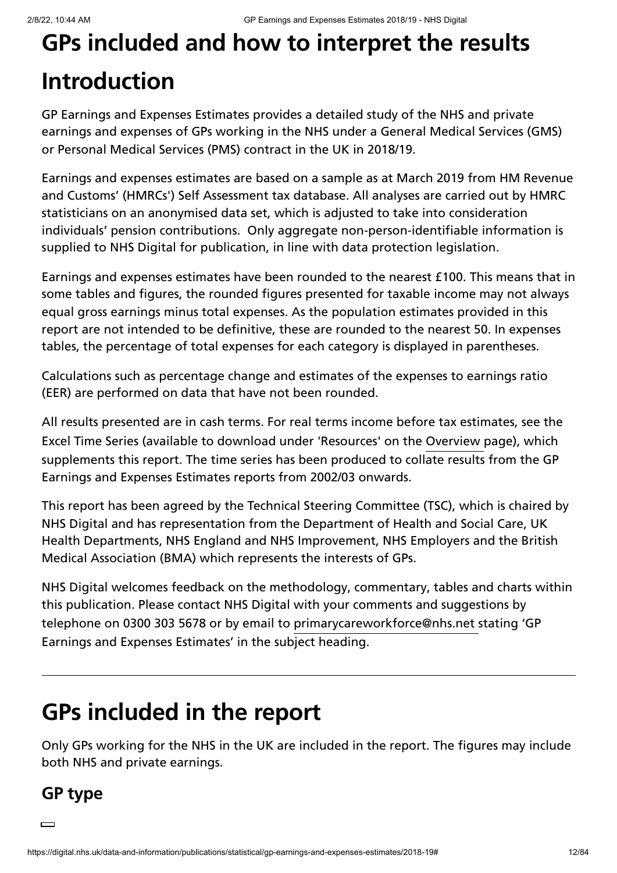# **GPs included and how to interpret the results Introduction**

GP Earnings and Expenses Estimates provides a detailed study of the NHS and private earnings and expenses of GPs working in the NHS under a General Medical Services (GMS) or Personal Medical Services (PMS) contract in the UK in 2018/19.

Earnings and expenses estimates are based on a sample as at March 2019 from HM Revenue and Customs' (HMRCs') Self Assessment tax database. All analyses are carried out by HMRC statisticians on an anonymised data set, which is adjusted to take into consideration individuals' pension contributions. Only aggregate non-person-identifiable information is supplied to NHS Digital for publication, in line with data protection legislation.

Earnings and expenses estimates have been rounded to the nearest £100. This means that in some tables and figures, the rounded figures presented for taxable income may not always equal gross earnings minus total expenses. As the population estimates provided in this report are not intended to be definitive, these are rounded to the nearest 50. In expenses tables, the percentage of total expenses for each category is displayed in parentheses.

Calculations such as percentage change and estimates of the expenses to earnings ratio (EER) are performed on data that have not been rounded.

All results presented are in cash terms. For real terms income before tax estimates, see the Excel Time Series (available to download under 'Resources' on the [Overview](https://digital.nhs.uk/data-and-information/publications/statistical/gp-earnings-and-expenses-estimates/2018-19) page), which supplements this report. The time series has been produced to collate results from the GP Earnings and Expenses Estimates reports from 2002/03 onwards.

This report has been agreed by the Technical Steering Committee (TSC), which is chaired by NHS Digital and has representation from the Department of Health and Social Care, UK Health Departments, NHS England and NHS Improvement, NHS Employers and the British Medical Association (BMA) which represents the interests of GPs.

NHS Digital welcomes feedback on the methodology, commentary, tables and charts within this publication. Please contact NHS Digital with your comments and suggestions by telephone on 0300 303 5678 or by email to primarycareworkforce@nh[s](mailto:primarycareworkforce@nhs.net%20?subject=GP%20Earnings%20and%20Expenses%20Estimates).net stating 'GP Earnings and Expenses Estimates' in the subject heading.

# **GPs included in the report**

Only GPs working for the NHS in the UK are included in the report. The figures may include both NHS and private earnings.

## **GP type**

 $\Box$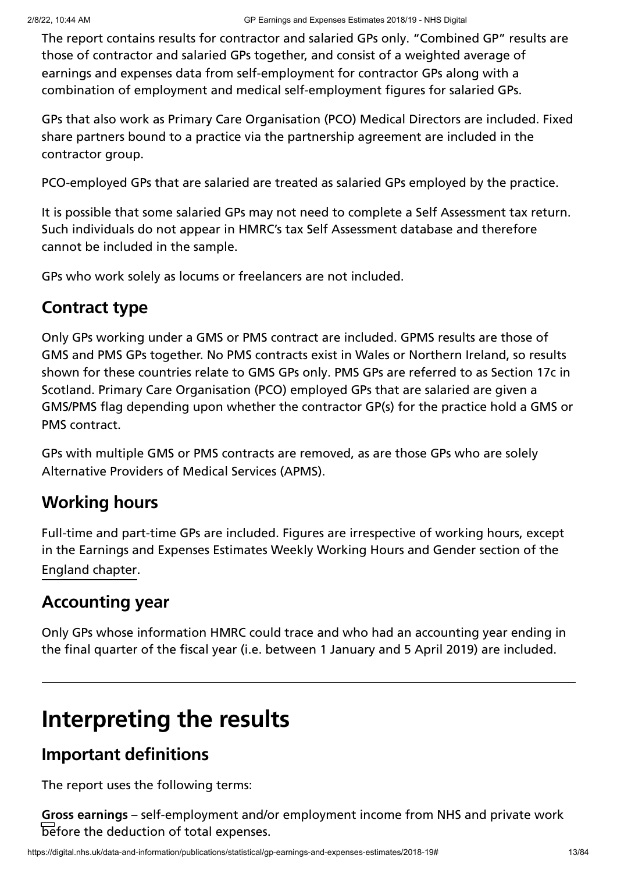The report contains results for contractor and salaried GPs only. "Combined GP" results are those of contractor and salaried GPs together, and consist of a weighted average of earnings and expenses data from self-employment for contractor GPs along with a combination of employment and medical self-employment figures for salaried GPs.

GPs that also work as Primary Care Organisation (PCO) Medical Directors are included. Fixed share partners bound to a practice via the partnership agreement are included in the contractor group.

PCO-employed GPs that are salaried are treated as salaried GPs employed by the practice.

It is possible that some salaried GPs may not need to complete a Self Assessment tax return. Such individuals do not appear in HMRC's tax Self Assessment database and therefore cannot be included in the sample.

GPs who work solely as locums or freelancers are not included.

### **Contract type**

Only GPs working under a GMS or PMS contract are included. GPMS results are those of GMS and PMS GPs together. No PMS contracts exist in Wales or Northern Ireland, so results shown for these countries relate to GMS GPs only. PMS GPs are referred to as Section 17c in Scotland. Primary Care Organisation (PCO) employed GPs that are salaried are given a GMS/PMS flag depending upon whether the contractor GP(s) for the practice hold a GMS or PMS contract.

GPs with multiple GMS or PMS contracts are removed, as are those GPs who are solely Alternative Providers of Medical Services (APMS).

## **Working hours**

Full-time and part-time GPs are included. Figures are irrespective of working hours, except in the Earnings and Expenses Estimates Weekly Working Hours and Gender section of the . [England](https://digital.nhs.uk/data-and-information/publications/statistical/gp-earnings-and-expenses-estimates/2018-19/england) chapter

## **Accounting year**

Only GPs whose information HMRC could trace and who had an accounting year ending in the final quarter of the fiscal year (i.e. between 1 January and 5 April 2019) are included.

# **Interpreting the results**

## **Important definitions**

The report uses the following terms:

**Gross earnings** – self-employment and/or employment income from NHS and private work before the deduction of total expenses.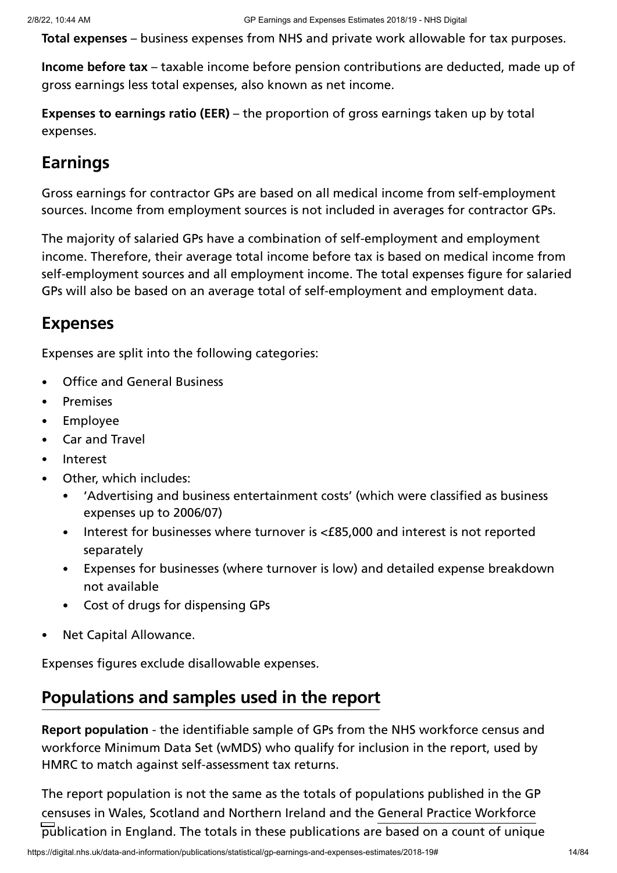**Total expenses** – business expenses from NHS and private work allowable for tax purposes.

**Income before tax** – taxable income before pension contributions are deducted, made up of gross earnings less total expenses, also known as net income.

**Expenses to earnings ratio (EER)** – the proportion of gross earnings taken up by total expenses.

## **Earnings**

Gross earnings for contractor GPs are based on all medical income from self-employment sources. Income from employment sources is not included in averages for contractor GPs.

The majority of salaried GPs have a combination of self-employment and employment income. Therefore, their average total income before tax is based on medical income from self-employment sources and all employment income. The total expenses figure for salaried GPs will also be based on an average total of self-employment and employment data.

### **Expenses**

Expenses are split into the following categories:

- Office and General Business  $\bullet$
- Premises  $\bullet$
- Employee  $\bullet$
- Car and Travel  $\bullet$
- Interest  $\bullet$
- Other, which includes:
	- 'Advertising and business entertainment costs' (which were classified as business  $\bullet$ expenses up to 2006/07)
	- Interest for businesses where turnover is <£85,000 and interest is not reported separately
	- Expenses for businesses (where turnover is low) and detailed expense breakdown not available
	- Cost of drugs for dispensing GPs
- Net Capital Allowance.

Expenses figures exclude disallowable expenses.

## **Populations and samples used in the report**

**Report population** - the identifiable sample of GPs from the NHS workforce census and workforce Minimum Data Set (wMDS) who qualify for inclusion in the report, used by HMRC to match against self-assessment tax returns.

The report population is not the same as the totals of populations published in the GP censuses in Wales, Scotland and Northern Ireland and the General Practice [Workforce](https://digital.nhs.uk/data-and-information/publications/statistical/general-and-personal-medical-services)publication in England. The totals in these publications are based on a count of unique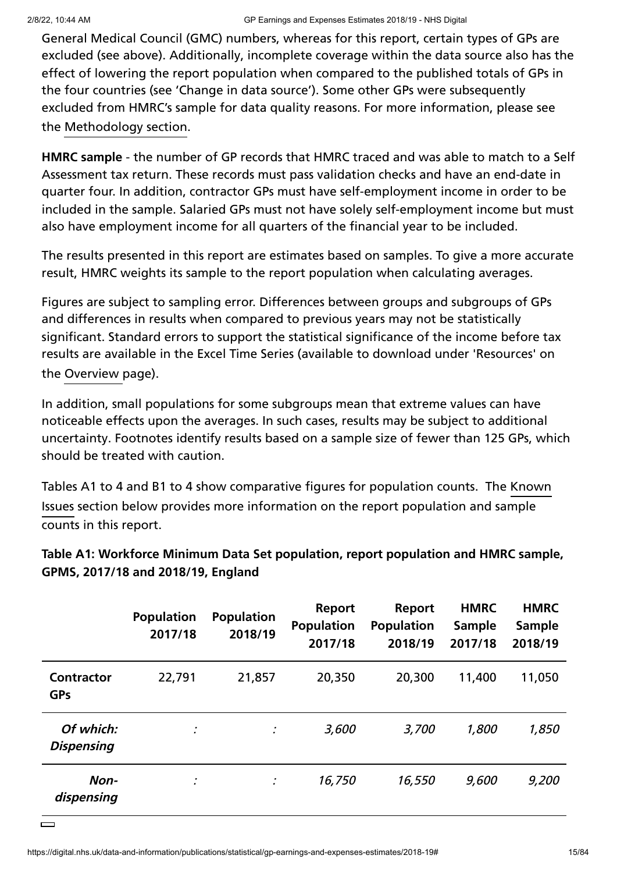General Medical Council (GMC) numbers, whereas for this report, certain types of GPs are excluded (see above). Additionally, incomplete coverage within the data source also has the effect of lowering the report population when compared to the published totals of GPs in the four countries (see 'Change in data source'). Some other GPs were subsequently excluded from HMRC's sample for data quality reasons. For more information, please see the [Methodology](https://digital.nhs.uk/data-and-information/publications/statistical/gp-earnings-and-expenses-estimates/2018-19/methodology) section.

**HMRC sample** - the number of GP records that HMRC traced and was able to match to a Self Assessment tax return. These records must pass validation checks and have an end-date in quarter four. In addition, contractor GPs must have self-employment income in order to be included in the sample. Salaried GPs must not have solely self-employment income but must also have employment income for all quarters of the financial year to be included.

The results presented in this report are estimates based on samples. To give a more accurate result, HMRC weights its sample to the report population when calculating averages.

Figures are subject to sampling error. Differences between groups and subgroups of GPs and differences in results when compared to previous years may not be statistically significant. Standard errors to support the statistical significance of the income before tax results are available in the Excel Time Series (available to download under 'Resources' on the [Overview](https://digital.nhs.uk/data-and-information/publications/statistical/gp-earnings-and-expenses-estimates/2018-19) page).

In addition, small populations for some subgroups mean that extreme values can have noticeable effects upon the averages. In such cases, results may be subject to additional uncertainty. Footnotes identify results based on a sample size of fewer than 125 GPs, which should be treated with caution.

Tables A1 to 4 and B1 to 4 show [comparative](https://digital.nhs.uk/data-and-information/publications/statistical/gp-earnings-and-expenses-estimates/2018-19/gps-included-and-how-to-interpret-the-results#known-issues) figures for population counts. The Known Issues section below provides more information on the report population and sample counts in this report.

|                                 | <b>Population</b><br>2017/18 | <b>Population</b><br>2018/19 | Report<br><b>Population</b><br>2017/18 | <b>Report</b><br><b>Population</b><br>2018/19 | <b>HMRC</b><br><b>Sample</b><br>2017/18 | <b>HMRC</b><br><b>Sample</b><br>2018/19 |
|---------------------------------|------------------------------|------------------------------|----------------------------------------|-----------------------------------------------|-----------------------------------------|-----------------------------------------|
| <b>Contractor</b><br><b>GPs</b> | 22,791                       | 21,857                       | 20,350                                 | 20,300                                        | 11,400                                  | 11,050                                  |
| Of which:<br><b>Dispensing</b>  |                              | ÷                            | 3,600                                  | 3,700                                         | 1,800                                   | 1,850                                   |
| Non-<br>dispensing              |                              | ÷                            | 16,750                                 | 16,550                                        | 9,600                                   | 9,200                                   |

**Table A1: Workforce Minimum Data Set population, report population and HMRC sample, GPMS, 2017/18 and 2018/19, England**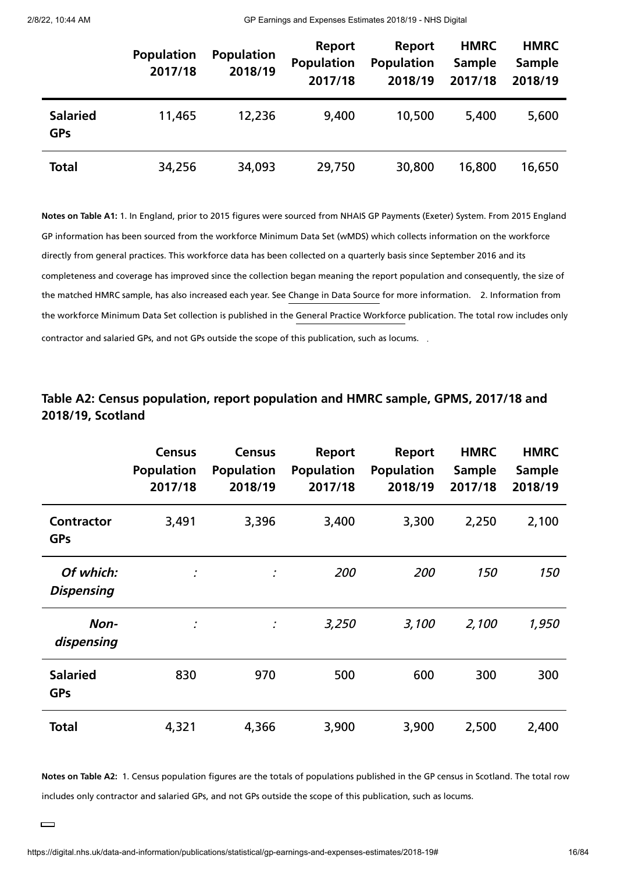2/8/22, 10:44 AM GP Earnings and Expenses Estimates 2018/19 - NHS Digital

|                               | <b>Population</b><br>2017/18 | <b>Population</b><br>2018/19 | Report<br><b>Population</b><br>2017/18 | Report<br><b>Population</b><br>2018/19 | <b>HMRC</b><br><b>Sample</b><br>2017/18 | <b>HMRC</b><br>Sample<br>2018/19 |
|-------------------------------|------------------------------|------------------------------|----------------------------------------|----------------------------------------|-----------------------------------------|----------------------------------|
| <b>Salaried</b><br><b>GPs</b> | 11,465                       | 12,236                       | 9,400                                  | 10,500                                 | 5,400                                   | 5,600                            |
| <b>Total</b>                  | 34,256                       | 34,093                       | 29,750                                 | 30,800                                 | 16,800                                  | 16,650                           |

**Notes on Table A1:** 1. In England, prior to 2015 figures were sourced from NHAIS GP Payments (Exeter) System. From 2015 England GP information has been sourced from the workforce Minimum Data Set (wMDS) which collects information on the workforce directly from general practices. This workforce data has been collected on a quarterly basis since September 2016 and its completeness and coverage has improved since the collection began meaning the report population and consequently, the size of the matched HMRC sample, has also increased each year. See [Change](https://digital.nhs.uk/data-and-information/publications/statistical/gp-earnings-and-expenses-estimates/2018-19/gps-included-and-how-to-interpret-the-results#change-in-data-source) in Data Source for more information. D. Information from the workforce Minimum Data Set collection is published in the General Practice [Workforce](https://digital.nhs.uk/data-and-information/publications/statistical/general-and-personal-medical-services) publication. The total row includes only contractor and salaried GPs, and not GPs outside the scope of this publication, such as locums. .

| Table A2: Census population, report population and HMRC sample, GPMS, 2017/18 and |
|-----------------------------------------------------------------------------------|
| 2018/19, Scotland                                                                 |

|                                 | <b>Census</b><br><b>Population</b><br>2017/18 | <b>Census</b><br><b>Population</b><br>2018/19 | Report<br><b>Population</b><br>2017/18 | Report<br><b>Population</b><br>2018/19 | <b>HMRC</b><br><b>Sample</b><br>2017/18 | <b>HMRC</b><br><b>Sample</b><br>2018/19 |
|---------------------------------|-----------------------------------------------|-----------------------------------------------|----------------------------------------|----------------------------------------|-----------------------------------------|-----------------------------------------|
| <b>Contractor</b><br><b>GPs</b> | 3,491                                         | 3,396                                         | 3,400                                  | 3,300                                  | 2,250                                   | 2,100                                   |
| Of which:<br><b>Dispensing</b>  | ÷                                             | ÷                                             | 200                                    | 200                                    | <i><b>150</b></i>                       | 150                                     |
| Non-<br>dispensing              |                                               | ÷                                             | 3,250                                  | 3,100                                  | 2,100                                   | 1,950                                   |
| <b>Salaried</b><br><b>GPs</b>   | 830                                           | 970                                           | 500                                    | 600                                    | 300                                     | 300                                     |
| <b>Total</b>                    | 4,321                                         | 4,366                                         | 3,900                                  | 3,900                                  | 2,500                                   | 2,400                                   |

**Notes on Table A2:** 1. Census population figures are the totals of populations published in the GP census in Scotland. The total row includes only contractor and salaried GPs, and not GPs outside the scope of this publication, such as locums.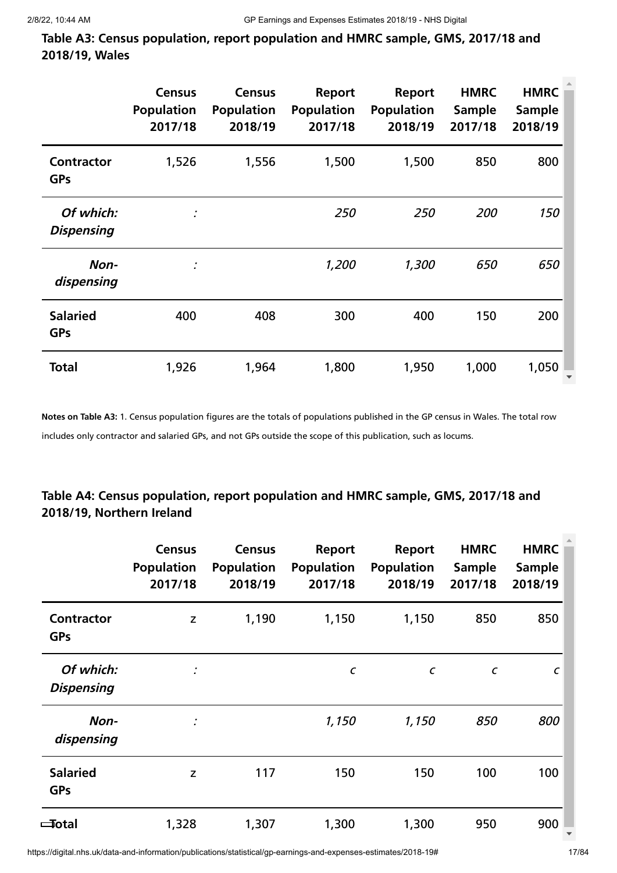**Table A3: Census population, report population and HMRC sample, GMS, 2017/18 and 2018/19, Wales**

|                                 | <b>Census</b><br><b>Population</b><br>2017/18 | <b>Census</b><br><b>Population</b><br>2018/19 | <b>Report</b><br><b>Population</b><br>2017/18 | <b>Report</b><br><b>Population</b><br>2018/19 | <b>HMRC</b><br><b>Sample</b><br>2017/18 | <b>HMRC</b><br>Sample<br>2018/19 |
|---------------------------------|-----------------------------------------------|-----------------------------------------------|-----------------------------------------------|-----------------------------------------------|-----------------------------------------|----------------------------------|
| <b>Contractor</b><br><b>GPs</b> | 1,526                                         | 1,556                                         | 1,500                                         | 1,500                                         | 850                                     | 800                              |
| Of which:<br><b>Dispensing</b>  |                                               |                                               | 250                                           | 250                                           | 200                                     | 150                              |
| Non-<br>dispensing              | ÷                                             |                                               | 1,200                                         | 1,300                                         | 650                                     | 650                              |
| <b>Salaried</b><br><b>GPs</b>   | 400                                           | 408                                           | 300                                           | 400                                           | 150                                     | 200                              |
| <b>Total</b>                    | 1,926                                         | 1,964                                         | 1,800                                         | 1,950                                         | 1,000                                   | 1,050                            |

**Notes on Table A3:** 1. Census population figures are the totals of populations published in the GP census in Wales. The total row includes only contractor and salaried GPs, and not GPs outside the scope of this publication, such as locums.

#### **Table A4: Census population, report population and HMRC sample, GMS, 2017/18 and 2018/19, Northern Ireland**

|                                 | <b>Census</b><br><b>Population</b><br>2017/18 | <b>Census</b><br><b>Population</b><br>2018/19 | Report<br><b>Population</b><br>2017/18 | Report<br><b>Population</b><br>2018/19 | <b>HMRC</b><br><b>Sample</b><br>2017/18 | <b>HMRC</b><br>Sample<br>2018/19 |
|---------------------------------|-----------------------------------------------|-----------------------------------------------|----------------------------------------|----------------------------------------|-----------------------------------------|----------------------------------|
| <b>Contractor</b><br><b>GPs</b> | Z                                             | 1,190                                         | 1,150                                  | 1,150                                  | 850                                     | 850                              |
| Of which:<br><b>Dispensing</b>  |                                               |                                               | $\pmb{\mathcal{C}}$                    | $\epsilon$                             | $\epsilon$                              | $\epsilon$                       |
| Non-<br>dispensing              |                                               |                                               | 1,150                                  | 1,150                                  | 850                                     | 800                              |
| <b>Salaried</b><br><b>GPs</b>   | z                                             | 117                                           | 150                                    | 150                                    | 100                                     | 100                              |
| ≔Total                          | 1,328                                         | 1,307                                         | 1,300                                  | 1,300                                  | 950                                     | 900                              |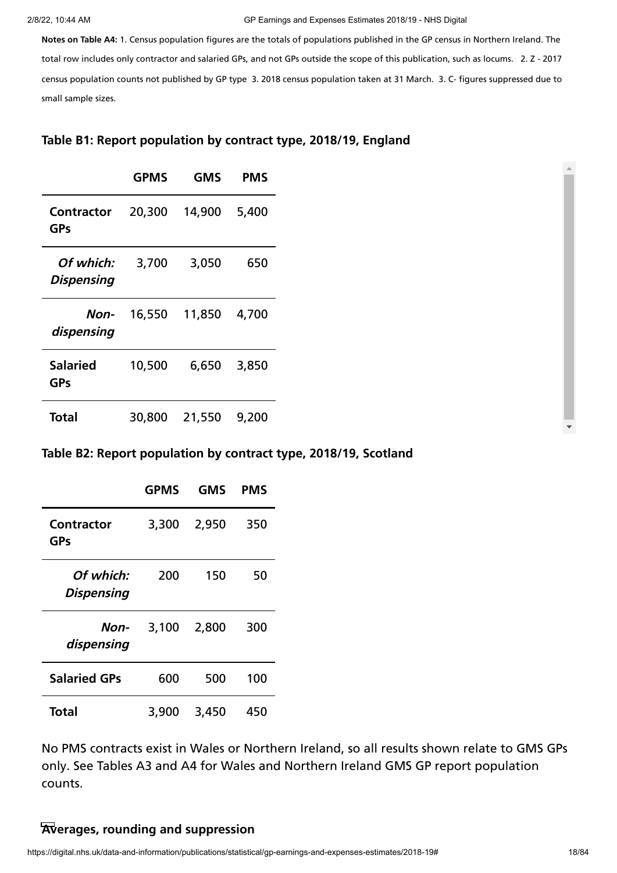#### 2/8/22, 10:44 AM GP Earnings and Expenses Estimates 2018/19 - NHS Digital

**Notes on Table A4:** 1. Census population figures are the totals of populations published in the GP census in Northern Ireland. The total row includes only contractor and salaried GPs, and not GPs outside the scope of this publication, such as locums. 2. Z - 2017 census population counts not published by GP type 3. 2018 census population taken at 31 March. 3. C- figures suppressed due to small sample sizes.

#### **Table B1: Report population by contract type, 2018/19, England**

|                                | <b>GPMS</b> | <b>GMS</b> | PMS   |
|--------------------------------|-------------|------------|-------|
| <b>Contractor</b><br>GPs       | 20,300      | 14,900     | 5,400 |
| Of which:<br><b>Dispensing</b> | 3,700       | 3,050      | 650   |
| Non-<br>dispensing             | 16,550      | 11,850     | 4,700 |
| <b>Salaried</b><br>GPs         | 10,500      | 6,650      | 3,850 |
| Total                          | 30,800      | 21,550     | 9,200 |

#### **Table B2: Report population by contract type, 2018/19, Scotland**

|                                | <b>GPMS</b> | <b>GMS</b> | PMS |
|--------------------------------|-------------|------------|-----|
| Contractor<br>GPs              | 3,300       | 2,950      | 350 |
| Of which:<br><b>Dispensing</b> | 200         | 150        | 50  |
| Non-<br>dispensing             | 3,100       | 2,800      | 300 |
| <b>Salaried GPs</b>            | 600         | 500        | 100 |
| Total                          | 3,900       | 3,450      | 450 |

No PMS contracts exist in Wales or Northern Ireland, so all results shown relate to GMS GPs only. See Tables A3 and A4 for Wales and Northern Ireland GMS GP report population counts.

#### **Averages, rounding and suppression**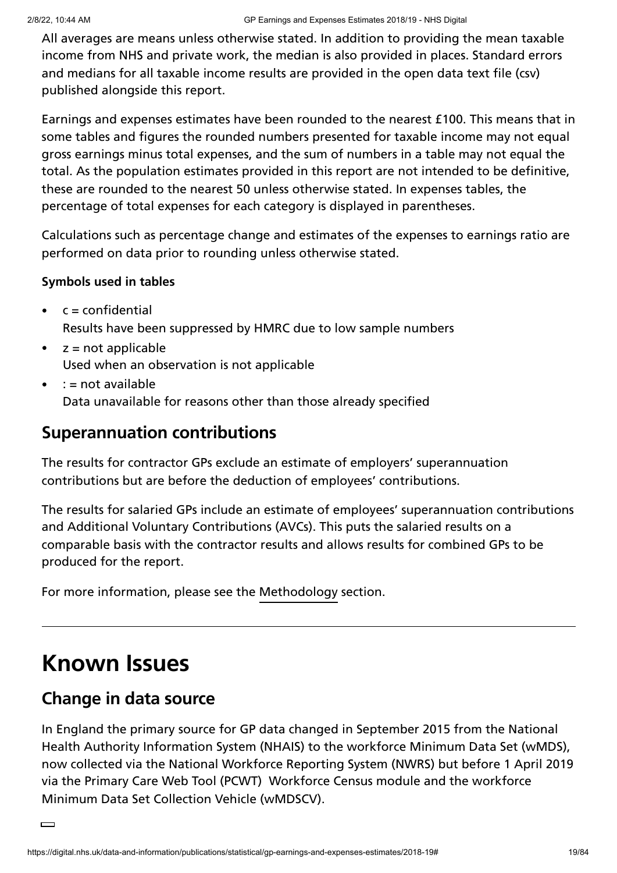All averages are means unless otherwise stated. In addition to providing the mean taxable income from NHS and private work, the median is also provided in places. Standard errors and medians for all taxable income results are provided in the open data text file (csv) published alongside this report.

Earnings and expenses estimates have been rounded to the nearest £100. This means that in some tables and figures the rounded numbers presented for taxable income may not equal gross earnings minus total expenses, and the sum of numbers in a table may not equal the total. As the population estimates provided in this report are not intended to be definitive, these are rounded to the nearest 50 unless otherwise stated. In expenses tables, the percentage of total expenses for each category is displayed in parentheses.

Calculations such as percentage change and estimates of the expenses to earnings ratio are performed on data prior to rounding unless otherwise stated.

#### **Symbols used in tables**

- $c =$  confidential Results have been suppressed by HMRC due to low sample numbers
- $z = not$ applicable  $\bullet$ Used when an observation is not applicable
- : = not available Data unavailable for reasons other than those already specified

### **Superannuation contributions**

The results for contractor GPs exclude an estimate of employers' superannuation contributions but are before the deduction of employees' contributions.

The results for salaried GPs include an estimate of employees' superannuation contributions and Additional Voluntary Contributions (AVCs). This puts the salaried results on a comparable basis with the contractor results and allows results for combined GPs to be produced for the report.

For more information, please see the [Methodology](https://digital.nhs.uk/data-and-information/publications/statistical/gp-earnings-and-expenses-estimates/2018-19/methodology) section.

# **Known Issues**

### **Change in data source**

In England the primary source for GP data changed in September 2015 from the National Health Authority Information System (NHAIS) to the workforce Minimum Data Set (wMDS), now collected via the National Workforce Reporting System (NWRS) but before 1 April 2019 via the Primary Care Web Tool (PCWT) Workforce Census module and the workforce Minimum Data Set Collection Vehicle (wMDSCV).

 $\Box$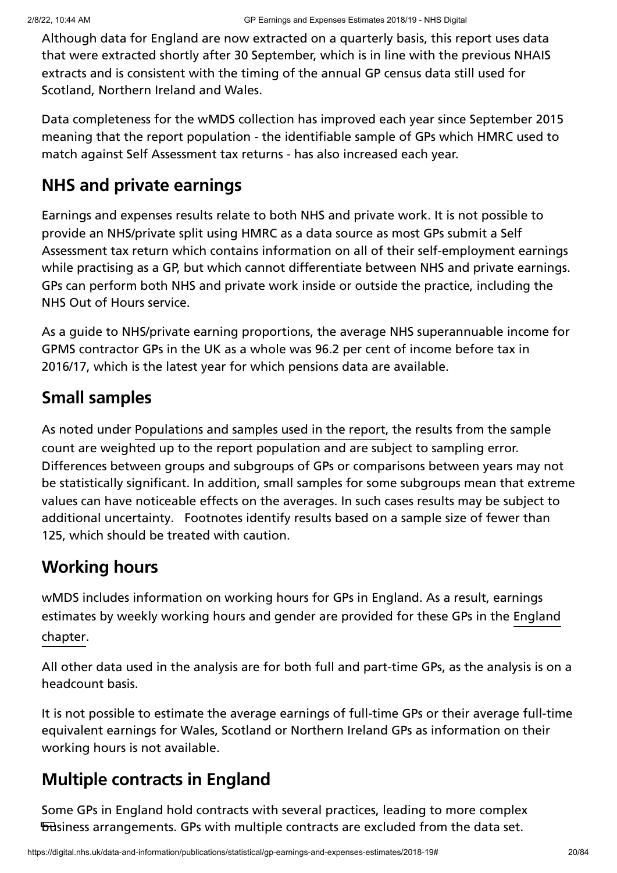Although data for England are now extracted on a quarterly basis, this report uses data that were extracted shortly after 30 September, which is in line with the previous NHAIS extracts and is consistent with the timing of the annual GP census data still used for Scotland, Northern Ireland and Wales.

Data completeness for the wMDS collection has improved each year since September 2015 meaning that the report population - the identifiable sample of GPs which HMRC used to match against Self Assessment tax returns - has also increased each year.

## **NHS and private earnings**

Earnings and expenses results relate to both NHS and private work. It is not possible to provide an NHS/private split using HMRC as a data source as most GPs submit a Self Assessment tax return which contains information on all of their self-employment earnings while practising as a GP, but which cannot differentiate between NHS and private earnings. GPs can perform both NHS and private work inside or outside the practice, including the NHS Out of Hours service.

As a guide to NHS/private earning proportions, the average NHS superannuable income for GPMS contractor GPs in the UK as a whole was 96.2 per cent of income before tax in 2016/17, which is the latest year for which pensions data are available.

## **Small samples**

As noted under [Populations](https://digital.nhs.uk/data-and-information/publications/statistical/gp-earnings-and-expenses-estimates/2018-19/gps-included-and-how-to-interpret-the-results#Interpreting-the-results) and samples used in the report, the results from the sample count are weighted up to the report population and are subject to sampling error. Differences between groups and subgroups of GPs or comparisons between years may not be statistically significant. In addition, small samples for some subgroups mean that extreme values can have noticeable effects on the averages. In such cases results may be subject to additional uncertainty. Footnotes identify results based on a sample size of fewer than 125, which should be treated with caution.

## **Working hours**

wMDS includes information on working hours for GPs in England. As a result, earnings [estimates](https://digital.nhs.uk/data-and-information/publications/statistical/gp-earnings-and-expenses-estimates/2018-19/england) by weekly working hours and gender are provided for these GPs in the England . chapter

All other data used in the analysis are for both full and part-time GPs, as the analysis is on a headcount basis.

It is not possible to estimate the average earnings of full-time GPs or their average full-time equivalent earnings for Wales, Scotland or Northern Ireland GPs as information on their working hours is not available.

## **Multiple contracts in England**

Some GPs in England hold contracts with several practices, leading to more complex **business arrangements. GPs with multiple contracts are excluded from the data set.**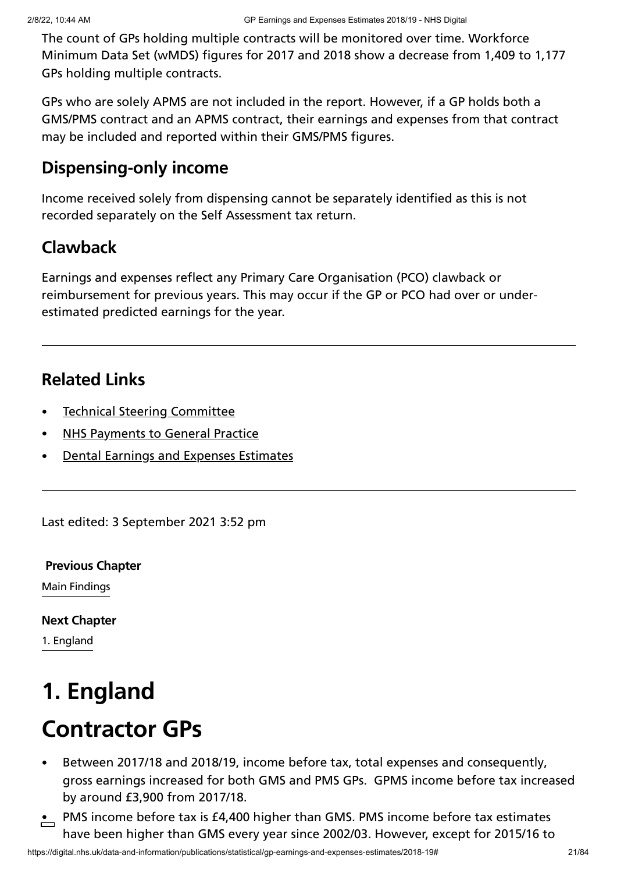The count of GPs holding multiple contracts will be monitored over time. Workforce Minimum Data Set (wMDS) figures for 2017 and 2018 show a decrease from 1,409 to 1,177 GPs holding multiple contracts.

GPs who are solely APMS are not included in the report. However, if a GP holds both a GMS/PMS contract and an APMS contract, their earnings and expenses from that contract may be included and reported within their GMS/PMS figures.

## **Dispensing-only income**

Income received solely from dispensing cannot be separately identified as this is not recorded separately on the Self Assessment tax return.

## **Clawback**

Earnings and expenses reflect any Primary Care Organisation (PCO) clawback or reimbursement for previous years. This may occur if the GP or PCO had over or underestimated predicted earnings for the year.

## **Related Links**

- Technical Steering [Committee](https://digital.nhs.uk/data-and-information/areas-of-interest/workforce/technical-steering-committee-tsc)
- NHS [Payments](https://digital.nhs.uk/data-and-information/publications/statistical/nhs-payments-to-general-practice) to General Practice
- Dental Earnings and Expenses [Estimates](https://digital.nhs.uk/data-and-information/publications/statistical/dental-earnings-and-expenses-estimates)

Last edited: 3 September 2021 3:52 pm

Main Findings **[Previous](https://digital.nhs.uk/data-and-information/publications/statistical/gp-earnings-and-expenses-estimates/2018-19/main-findings) Chapter**

**Next [Chapter](https://digital.nhs.uk/data-and-information/publications/statistical/gp-earnings-and-expenses-estimates/2018-19/england)**

1. England

# **1. England**

- Between 2017/18 and 2018/19, income before tax, total expenses and consequently, gross earnings increased for both GMS and PMS GPs. GPMS income before tax increased by around £3,900 from 2017/18.
- $\cdot$  PMS income before tax is £4,400 higher than GMS. PMS income before tax estimates have been higher than GMS every year since 2002/03. However, except for 2015/16 to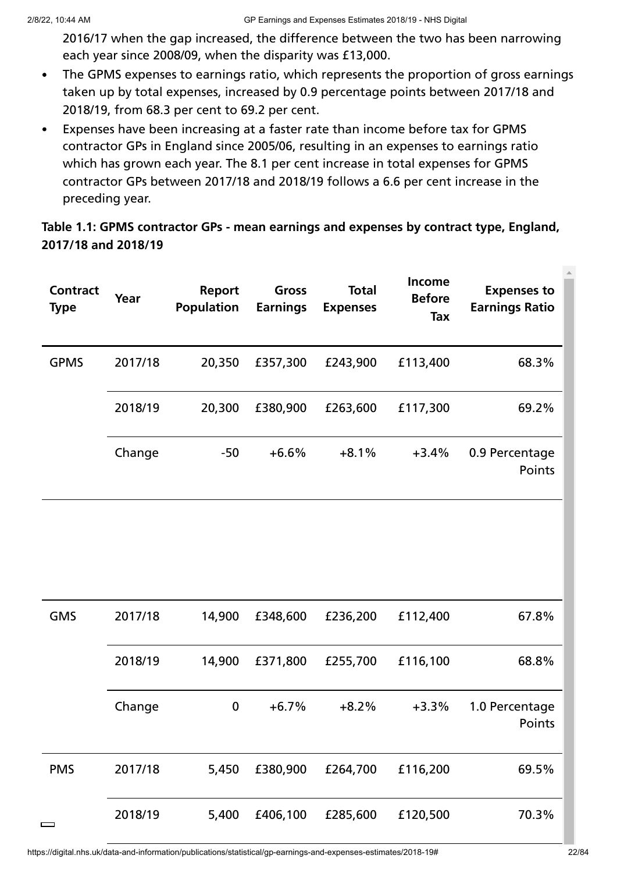2016/17 when the gap increased, the difference between the two has been narrowing each year since 2008/09, when the disparity was £13,000.

- The GPMS expenses to earnings ratio, which represents the proportion of gross earnings  $\bullet$ taken up by total expenses, increased by 0.9 percentage points between 2017/18 and 2018/19, from 68.3 per cent to 69.2 per cent.
- Expenses have been increasing at a faster rate than income before tax for GPMS  $\bullet$ contractor GPs in England since 2005/06, resulting in an expenses to earnings ratio which has grown each year. The 8.1 per cent increase in total expenses for GPMS contractor GPs between 2017/18 and 2018/19 follows a 6.6 per cent increase in the preceding year.

#### **Table 1.1: GPMS contractor GPs - mean earnings and expenses by contract type, England, 2017/18 and 2018/19**

| <b>Contract</b><br><b>Type</b> | Year    | Report<br><b>Population</b> | Gross<br><b>Earnings</b> | <b>Total</b><br><b>Expenses</b> | Income<br><b>Before</b><br><b>Tax</b> | <b>Expenses to</b><br><b>Earnings Ratio</b> |
|--------------------------------|---------|-----------------------------|--------------------------|---------------------------------|---------------------------------------|---------------------------------------------|
| <b>GPMS</b>                    | 2017/18 | 20,350                      | £357,300                 | £243,900                        | £113,400                              | 68.3%                                       |
|                                | 2018/19 | 20,300                      | £380,900                 | £263,600                        | £117,300                              | 69.2%                                       |
|                                | Change  | $-50$                       | $+6.6%$                  | $+8.1%$                         | $+3.4%$                               | 0.9 Percentage<br>Points                    |
|                                |         |                             |                          |                                 |                                       |                                             |
| <b>GMS</b>                     | 2017/18 | 14,900                      | £348,600                 | £236,200                        | £112,400                              | 67.8%                                       |
|                                | 2018/19 | 14,900                      | £371,800                 | £255,700                        | £116,100                              | 68.8%                                       |
|                                | Change  | 0                           | $+6.7%$                  | $+8.2%$                         | $+3.3%$                               | 1.0 Percentage<br>Points                    |
| <b>PMS</b>                     | 2017/18 | 5,450                       | £380,900                 | £264,700                        | £116,200                              | 69.5%                                       |
| $\qquad \qquad$                | 2018/19 | 5,400                       | £406,100                 | £285,600                        | £120,500                              | 70.3%                                       |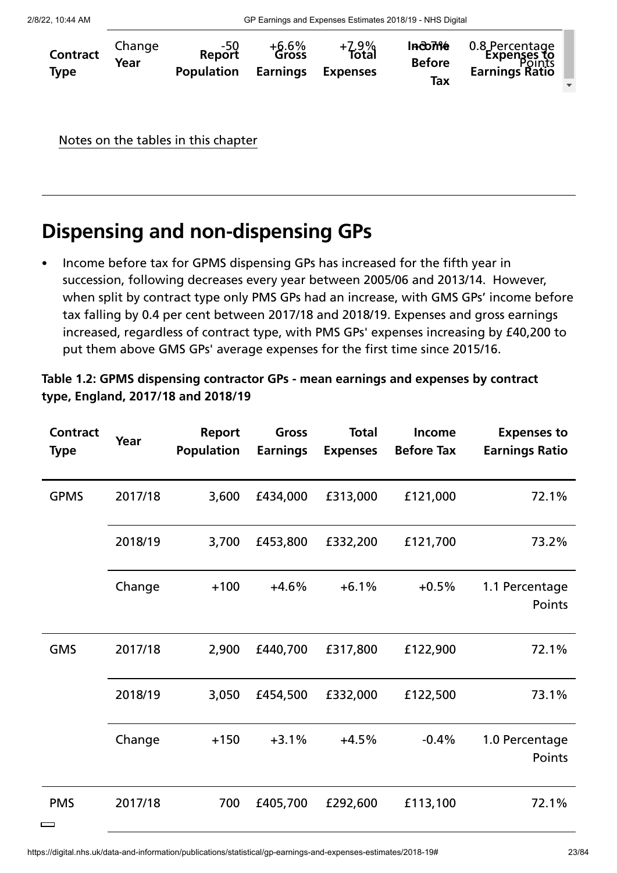| <b>Contract</b><br><b>Type</b> | Change<br>Year | 50-<br>Report<br><b>Population</b> | $+6.6\%$<br>Gross<br><b>Earnings</b> | +7.9%<br>Total<br><b>Expenses</b> | <b>Income</b><br><b>Before</b><br>Tax | 0.8 Percentage<br><b>Expenses to</b><br><b>Earnings Ratio</b> |
|--------------------------------|----------------|------------------------------------|--------------------------------------|-----------------------------------|---------------------------------------|---------------------------------------------------------------|
|                                |                |                                    |                                      |                                   |                                       |                                                               |

Notes on the tables in this chapter

## **Dispensing and non-dispensing GPs**

Income before tax for GPMS dispensing GPs has increased for the fifth year in succession, following decreases every year between 2005/06 and 2013/14. However, when split by contract type only PMS GPs had an increase, with GMS GPs' income before tax falling by 0.4 per cent between 2017/18 and 2018/19. Expenses and gross earnings increased, regardless of contract type, with PMS GPs' expenses increasing by £40,200 to put them above GMS GPs' average expenses for the first time since 2015/16.

**Table 1.2: GPMS dispensing contractor GPs - mean earnings and expenses by contract type, England, 2017/18 and 2018/19**

| <b>Contract</b><br><b>Type</b> | Year    | Report<br><b>Population</b> | Gross<br><b>Earnings</b> | <b>Total</b><br><b>Expenses</b> | Income<br><b>Before Tax</b> | <b>Expenses to</b><br><b>Earnings Ratio</b> |
|--------------------------------|---------|-----------------------------|--------------------------|---------------------------------|-----------------------------|---------------------------------------------|
| <b>GPMS</b>                    | 2017/18 | 3,600                       | £434,000                 | £313,000                        | £121,000                    | 72.1%                                       |
|                                | 2018/19 | 3,700                       | £453,800                 | £332,200                        | £121,700                    | 73.2%                                       |
|                                | Change  | $+100$                      | $+4.6%$                  | $+6.1%$                         | $+0.5%$                     | 1.1 Percentage<br>Points                    |
| <b>GMS</b>                     | 2017/18 | 2,900                       | £440,700                 | £317,800                        | £122,900                    | 72.1%                                       |
|                                | 2018/19 | 3,050                       | £454,500                 | £332,000                        | £122,500                    | 73.1%                                       |
|                                | Change  | $+150$                      | $+3.1%$                  | $+4.5%$                         | $-0.4%$                     | 1.0 Percentage<br>Points                    |
| <b>PMS</b><br>Г<br>⊐           | 2017/18 | 700                         | £405,700                 | £292,600                        | £113,100                    | 72.1%                                       |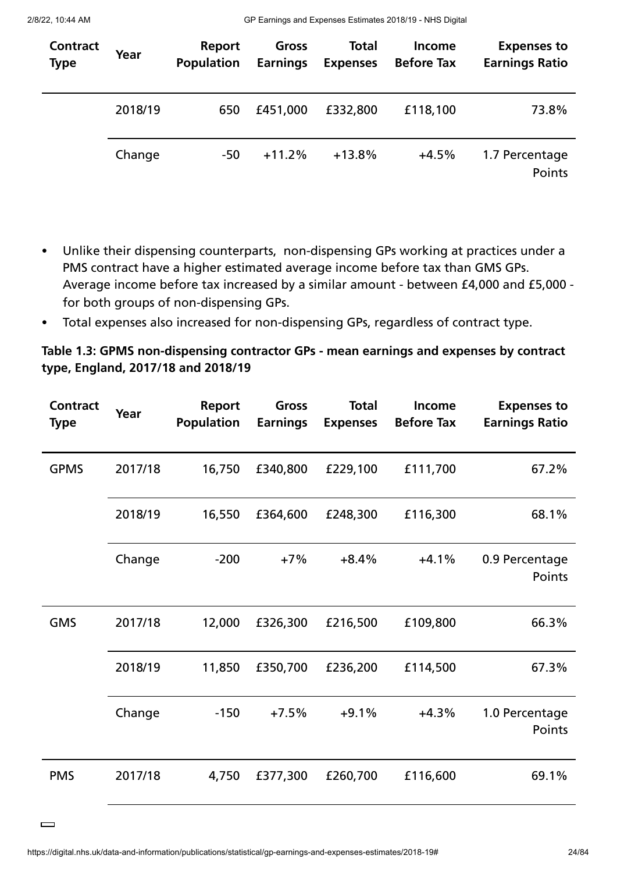2/8/22, 10:44 AM GP Earnings and Expenses Estimates 2018/19 - NHS Digital

| Contract<br><b>Type</b> | Year    | Report<br><b>Population</b> | Gross<br><b>Earnings</b> | <b>Total</b><br><b>Expenses</b> | <b>Income</b><br><b>Before Tax</b> | <b>Expenses to</b><br><b>Earnings Ratio</b> |
|-------------------------|---------|-----------------------------|--------------------------|---------------------------------|------------------------------------|---------------------------------------------|
|                         | 2018/19 | 650                         | £451,000                 | £332,800                        | £118,100                           | 73.8%                                       |
|                         | Change  | $-50$                       | $+11.2%$                 | $+13.8%$                        | $+4.5%$                            | 1.7 Percentage<br>Points                    |

- Unlike their dispensing counterparts, non-dispensing GPs working at practices under a  $\bullet$ PMS contract have a higher estimated average income before tax than GMS GPs. Average income before tax increased by a similar amount - between £4,000 and £5,000 for both groups of non-dispensing GPs.
- Total expenses also increased for non-dispensing GPs, regardless of contract type.  $\bullet$

#### **Table 1.3: GPMS non-dispensing contractor GPs - mean earnings and expenses by contract type, England, 2017/18 and 2018/19**

| <b>Contract</b><br><b>Type</b> | Year    | Report<br><b>Population</b> | Gross<br><b>Earnings</b> | <b>Total</b><br><b>Expenses</b> | Income<br><b>Before Tax</b> | <b>Expenses to</b><br><b>Earnings Ratio</b> |
|--------------------------------|---------|-----------------------------|--------------------------|---------------------------------|-----------------------------|---------------------------------------------|
| <b>GPMS</b>                    | 2017/18 | 16,750                      | £340,800                 | £229,100                        | £111,700                    | 67.2%                                       |
|                                | 2018/19 | 16,550                      | £364,600                 | £248,300                        | £116,300                    | 68.1%                                       |
|                                | Change  | $-200$                      | $+7%$                    | $+8.4%$                         | $+4.1%$                     | 0.9 Percentage<br>Points                    |
| <b>GMS</b>                     | 2017/18 | 12,000                      | £326,300                 | £216,500                        | £109,800                    | 66.3%                                       |
|                                | 2018/19 | 11,850                      | £350,700                 | £236,200                        | £114,500                    | 67.3%                                       |
|                                | Change  | $-150$                      | $+7.5%$                  | $+9.1%$                         | $+4.3%$                     | 1.0 Percentage<br>Points                    |
| <b>PMS</b>                     | 2017/18 | 4,750                       | £377,300                 | £260,700                        | £116,600                    | 69.1%                                       |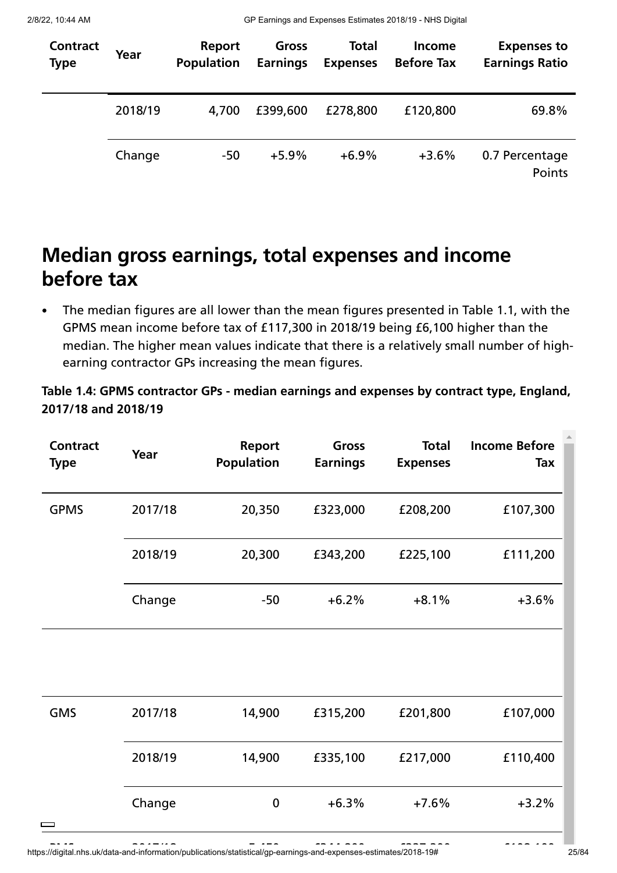2/8/22, 10:44 AM GP Earnings and Expenses Estimates 2018/19 - NHS Digital

| Contract<br><b>Type</b> | Year    | Report<br><b>Population</b> | Gross<br><b>Earnings</b> | <b>Total</b><br><b>Expenses</b> | <b>Income</b><br><b>Before Tax</b> | <b>Expenses to</b><br><b>Earnings Ratio</b> |
|-------------------------|---------|-----------------------------|--------------------------|---------------------------------|------------------------------------|---------------------------------------------|
|                         | 2018/19 | 4,700                       | £399,600                 | £278,800                        | £120,800                           | 69.8%                                       |
|                         | Change  | $-50$                       | $+5.9%$                  | $+6.9%$                         | $+3.6%$                            | 0.7 Percentage<br>Points                    |

## **Median gross earnings, total expenses and income before tax**

The median figures are all lower than the mean figures presented in Table 1.1, with the GPMS mean income before tax of £117,300 in 2018/19 being £6,100 higher than the median. The higher mean values indicate that there is a relatively small number of highearning contractor GPs increasing the mean figures.

#### **Table 1.4: GPMS contractor GPs - median earnings and expenses by contract type, England, 2017/18 and 2018/19**

| <b>Contract</b><br><b>Type</b> | Year    | <b>Report</b><br><b>Population</b> | Gross<br><b>Earnings</b> | <b>Total</b><br><b>Expenses</b> | <b>Income Before</b><br>Tax |
|--------------------------------|---------|------------------------------------|--------------------------|---------------------------------|-----------------------------|
| <b>GPMS</b>                    | 2017/18 | 20,350                             | £323,000                 | £208,200                        | £107,300                    |
|                                | 2018/19 | 20,300                             | £343,200                 | £225,100                        | £111,200                    |
|                                | Change  | $-50$                              | $+6.2%$                  | $+8.1%$                         | $+3.6%$                     |
|                                |         |                                    |                          |                                 |                             |
| <b>GMS</b>                     | 2017/18 | 14,900                             | £315,200                 | £201,800                        | £107,000                    |
|                                | 2018/19 | 14,900                             | £335,100                 | £217,000                        | £110,400                    |
| $\sim$                         | Change  | $\bf{0}$                           | $+6.3%$                  | $+7.6%$                         | $+3.2%$                     |

https://digital.nhs.uk/data-and-information/publications/statistical/gp-earnings-and-expenses-estimates/2018-19# 25/84 PMS 2017/18 5 450 £344 800 £227 200 £108 100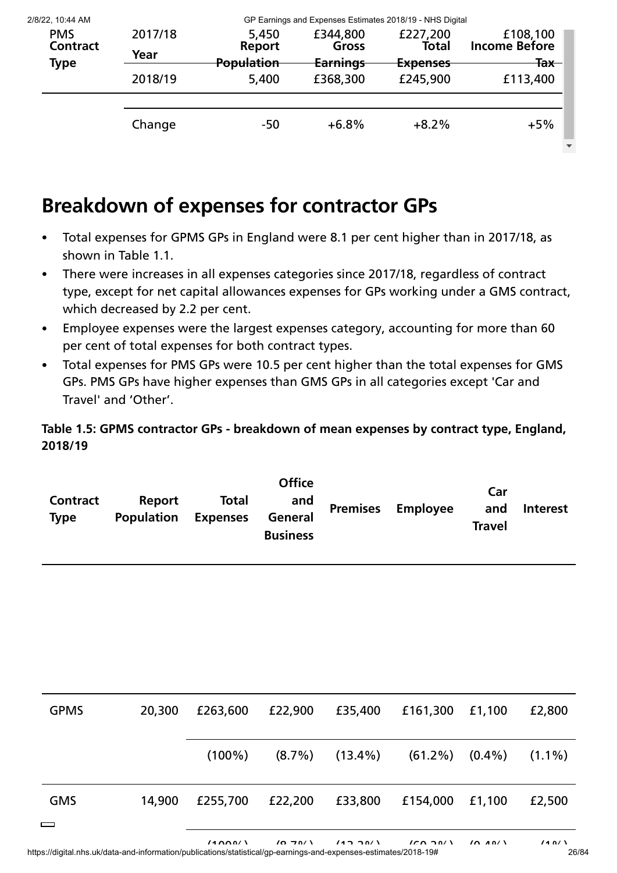| 2/8/22, 10:44 AM |         | GP Earnings and Expenses Estimates 2018/19 - NHS Digital |                 |                     |                      |  |  |  |
|------------------|---------|----------------------------------------------------------|-----------------|---------------------|----------------------|--|--|--|
| <b>PMS</b>       | 2017/18 | 5,450                                                    | £344,800        | £227,200            | £108,100             |  |  |  |
| <b>Contract</b>  |         | <b>Report</b>                                            | Gross           | Total               | <b>Income Before</b> |  |  |  |
| Type             | Year    | <b>Population</b>                                        | <b>Earnings</b> | <del>Expenses</del> | <del>Tax</del>       |  |  |  |
|                  | 2018/19 | 5,400                                                    | £368,300        | £245,900            | £113,400             |  |  |  |
|                  | Change  | $-50$                                                    | $+6.8%$         | $+8.2%$             | $+5%$                |  |  |  |

## **Breakdown of expenses for contractor GPs**

- Total expenses for GPMS GPs in England were 8.1 per cent higher than in 2017/18, as  $\bullet$ shown in Table 1.1.
- There were increases in all expenses categories since 2017/18, regardless of contract  $\bullet$ type, except for net capital allowances expenses for GPs working under a GMS contract, which decreased by 2.2 per cent.
- Employee expenses were the largest expenses category, accounting for more than 60 per cent of total expenses for both contract types.
- Total expenses for PMS GPs were 10.5 per cent higher than the total expenses for GMS  $\bullet$ GPs. PMS GPs have higher expenses than GMS GPs in all categories except 'Car and Travel' and 'Other'.

**Table 1.5: GPMS contractor GPs - breakdown of mean expenses by contract type, England, 2018/19**

| Contract<br><b>Type</b> | Report<br><b>Population</b> | <b>Total</b><br><b>Expenses</b> | <b>Office</b><br>and<br>General<br><b>Business</b> |  | <b>Premises Employee</b> | Car<br>and<br><b>Travel</b> | <b>Interest</b> |
|-------------------------|-----------------------------|---------------------------------|----------------------------------------------------|--|--------------------------|-----------------------------|-----------------|
|-------------------------|-----------------------------|---------------------------------|----------------------------------------------------|--|--------------------------|-----------------------------|-----------------|

| <b>GPMS</b>            | 20,300 | £263,600  | £22,900   | £35,400 | £161,300                        | £1,100 | £2,800    |
|------------------------|--------|-----------|-----------|---------|---------------------------------|--------|-----------|
|                        |        | $(100\%)$ | $(8.7\%)$ |         | $(13.4\%)$ $(61.2\%)$ $(0.4\%)$ |        | $(1.1\%)$ |
| <b>GMS</b><br>$\equiv$ | 14,900 | £255,700  | £22,200   | £33,800 | £154,000                        | £1,100 | £2,500    |
|                        |        |           |           |         |                                 |        |           |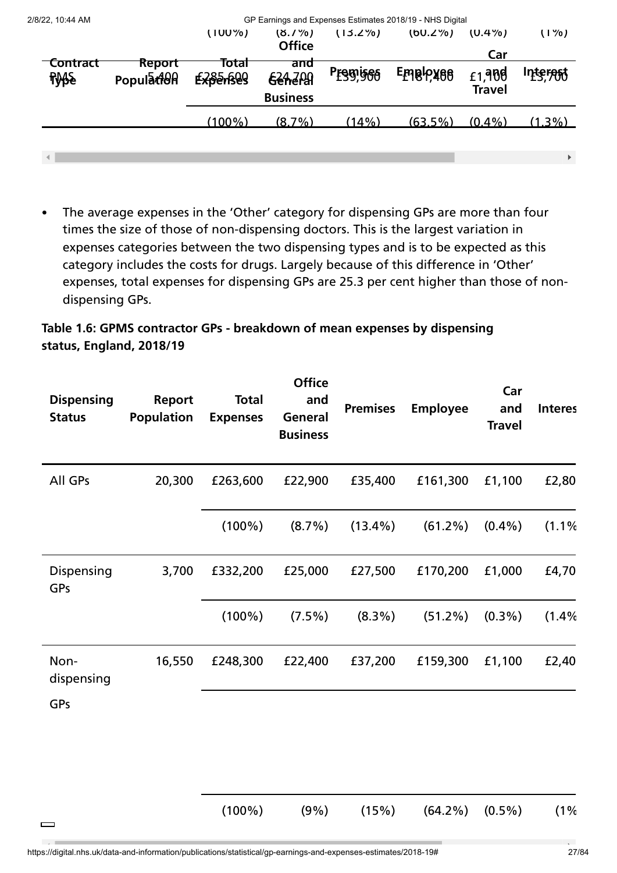| 2/8/22, 10:44 AM               |                     | GP Earnings and Expenses Estimates 2018/19 - NHS Digital |                                          |            |            |                         |           |  |  |
|--------------------------------|---------------------|----------------------------------------------------------|------------------------------------------|------------|------------|-------------------------|-----------|--|--|
|                                |                     | $(100\%)$                                                | $(8.7\%)$<br><b>Office</b>               | $(13.2\%)$ | $(00.2\%)$ | $(U.4\%)$<br>Car        | $(1\%)$   |  |  |
| <b>Contract</b><br><b>RASS</b> | Report<br>PopulatOR | Total<br><b>Experiegg</b>                                | ana<br><b>624,209</b><br><b>Business</b> | Preggises  | Emaloxee   | £1,988<br><b>Travel</b> | Interest  |  |  |
|                                |                     | $(100\%)$                                                | $(8.7\%)$                                | (14%)      | $(63.5\%)$ | $(0.4\%)$               | $(1.3\%)$ |  |  |
|                                |                     |                                                          |                                          |            |            |                         | ▶         |  |  |

The average expenses in the 'Other' category for dispensing GPs are more than four times the size of those of non-dispensing doctors. This is the largest variation in expenses categories between the two dispensing types and is to be expected as this category includes the costs for drugs. Largely because of this difference in 'Other' expenses, total expenses for dispensing GPs are 25.3 per cent higher than those of nondispensing GPs.

#### **Table 1.6: GPMS contractor GPs - breakdown of mean expenses by dispensing status, England, 2018/19**

| <b>Dispensing</b><br><b>Status</b> | Report<br><b>Population</b> | <b>Total</b><br><b>Expenses</b> | <b>Office</b><br>and<br>General<br><b>Business</b> | <b>Premises</b> | <b>Employee</b> | Car<br>and<br><b>Travel</b> | <b>Interes</b> |
|------------------------------------|-----------------------------|---------------------------------|----------------------------------------------------|-----------------|-----------------|-----------------------------|----------------|
| All GPs                            | 20,300                      | £263,600                        | £22,900                                            | £35,400         | £161,300        | £1,100                      | £2,80          |
|                                    |                             | $(100\%)$                       | $(8.7\%)$                                          | $(13.4\%)$      | $(61.2\%)$      | $(0.4\%)$                   | (1.1%          |
| Dispensing<br>GPs                  | 3,700                       | £332,200                        | £25,000                                            | £27,500         | £170,200        | £1,000                      | £4,70          |
|                                    |                             | $(100\%)$                       | $(7.5\%)$                                          | $(8.3\%)$       | (51.2%)         | $(0.3\%)$                   | (1.4%          |
| Non-<br>dispensing                 | 16,550                      | £248,300                        | £22,400                                            | £37,200         | £159,300        | £1,100                      | £2,40          |
| GPs                                |                             |                                 |                                                    |                 |                 |                             |                |
|                                    |                             | $(100\%)$                       | (9%)                                               | (15%)           | $(64.2\%)$      | $(0.5\%)$                   | (1%            |

 $\qquad \qquad$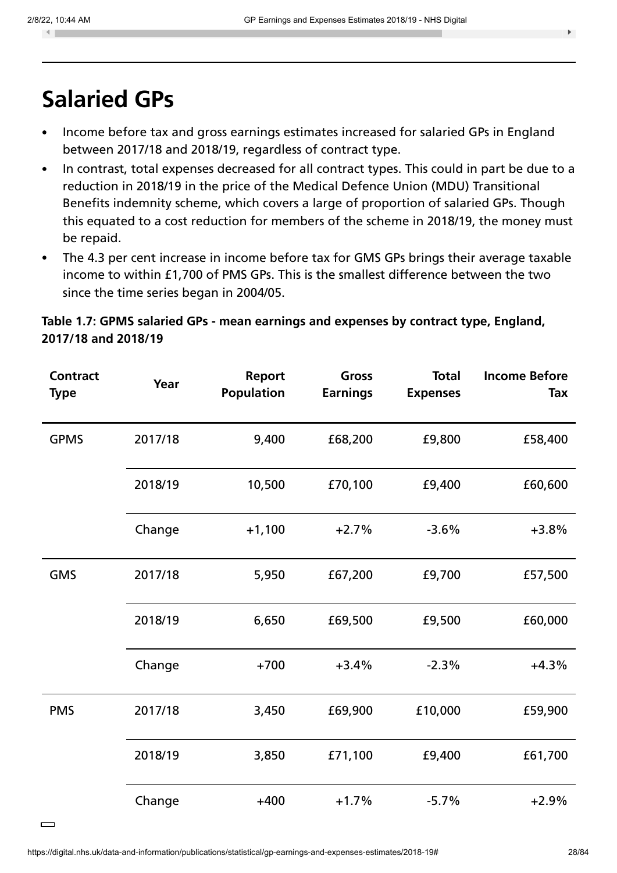$\blacksquare$ 

 $\equiv$ 

# **Salaried GPs**

- Income before tax and gross earnings estimates increased for salaried GPs in England between 2017/18 and 2018/19, regardless of contract type.
- In contrast, total expenses decreased for all contract types. This could in part be due to a  $\bullet$ reduction in 2018/19 in the price of the Medical Defence Union (MDU) Transitional Benefits indemnity scheme, which covers a large of proportion of salaried GPs. Though this equated to a cost reduction for members of the scheme in 2018/19, the money must be repaid.
- The 4.3 per cent increase in income before tax for GMS GPs brings their average taxable  $\bullet$ income to within £1,700 of PMS GPs. This is the smallest difference between the two since the time series began in 2004/05.

#### **Table 1.7: GPMS salaried GPs - mean earnings and expenses by contract type, England, 2017/18 and 2018/19**

| <b>Contract</b><br><b>Type</b> | Year    | <b>Report</b><br><b>Population</b> | Gross<br><b>Earnings</b> | <b>Total</b><br><b>Expenses</b> | <b>Income Before</b><br>Tax |
|--------------------------------|---------|------------------------------------|--------------------------|---------------------------------|-----------------------------|
| <b>GPMS</b>                    | 2017/18 | 9,400                              | £68,200                  | £9,800                          | £58,400                     |
|                                | 2018/19 | 10,500                             | £70,100                  | £9,400                          | £60,600                     |
|                                | Change  | $+1,100$                           | $+2.7%$                  | $-3.6%$                         | $+3.8%$                     |
| <b>GMS</b>                     | 2017/18 | 5,950                              | £67,200                  | £9,700                          | £57,500                     |
|                                | 2018/19 | 6,650                              | £69,500                  | £9,500                          | £60,000                     |
|                                | Change  | $+700$                             | $+3.4%$                  | $-2.3%$                         | $+4.3%$                     |
| <b>PMS</b>                     | 2017/18 | 3,450                              | £69,900                  | £10,000                         | £59,900                     |
|                                | 2018/19 | 3,850                              | £71,100                  | £9,400                          | £61,700                     |
|                                | Change  | $+400$                             | $+1.7%$                  | $-5.7%$                         | $+2.9%$                     |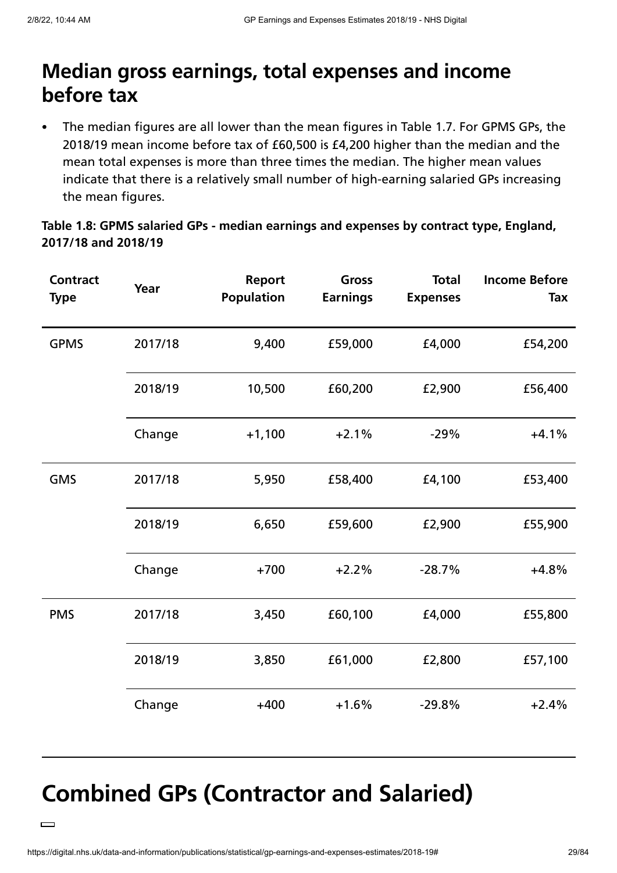## **Median gross earnings, total expenses and income before tax**

The median figures are all lower than the mean figures in Table 1.7. For GPMS GPs, the 2018/19 mean income before tax of £60,500 is £4,200 higher than the median and the mean total expenses is more than three times the median. The higher mean values indicate that there is a relatively small number of high-earning salaried GPs increasing the mean figures.

#### **Table 1.8: GPMS salaried GPs - median earnings and expenses by contract type, England, 2017/18 and 2018/19**

| <b>Contract</b><br><b>Type</b> | Year    | <b>Report</b><br><b>Population</b> | Gross<br><b>Earnings</b> | <b>Total</b><br><b>Expenses</b> | <b>Income Before</b><br>Tax |
|--------------------------------|---------|------------------------------------|--------------------------|---------------------------------|-----------------------------|
| <b>GPMS</b>                    | 2017/18 | 9,400                              | £59,000                  | £4,000                          | £54,200                     |
|                                | 2018/19 | 10,500                             | £60,200                  | £2,900                          | £56,400                     |
|                                | Change  | $+1,100$                           | $+2.1%$                  | $-29%$                          | $+4.1%$                     |
| <b>GMS</b>                     | 2017/18 | 5,950                              | £58,400                  | £4,100                          | £53,400                     |
|                                | 2018/19 | 6,650                              | £59,600                  | £2,900                          | £55,900                     |
|                                | Change  | $+700$                             | $+2.2%$                  | $-28.7%$                        | $+4.8%$                     |
| <b>PMS</b>                     | 2017/18 | 3,450                              | £60,100                  | £4,000                          | £55,800                     |
|                                | 2018/19 | 3,850                              | £61,000                  | £2,800                          | £57,100                     |
|                                | Change  | $+400$                             | $+1.6%$                  | $-29.8%$                        | $+2.4%$                     |

# **Combined GPs (Contractor and Salaried)**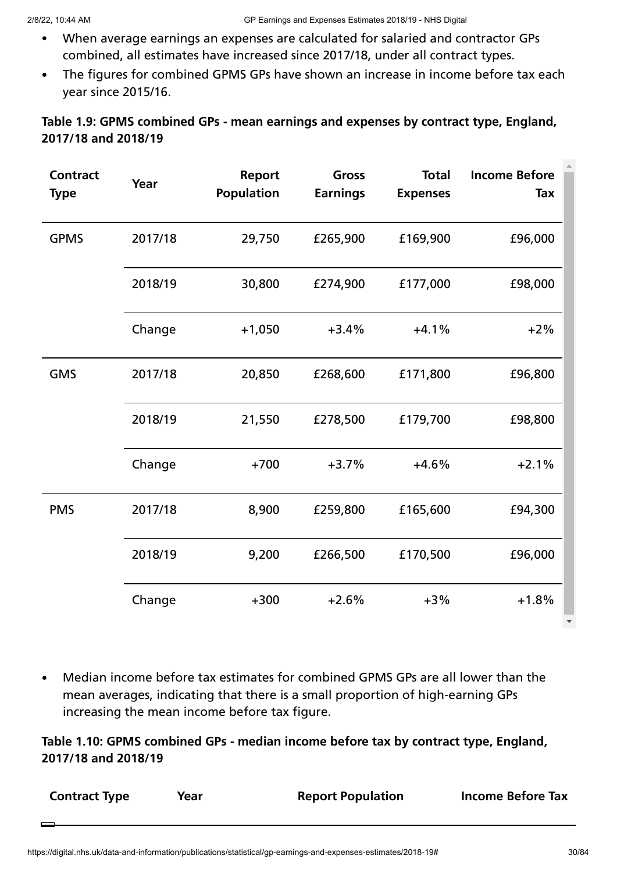- When average earnings an expenses are calculated for salaried and contractor GPs  $\bullet$ combined, all estimates have increased since 2017/18, under all contract types.
- The figures for combined GPMS GPs have shown an increase in income before tax each  $\bullet$  . year since 2015/16.

#### **Table 1.9: GPMS combined GPs - mean earnings and expenses by contract type, England, 2017/18 and 2018/19**

| <b>Contract</b><br><b>Type</b> | Year    | Report<br><b>Population</b> | <b>Total</b><br><b>Gross</b><br><b>Earnings</b><br><b>Expenses</b> |          | <b>Income Before</b><br>Tax |
|--------------------------------|---------|-----------------------------|--------------------------------------------------------------------|----------|-----------------------------|
| <b>GPMS</b>                    | 2017/18 | 29,750                      | £265,900                                                           | £169,900 | £96,000                     |
|                                | 2018/19 | 30,800                      | £274,900                                                           | £177,000 | £98,000                     |
|                                | Change  | $+1,050$                    | $+3.4%$                                                            | $+4.1%$  | $+2%$                       |
| <b>GMS</b>                     | 2017/18 | 20,850                      | £268,600                                                           | £171,800 | £96,800                     |
|                                | 2018/19 | 21,550                      | £278,500                                                           | £179,700 | £98,800                     |
|                                | Change  | $+700$                      | $+3.7%$                                                            | $+4.6%$  | $+2.1%$                     |
| <b>PMS</b>                     | 2017/18 | 8,900                       | £259,800                                                           | £165,600 | £94,300                     |
|                                | 2018/19 | 9,200                       | £266,500                                                           | £170,500 | £96,000                     |
|                                | Change  | $+300$                      | $+2.6%$                                                            | $+3%$    | $+1.8%$                     |

Median income before tax estimates for combined GPMS GPs are all lower than the  $\bullet$ mean averages, indicating that there is a small proportion of high-earning GPs increasing the mean income before tax figure.

**Table 1.10: GPMS combined GPs - median income before tax by contract type, England, 2017/18 and 2018/19**

| <b>Contract Type</b> | Year | <b>Report Population</b> | <b>Income Before Tax</b> |
|----------------------|------|--------------------------|--------------------------|
|                      |      |                          |                          |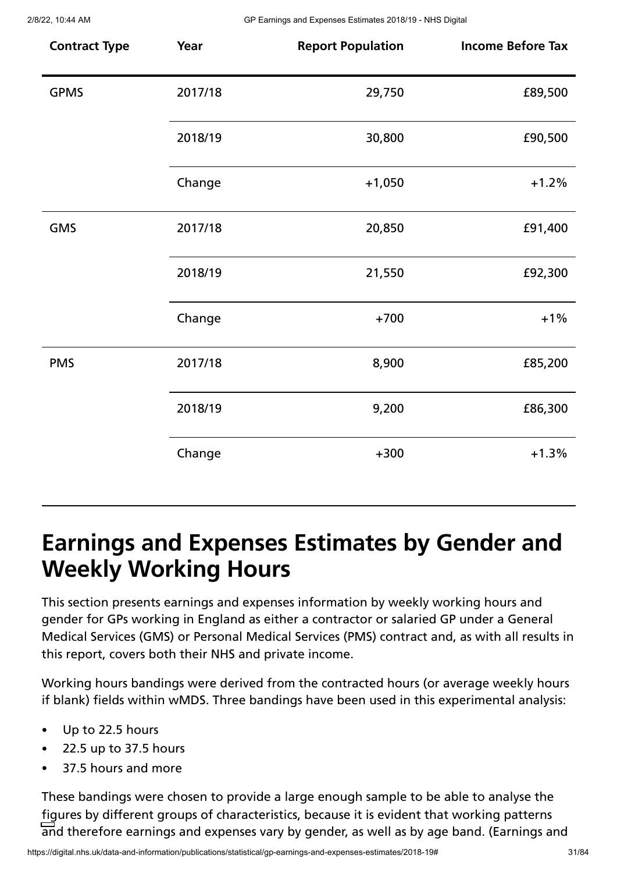| <b>Contract Type</b> | Year    | <b>Report Population</b> | <b>Income Before Tax</b> |
|----------------------|---------|--------------------------|--------------------------|
| <b>GPMS</b>          | 2017/18 | 29,750                   | £89,500                  |
|                      | 2018/19 | 30,800                   | £90,500                  |
|                      | Change  | $+1,050$                 | $+1.2%$                  |
| <b>GMS</b>           | 2017/18 | 20,850                   | £91,400                  |
|                      | 2018/19 | 21,550                   | £92,300                  |
|                      | Change  | $+700$                   | $+1%$                    |
| <b>PMS</b>           | 2017/18 | 8,900                    | £85,200                  |
|                      | 2018/19 | 9,200                    | £86,300                  |
|                      | Change  | $+300$                   | $+1.3%$                  |

# **Earnings and Expenses Estimates by Gender and Weekly Working Hours**

This section presents earnings and expenses information by weekly working hours and gender for GPs working in England as either a contractor or salaried GP under a General Medical Services (GMS) or Personal Medical Services (PMS) contract and, as with all results in this report, covers both their NHS and private income.

Working hours bandings were derived from the contracted hours (or average weekly hours if blank) fields within wMDS. Three bandings have been used in this experimental analysis:

- Up to 22.5 hours  $\bullet$
- 22.5 up to 37.5 hours
- 37.5 hours and more

These bandings were chosen to provide a large enough sample to be able to analyse the figures by different groups of characteristics, because it is evident that working patterns and therefore earnings and expenses vary by gender, as well as by age band. (Earnings and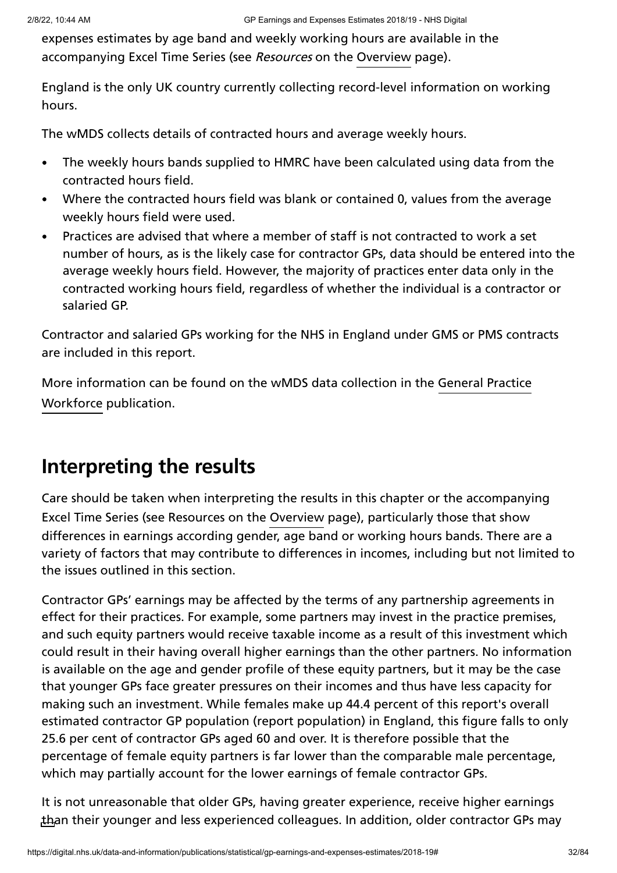expenses estimates by age band and weekly working hours are available in the accompanying Excel Time Series (see *Resources* on the [Overview](https://digital.nhs.uk/data-and-information/publications/statistical/gp-earnings-and-expenses-estimates/2018-19) page).

England is the only UK country currently collecting record-level information on working hours.

The wMDS collects details of contracted hours and average weekly hours.

- The weekly hours bands supplied to HMRC have been calculated using data from the  $\bullet$ contracted hours field.
- Where the contracted hours field was blank or contained 0, values from the average weekly hours field were used.
- Practices are advised that where a member of staff is not contracted to work a set  $\bullet$ number of hours, as is the likely case for contractor GPs, data should be entered into the average weekly hours field. However, the majority of practices enter data only in the contracted working hours field, regardless of whether the individual is a contractor or salaried GP.

Contractor and salaried GPs working for the NHS in England under GMS or PMS contracts are included in this report.

More [information](https://digital.nhs.uk/data-and-information/publications/statistical/general-and-personal-medical-services) can be found on the wMDS data collection in the General Practice Workforce publication.

# **Interpreting the results**

Care should be taken when interpreting the results in this chapter or the accompanying Excel Time Series (see Resources on the [Overview](https://digital.nhs.uk/data-and-information/publications/statistical/gp-earnings-and-expenses-estimates/2018-19) page), particularly those that show differences in earnings according gender, age band or working hours bands. There are a variety of factors that may contribute to differences in incomes, including but not limited to the issues outlined in this section.

Contractor GPs' earnings may be affected by the terms of any partnership agreements in effect for their practices. For example, some partners may invest in the practice premises, and such equity partners would receive taxable income as a result of this investment which could result in their having overall higher earnings than the other partners. No information is available on the age and gender profile of these equity partners, but it may be the case that younger GPs face greater pressures on their incomes and thus have less capacity for making such an investment. While females make up 44.4 percent of this report's overall estimated contractor GP population (report population) in England, this figure falls to only 25.6 per cent of contractor GPs aged 60 and over. It is therefore possible that the percentage of female equity partners is far lower than the comparable male percentage, which may partially account for the lower earnings of female contractor GPs.

It is not unreasonable that older GPs, having greater experience, receive higher earnings than their younger and less experienced colleagues. In addition, older contractor GPs may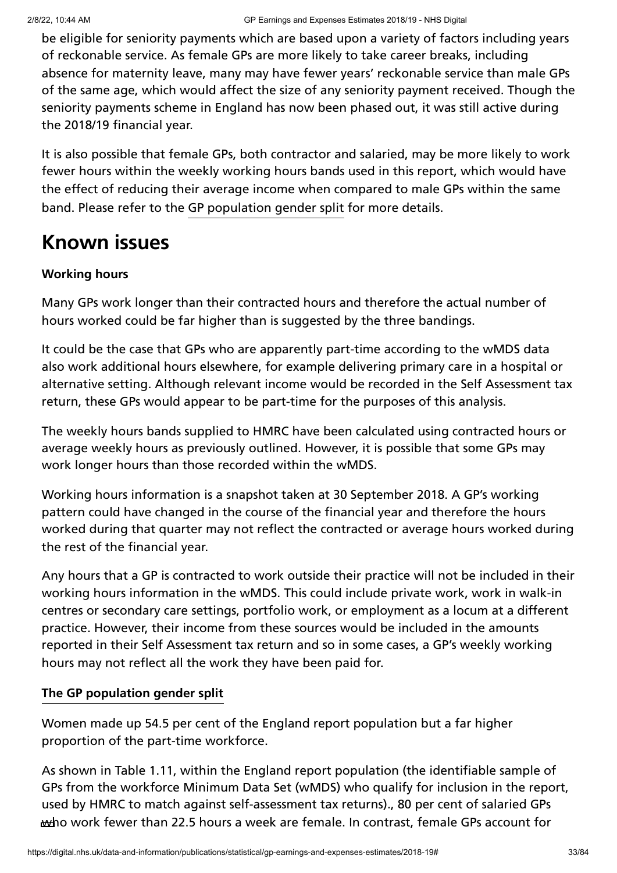be eligible for seniority payments which are based upon a variety of factors including years of reckonable service. As female GPs are more likely to take career breaks, including absence for maternity leave, many may have fewer years' reckonable service than male GPs of the same age, which would affect the size of any seniority payment received. Though the seniority payments scheme in England has now been phased out, it was still active during the 2018/19 financial year.

It is also possible that female GPs, both contractor and salaried, may be more likely to work fewer hours within the weekly working hours bands used in this report, which would have the effect of reducing their average income when compared to male GPs within the same band. Please refer to the GP [population](#page-32-0) gender split for more details.

## **Known issues**

#### **Working hours**

Many GPs work longer than their contracted hours and therefore the actual number of hours worked could be far higher than is suggested by the three bandings.

It could be the case that GPs who are apparently part-time according to the wMDS data also work additional hours elsewhere, for example delivering primary care in a hospital or alternative setting. Although relevant income would be recorded in the Self Assessment tax return, these GPs would appear to be part-time for the purposes of this analysis.

The weekly hours bands supplied to HMRC have been calculated using contracted hours or average weekly hours as previously outlined. However, it is possible that some GPs may work longer hours than those recorded within the wMDS.

Working hours information is a snapshot taken at 30 September 2018. A GP's working pattern could have changed in the course of the financial year and therefore the hours worked during that quarter may not reflect the contracted or average hours worked during the rest of the financial year.

Any hours that a GP is contracted to work outside their practice will not be included in their working hours information in the wMDS. This could include private work, work in walk-in centres or secondary care settings, portfolio work, or employment as a locum at a different practice. However, their income from these sources would be included in the amounts reported in their Self Assessment tax return and so in some cases, a GP's weekly working hours may not reflect all the work they have been paid for.

#### <span id="page-32-0"></span>**The GP population gender split**

Women made up 54.5 per cent of the England report population but a far higher proportion of the part-time workforce.

As shown in Table 1.11, within the England report population (the identifiable sample of GPs from the workforce Minimum Data Set (wMDS) who qualify for inclusion in the report, used by HMRC to match against self-assessment tax returns)., 80 per cent of salaried GPs who work fewer than 22.5 hours a week are female. In contrast, female GPs account for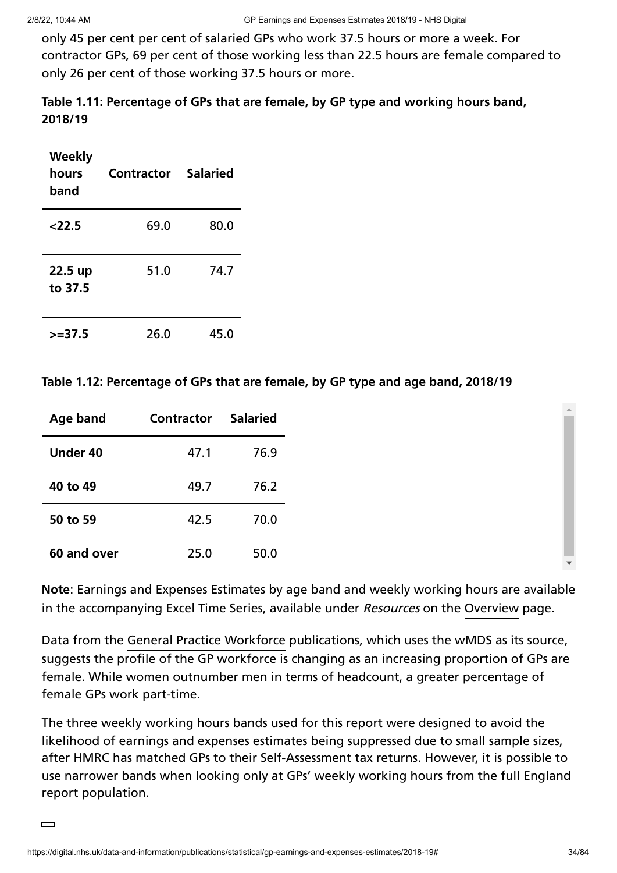only 45 per cent per cent of salaried GPs who work 37.5 hours or more a week. For contractor GPs, 69 per cent of those working less than 22.5 hours are female compared to only 26 per cent of those working 37.5 hours or more.

| Table 1.11: Percentage of GPs that are female, by GP type and working hours band, |  |
|-----------------------------------------------------------------------------------|--|
| 2018/19                                                                           |  |

| Weekly<br>hours<br>band | Contractor | <b>Salaried</b> |
|-------------------------|------------|-----------------|
| 22.5                    | 69.0       | 80.0            |
| 22.5 up<br>to 37.5      | 51.0       | 74.7            |
| $>=$ 37.5               | 26.0       | 45.0            |

**Table 1.12: Percentage of GPs that are female, by GP type and age band, 2018/19**

| Age band    | <b>Contractor</b> | <b>Salaried</b> |
|-------------|-------------------|-----------------|
| Under 40    | 47.1              | 76.9            |
| 40 to 49    | 49.7              | 76.2            |
| 50 to 59    | 42.5              | 70.0            |
| 60 and over | 25.0              | 50.0            |

**Note**: Earnings and Expenses Estimates by age band and weekly working hours are available in the accompanying Excel Time Series, available under Resources on the [Overview](https://digital.nhs.uk/data-and-information/publications/statistical/gp-earnings-and-expenses-estimates/2018-19) page.

Data from the General Practice [Workforce](https://digital.nhs.uk/data-and-information/publications/statistical/general-and-personal-medical-services) publications, which uses the wMDS as its source, suggests the profile of the GP workforce is changing as an increasing proportion of GPs are female. While women outnumber men in terms of headcount, a greater percentage of female GPs work part-time.

The three weekly working hours bands used for this report were designed to avoid the likelihood of earnings and expenses estimates being suppressed due to small sample sizes, after HMRC has matched GPs to their Self-Assessment tax returns. However, it is possible to use narrower bands when looking only at GPs' weekly working hours from the full England report population.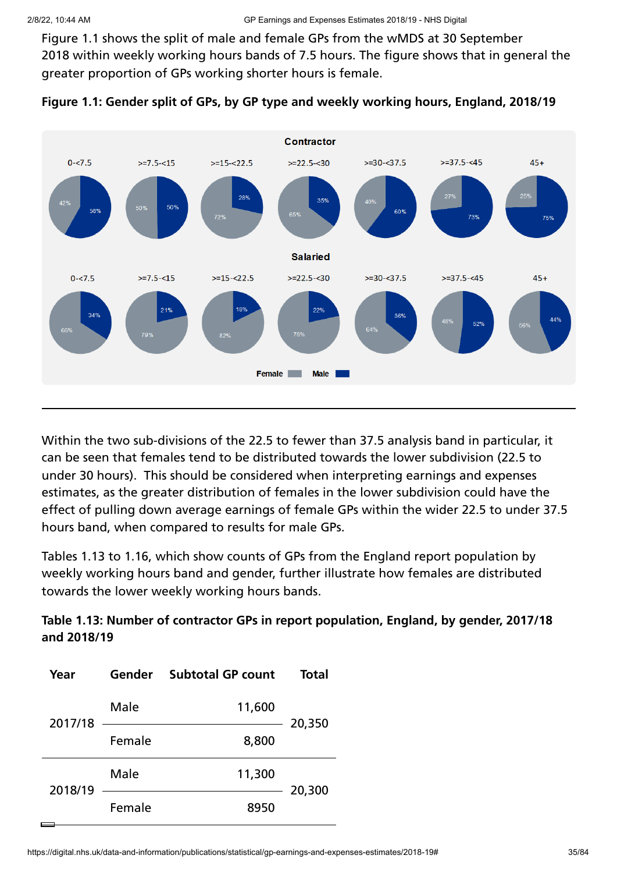Figure 1.1 shows the split of male and female GPs from the wMDS at 30 September 2018 within weekly working hours bands of 7.5 hours. The figure shows that in general the greater proportion of GPs working shorter hours is female.





Within the two sub-divisions of the 22.5 to fewer than 37.5 analysis band in particular, it can be seen that females tend to be distributed towards the lower subdivision (22.5 to under 30 hours). This should be considered when interpreting earnings and expenses estimates, as the greater distribution of females in the lower subdivision could have the effect of pulling down average earnings of female GPs within the wider 22.5 to under 37.5 hours band, when compared to results for male GPs.

Tables 1.13 to 1.16, which show counts of GPs from the England report population by weekly working hours band and gender, further illustrate how females are distributed towards the lower weekly working hours bands.

**Table 1.13: Number of contractor GPs in report population, England, by gender, 2017/18 and 2018/19**

| Year    |        | Gender Subtotal GP count | <b>Total</b> |  |
|---------|--------|--------------------------|--------------|--|
| 2017/18 | Male   | 11,600                   | 20,350       |  |
|         | Female | 8,800                    |              |  |
| 2018/19 | Male   | 11,300                   | 20,300       |  |
|         | Female | 8950                     |              |  |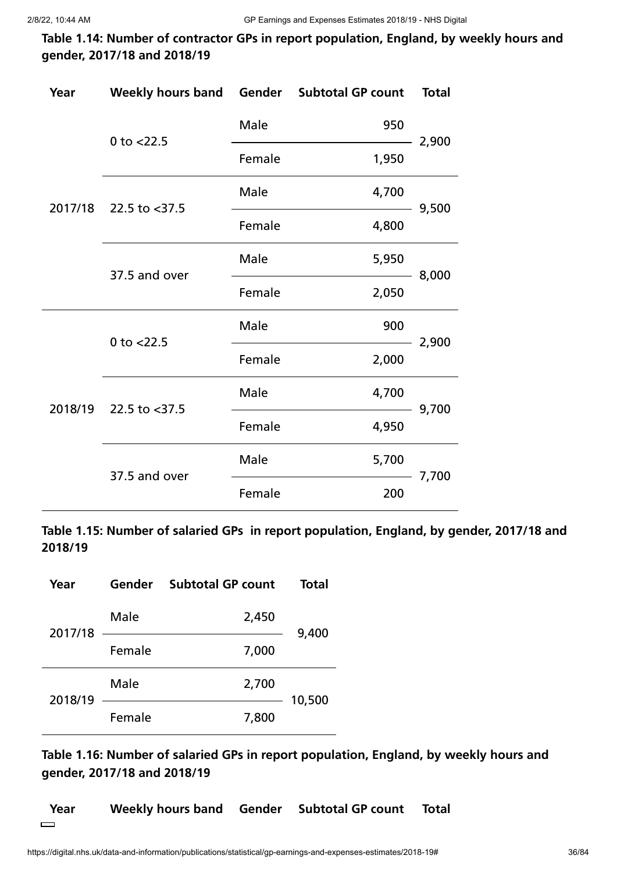**Table 1.14: Number of contractor GPs in report population, England, by weekly hours and gender, 2017/18 and 2018/19**

| Year | Weekly hours band Gender Subtotal GP count |        |       | <b>Total</b> |
|------|--------------------------------------------|--------|-------|--------------|
|      | 0 to $<$ 22.5                              | Male   | 950   | 2,900        |
|      |                                            | Female | 1,950 |              |
|      | 2017/18 22.5 to <37.5                      | Male   | 4,700 | 9,500        |
|      |                                            | Female | 4,800 |              |
|      | 37.5 and over                              | Male   | 5,950 | 8,000        |
|      |                                            | Female | 2,050 |              |
|      | 0 to $<$ 22.5                              | Male   | 900   | 2,900        |
|      |                                            | Female | 2,000 |              |
|      | 2018/19 22.5 to <37.5                      | Male   | 4,700 | 9,700        |
|      |                                            | Female | 4,950 |              |
|      | 37.5 and over                              | Male   | 5,700 | 7,700        |
|      |                                            | Female | 200   |              |

**Table 1.15: Number of salaried GPs in report population, England, by gender, 2017/18 and 2018/19**

| Year    | Gender | <b>Subtotal GP count</b> | <b>Total</b> |
|---------|--------|--------------------------|--------------|
| 2017/18 | Male   | 2,450                    | 9,400        |
|         | Female | 7,000                    |              |
| 2018/19 | Male   | 2,700                    | 10,500       |
|         | Female | 7,800                    |              |

**Table 1.16: Number of salaried GPs in report population, England, by weekly hours and gender, 2017/18 and 2018/19**

**Year Weekly hours band Gender Subtotal GP count Total** $\qquad \qquad$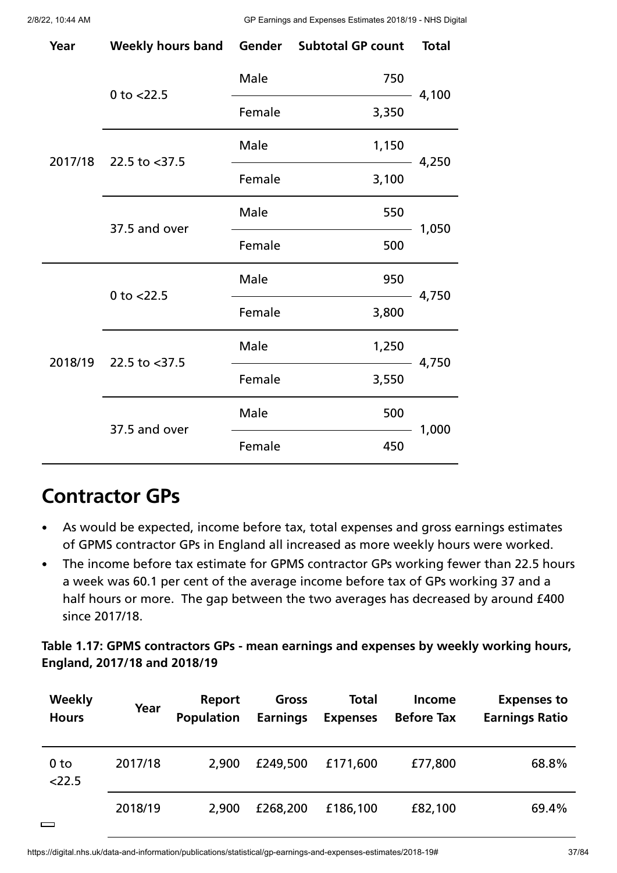| Year | Weekly hours band Gender Subtotal GP count |        |       | <b>Total</b> |  |
|------|--------------------------------------------|--------|-------|--------------|--|
|      | 0 to $<$ 22.5                              | Male   | 750   |              |  |
|      |                                            | Female | 3,350 | 4,100        |  |
|      | 2017/18 22.5 to <37.5                      | Male   | 1,150 | 4,250        |  |
|      |                                            | Female | 3,100 |              |  |
|      | 37.5 and over                              | Male   | 550   | 1,050        |  |
|      |                                            | Female | 500   |              |  |
|      | 0 to $<$ 22.5                              | Male   | 950   |              |  |
|      |                                            | Female | 3,800 | 4,750        |  |
|      | 2018/19 22.5 to <37.5                      | Male   | 1,250 |              |  |
|      |                                            | Female | 3,550 | 4,750        |  |
|      | 37.5 and over                              | Male   | 500   |              |  |
|      |                                            | Female | 450   | 1,000        |  |

# **Contractor GPs**

- As would be expected, income before tax, total expenses and gross earnings estimates  $\bullet$ of GPMS contractor GPs in England all increased as more weekly hours were worked.
- The income before tax estimate for GPMS contractor GPs working fewer than 22.5 hours  $\bullet$ a week was 60.1 per cent of the average income before tax of GPs working 37 and a half hours or more. The gap between the two averages has decreased by around £400 since 2017/18.

**Table 1.17: GPMS contractors GPs - mean earnings and expenses by weekly working hours, England, 2017/18 and 2018/19**

| <b>Weekly</b><br><b>Hours</b> | Year    | Report<br><b>Population</b> | Gross<br><b>Earnings</b> | <b>Total</b><br><b>Expenses</b> | <b>Income</b><br><b>Before Tax</b> | <b>Expenses to</b><br><b>Earnings Ratio</b> |
|-------------------------------|---------|-----------------------------|--------------------------|---------------------------------|------------------------------------|---------------------------------------------|
| 0 <sub>to</sub><br>22.5       | 2017/18 | 2,900                       | £249,500                 | £171,600                        | £77,800                            | 68.8%                                       |
| <b>Contract</b>               | 2018/19 | 2,900                       | £268,200                 | £186,100                        | £82,100                            | 69.4%                                       |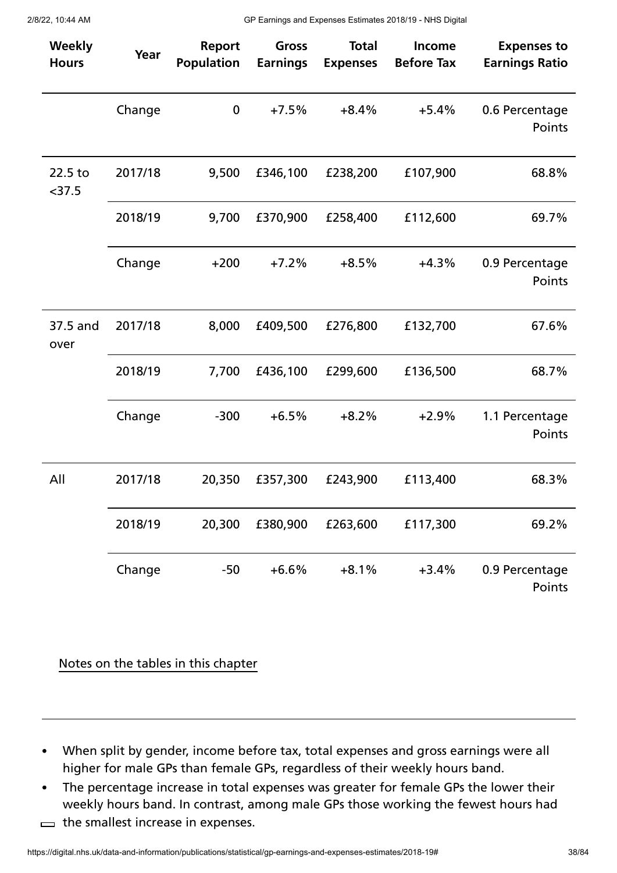| Weekly<br><b>Hours</b> | Year    | Report<br><b>Population</b> | Gross<br><b>Earnings</b> | <b>Total</b><br><b>Expenses</b> | Income<br><b>Before Tax</b> | <b>Expenses to</b><br><b>Earnings Ratio</b> |
|------------------------|---------|-----------------------------|--------------------------|---------------------------------|-----------------------------|---------------------------------------------|
|                        | Change  | $\boldsymbol{0}$            | $+7.5%$                  | $+8.4%$                         | $+5.4%$                     | 0.6 Percentage<br>Points                    |
| 22.5 to<br>$<$ 37.5    | 2017/18 | 9,500                       | £346,100                 | £238,200                        | £107,900                    | 68.8%                                       |
|                        | 2018/19 | 9,700                       | £370,900                 | £258,400                        | £112,600                    | 69.7%                                       |
|                        | Change  | $+200$                      | $+7.2%$                  | $+8.5%$                         | $+4.3%$                     | 0.9 Percentage<br>Points                    |
| 37.5 and<br>over       | 2017/18 | 8,000                       | £409,500                 | £276,800                        | £132,700                    | 67.6%                                       |
|                        | 2018/19 | 7,700                       | £436,100                 | £299,600                        | £136,500                    | 68.7%                                       |
|                        | Change  | $-300$                      | $+6.5%$                  | $+8.2%$                         | $+2.9%$                     | 1.1 Percentage<br>Points                    |
| All                    | 2017/18 | 20,350                      | £357,300                 | £243,900                        | £113,400                    | 68.3%                                       |
|                        | 2018/19 | 20,300                      | £380,900                 | £263,600                        | £117,300                    | 69.2%                                       |
|                        | Change  | $-50$                       | $+6.6%$                  | $+8.1%$                         | $+3.4%$                     | 0.9 Percentage<br>Points                    |

Notes on the tables in this chapter

- When split by gender, income before tax, total expenses and gross earnings were all  $\bullet$ higher for male GPs than female GPs, regardless of their weekly hours band.
- The percentage increase in total expenses was greater for female GPs the lower their  $\bullet$ weekly hours band. In contrast, among male GPs those working the fewest hours had
- $\implies$  the smallest increase in expenses.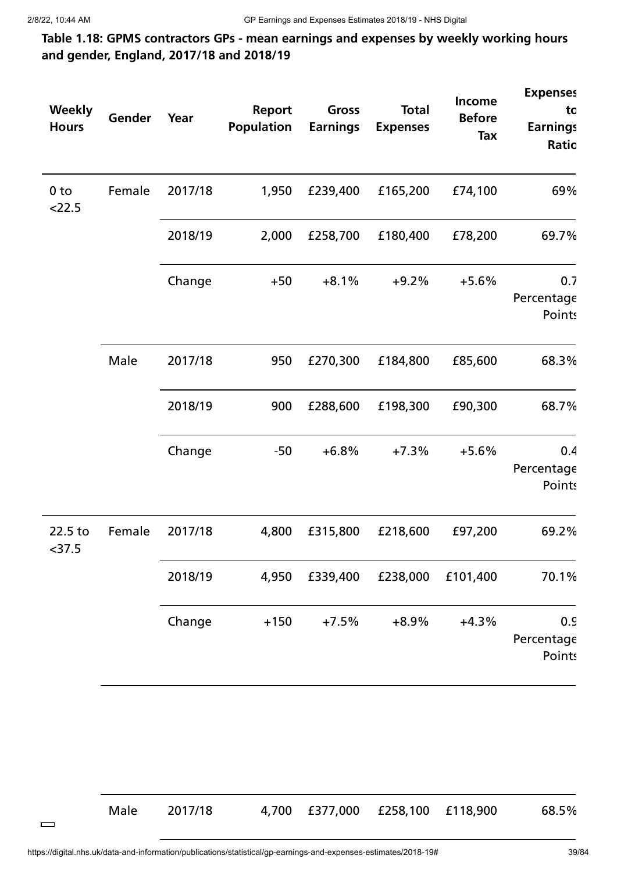# **Table 1.18: GPMS contractors GPs - mean earnings and expenses by weekly working hours and gender, England, 2017/18 and 2018/19**

| <b>Weekly</b><br><b>Hours</b> | Gender | Year    | <b>Report</b><br><b>Population</b> | Gross<br><b>Earnings</b> | <b>Total</b><br><b>Expenses</b> | Income<br><b>Before</b><br>Tax | <b>Expenses</b><br>to<br><b>Earnings</b><br>Ratio |
|-------------------------------|--------|---------|------------------------------------|--------------------------|---------------------------------|--------------------------------|---------------------------------------------------|
| 0 <sub>to</sub><br>22.5       | Female | 2017/18 | 1,950                              | £239,400                 | £165,200                        | £74,100                        | 69%                                               |
|                               |        | 2018/19 | 2,000                              | £258,700                 | £180,400                        | £78,200                        | 69.7%                                             |
|                               |        | Change  | $+50$                              | $+8.1%$                  | $+9.2%$                         | $+5.6%$                        | 0.7<br>Percentage<br><b>Points</b>                |
|                               | Male   | 2017/18 | 950                                | £270,300                 | £184,800                        | £85,600                        | 68.3%                                             |
|                               |        | 2018/19 | 900                                | £288,600                 | £198,300                        | £90,300                        | 68.7%                                             |
|                               |        | Change  | $-50$                              | $+6.8%$                  | $+7.3%$                         | $+5.6%$                        | 0.4<br>Percentage<br><b>Points</b>                |
| 22.5 to<br>$<$ 37.5           | Female | 2017/18 | 4,800                              | £315,800                 | £218,600                        | £97,200                        | 69.2%                                             |
|                               |        | 2018/19 | 4,950                              | £339,400                 | £238,000                        | £101,400                       | 70.1%                                             |
|                               |        | Change  | $+150$                             | $+7.5%$                  | $+8.9%$                         | $+4.3%$                        | 0.9<br>Percentage<br><b>Points</b>                |

Male 2017/18 4,700 £377,000 £258,100 £118,900 68.5%

 $\qquad \qquad$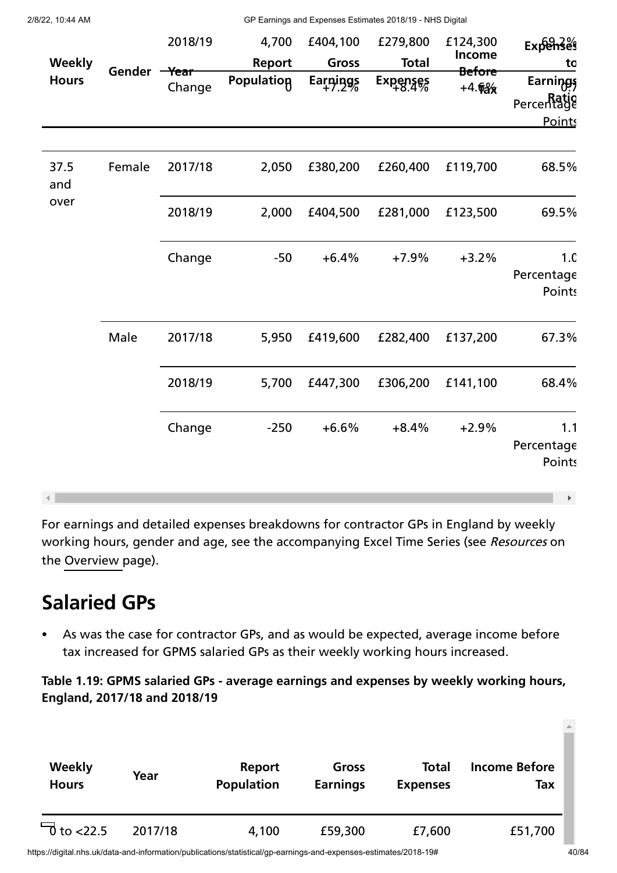| <b>Weekly</b><br><b>Hours</b> | Gender -Year | 2018/19<br>Change | 4,700<br><b>Report</b><br><b>Population</b> | £404,100<br>Gross<br>Earnings | £279,800<br><b>Total</b><br>$Expenses$<br>$+8.4%$ | £124,300<br>Income<br><b>Before</b><br>$+4.6%$ | Expenses<br>to<br>Earnings<br>Percentage<br><b>Points</b> |
|-------------------------------|--------------|-------------------|---------------------------------------------|-------------------------------|---------------------------------------------------|------------------------------------------------|-----------------------------------------------------------|
| 37.5<br>and<br>over           | Female       | 2017/18           | 2,050                                       | £380,200                      | £260,400                                          | £119,700                                       | 68.5%                                                     |
|                               |              | 2018/19           | 2,000                                       | £404,500                      | £281,000                                          | £123,500                                       | 69.5%                                                     |
|                               |              | Change            | $-50$                                       | $+6.4%$                       | $+7.9%$                                           | $+3.2%$                                        | 1. <sub>C</sub><br>Percentage<br><b>Points</b>            |
|                               | Male         | 2017/18           | 5,950                                       | £419,600                      | £282,400                                          | £137,200                                       | 67.3%                                                     |
|                               |              | 2018/19           | 5,700                                       | £447,300                      | £306,200                                          | £141,100                                       | 68.4%                                                     |
|                               |              | Change            | $-250$                                      | $+6.6%$                       | $+8.4%$                                           | $+2.9%$                                        | 1.1<br>Percentage<br><b>Points</b><br>Þ.                  |

For earnings and detailed expenses breakdowns for contractor GPs in England by weekly working hours, gender and age, see the accompanying Excel Time Series (see Resources on the [Overview](https://digital.nhs.uk/data-and-information/publications/statistical/gp-earnings-and-expenses-estimates/2018-19) page).

# **Salaried GPs**

As was the case for contractor GPs, and as would be expected, average income before  $\bullet$ tax increased for GPMS salaried GPs as their weekly working hours increased.

**Table 1.19: GPMS salaried GPs - average earnings and expenses by weekly working hours, England, 2017/18 and 2018/19**

| Weekly                  | Year    | Report            | Gross           | <b>Total</b>    | <b>Income Before</b> |
|-------------------------|---------|-------------------|-----------------|-----------------|----------------------|
| <b>Hours</b>            |         | <b>Population</b> | <b>Earnings</b> | <b>Expenses</b> | Tax                  |
| $\overline{0}$ to <22.5 | 2017/18 | 4,100             | £59,300         | £7,600          | £51,700              |

https://digital.nhs.uk/data-and-information/publications/statistical/gp-earnings-and-expenses-estimates/2018-19# 40/84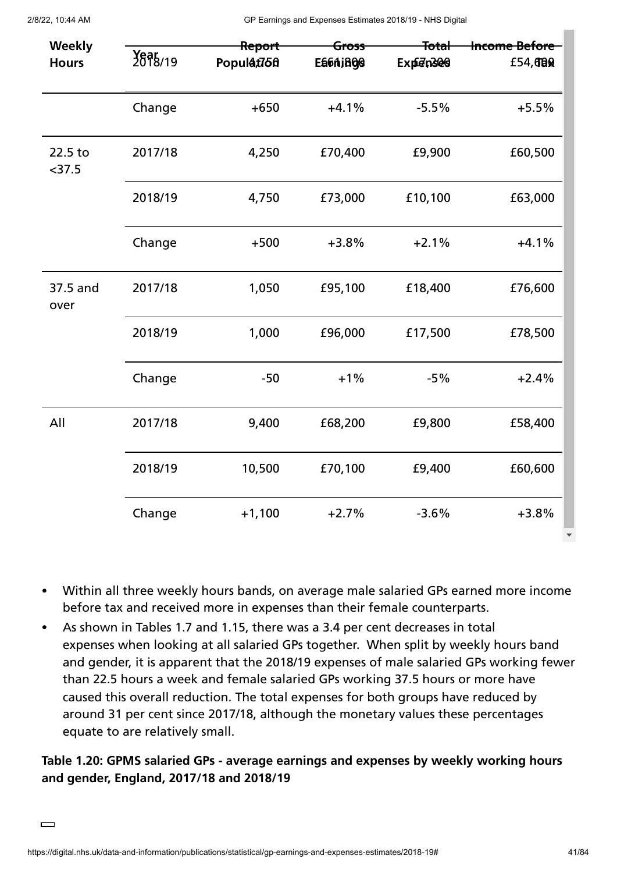| Weekly<br><b>Hours</b> | Report<br>2678/19<br>Populat75 <sub>0</sub> |          | <del>Total</del><br><del>Gross</del><br>Ea6Aj800<br>Expten300 |         | <b>Income Before</b><br>£54,680 |
|------------------------|---------------------------------------------|----------|---------------------------------------------------------------|---------|---------------------------------|
|                        | Change                                      | $+650$   | $+4.1%$                                                       | $-5.5%$ | $+5.5%$                         |
| 22.5 to<br>$<$ 37.5    | 2017/18                                     | 4,250    | £70,400                                                       | £9,900  | £60,500                         |
|                        | 2018/19                                     | 4,750    | £73,000                                                       | £10,100 | £63,000                         |
|                        | Change                                      | $+500$   | $+3.8%$                                                       | $+2.1%$ | $+4.1%$                         |
| 37.5 and<br>over       | 2017/18                                     | 1,050    | £95,100                                                       | £18,400 | £76,600                         |
|                        | 2018/19                                     | 1,000    | £96,000                                                       | £17,500 | £78,500                         |
|                        | Change                                      | $-50$    | $+1%$                                                         | $-5%$   | $+2.4%$                         |
| All                    | 2017/18                                     | 9,400    | £68,200                                                       | £9,800  | £58,400                         |
|                        | 2018/19                                     | 10,500   | £70,100                                                       | £9,400  | £60,600                         |
|                        | Change                                      | $+1,100$ | $+2.7%$                                                       | $-3.6%$ | $+3.8%$                         |

- Within all three weekly hours bands, on average male salaried GPs earned more income  $\bullet$ before tax and received more in expenses than their female counterparts.
- As shown in Tables 1.7 and 1.15, there was a 3.4 per cent decreases in total  $\bullet$ expenses when looking at all salaried GPs together. When split by weekly hours band and gender, it is apparent that the 2018/19 expenses of male salaried GPs working fewer than 22.5 hours a week and female salaried GPs working 37.5 hours or more have caused this overall reduction. The total expenses for both groups have reduced by around 31 per cent since 2017/18, although the monetary values these percentages equate to are relatively small.

# **Table 1.20: GPMS salaried GPs - average earnings and expenses by weekly working hours and gender, England, 2017/18 and 2018/19**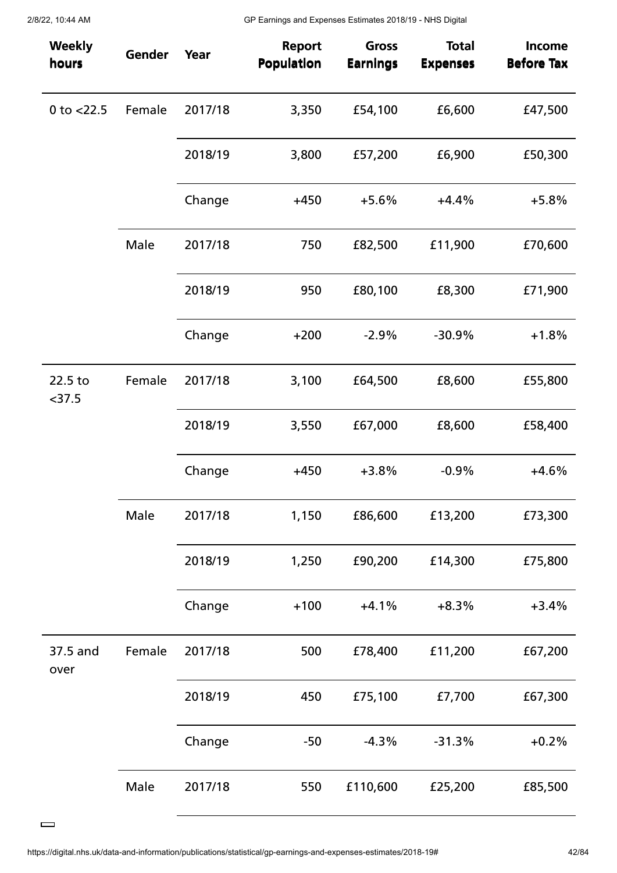| <b>Weekly</b><br>hours | Gender | Year    | <b>Report</b><br><b>Population</b> | <b>Gross</b><br><b>Earnings</b> | <b>Total</b><br><b>Expenses</b> | <b>Income</b><br><b>Before Tax</b> |
|------------------------|--------|---------|------------------------------------|---------------------------------|---------------------------------|------------------------------------|
| 0 to $<$ 22.5          | Female | 2017/18 | 3,350                              | £54,100                         | £6,600                          | £47,500                            |
|                        |        | 2018/19 | 3,800                              | £57,200                         | £6,900                          | £50,300                            |
|                        |        | Change  | $+450$                             | $+5.6%$                         | $+4.4%$                         | $+5.8%$                            |
|                        | Male   | 2017/18 | 750                                | £82,500                         | £11,900                         | £70,600                            |
|                        |        | 2018/19 | 950                                | £80,100                         | £8,300                          | £71,900                            |
|                        |        | Change  | $+200$                             | $-2.9%$                         | $-30.9%$                        | $+1.8%$                            |
| 22.5 to<br>$<$ 37.5    | Female | 2017/18 | 3,100                              | £64,500                         | £8,600                          | £55,800                            |
|                        |        | 2018/19 | 3,550                              | £67,000                         | £8,600                          | £58,400                            |
|                        |        | Change  | $+450$                             | $+3.8%$                         | $-0.9%$                         | $+4.6%$                            |
|                        | Male   | 2017/18 | 1,150                              | £86,600                         | £13,200                         | £73,300                            |
|                        |        | 2018/19 | 1,250                              | £90,200                         | £14,300                         | £75,800                            |
|                        |        | Change  | $+100$                             | $+4.1%$                         | $+8.3%$                         | $+3.4%$                            |
| 37.5 and<br>over       | Female | 2017/18 | 500                                | £78,400                         | £11,200                         | £67,200                            |
|                        |        | 2018/19 | 450                                | £75,100                         | £7,700                          | £67,300                            |
|                        |        | Change  | $-50$                              | $-4.3%$                         | $-31.3%$                        | $+0.2%$                            |
|                        | Male   | 2017/18 | 550                                | £110,600                        | £25,200                         | £85,500                            |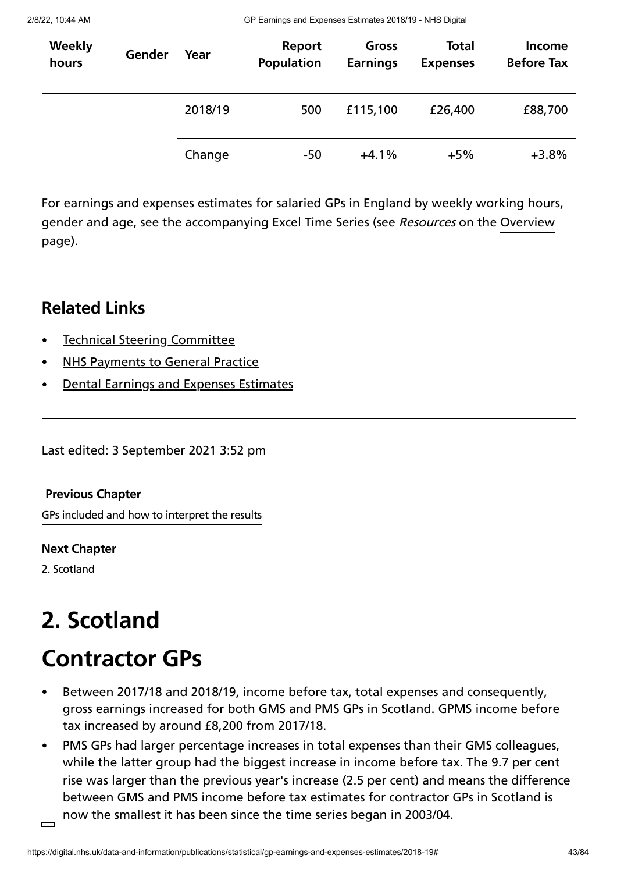| <b>Weekly</b><br>hours | Gender | Year    | Report<br><b>Population</b> | Gross<br><b>Earnings</b> | <b>Total</b><br><b>Expenses</b> | <b>Income</b><br><b>Before Tax</b> |
|------------------------|--------|---------|-----------------------------|--------------------------|---------------------------------|------------------------------------|
|                        |        | 2018/19 | 500                         | £115,100                 | £26,400                         | £88,700                            |
|                        |        | Change  | -50                         | $+4.1%$                  | $+5%$                           | $+3.8%$                            |

For earnings and expenses estimates for salaried GPs in England by weekly working hours, gender and age, see the accompanying Excel Time Series (see *Resources* on the [Overview](https://digital.nhs.uk/data-and-information/publications/statistical/gp-earnings-and-expenses-estimates/2018-19) page).

# **Related Links**

- Technical Steering [Committee](https://digital.nhs.uk/data-and-information/areas-of-interest/workforce/technical-steering-committee-tsc)
- NHS [Payments](https://digital.nhs.uk/data-and-information/publications/statistical/nhs-payments-to-general-practice) to General Practice
- Dental Earnings and Expenses [Estimates](https://digital.nhs.uk/data-and-information/publications/statistical/dental-earnings-and-expenses-estimates)

Last edited: 3 September 2021 3:52 pm

GPs included and how to interpret the results **[Previous](https://digital.nhs.uk/data-and-information/publications/statistical/gp-earnings-and-expenses-estimates/2018-19/gps-included-and-how-to-interpret-the-results) Chapter**

**Next [Chapter](https://digital.nhs.uk/data-and-information/publications/statistical/gp-earnings-and-expenses-estimates/2018-19/scotland)**

2. Scotland

# **2. Scotland**

# **Contractor GPs**

- Between 2017/18 and 2018/19, income before tax, total expenses and consequently, gross earnings increased for both GMS and PMS GPs in Scotland. GPMS income before tax increased by around £8,200 from 2017/18.
- PMS GPs had larger percentage increases in total expenses than their GMS colleagues,  $\bullet$ while the latter group had the biggest increase in income before tax. The 9.7 per cent rise was larger than the previous year's increase (2.5 per cent) and means the difference between GMS and PMS income before tax estimates for contractor GPs in Scotland is now the smallest it has been since the time series began in 2003/04.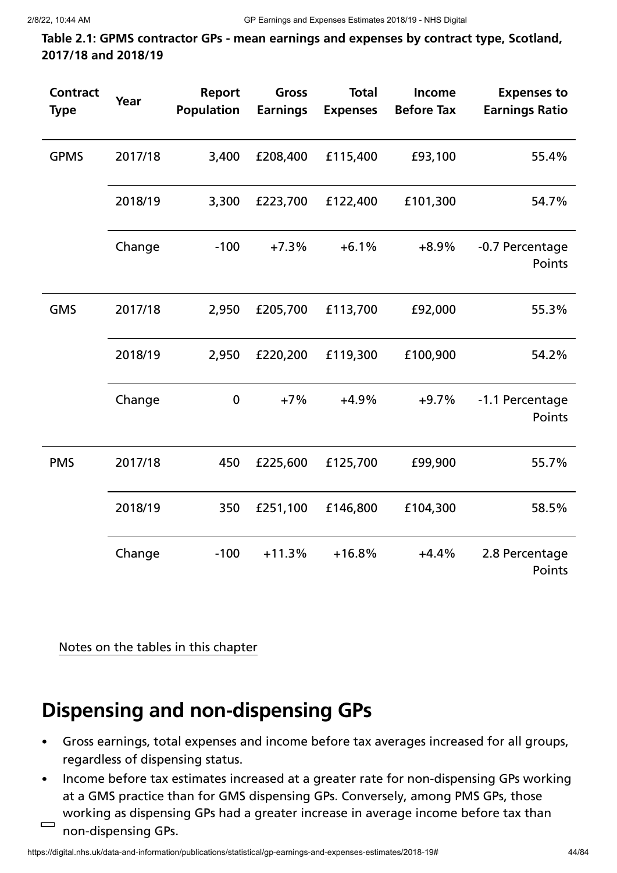**Table 2.1: GPMS contractor GPs - mean earnings and expenses by contract type, Scotland, 2017/18 and 2018/19**

| <b>Contract</b><br><b>Type</b> | Year    | Report<br><b>Population</b> | <b>Gross</b><br><b>Earnings</b> | <b>Total</b><br><b>Expenses</b> | Income<br><b>Before Tax</b> | <b>Expenses to</b><br><b>Earnings Ratio</b> |
|--------------------------------|---------|-----------------------------|---------------------------------|---------------------------------|-----------------------------|---------------------------------------------|
| <b>GPMS</b>                    | 2017/18 | 3,400                       | £208,400                        | £115,400                        | £93,100                     | 55.4%                                       |
|                                | 2018/19 | 3,300                       | £223,700                        | £122,400                        | £101,300                    | 54.7%                                       |
|                                | Change  | $-100$                      | $+7.3%$                         | $+6.1%$                         | $+8.9%$                     | -0.7 Percentage<br>Points                   |
| <b>GMS</b>                     | 2017/18 | 2,950                       | £205,700                        | £113,700                        | £92,000                     | 55.3%                                       |
|                                | 2018/19 | 2,950                       | £220,200                        | £119,300                        | £100,900                    | 54.2%                                       |
|                                | Change  | $\mathbf 0$                 | $+7%$                           | $+4.9%$                         | $+9.7%$                     | -1.1 Percentage<br>Points                   |
| <b>PMS</b>                     | 2017/18 | 450                         | £225,600                        | £125,700                        | £99,900                     | 55.7%                                       |
|                                | 2018/19 | 350                         | £251,100                        | £146,800                        | £104,300                    | 58.5%                                       |
|                                | Change  | $-100$                      | $+11.3%$                        | $+16.8%$                        | $+4.4%$                     | 2.8 Percentage<br>Points                    |

Notes on the tables in this chapter

# **Dispensing and non-dispensing GPs**

- Gross earnings, total expenses and income before tax averages increased for all groups,  $\bullet$ regardless of dispensing status.
- Income before tax estimates increased at a greater rate for non-dispensing GPs working  $\bullet$ at a GMS practice than for GMS dispensing GPs. Conversely, among PMS GPs, those working as dispensing GPs had a greater increase in average income before tax than  $\qquad \qquad \Box$ 
	- non-dispensing GPs.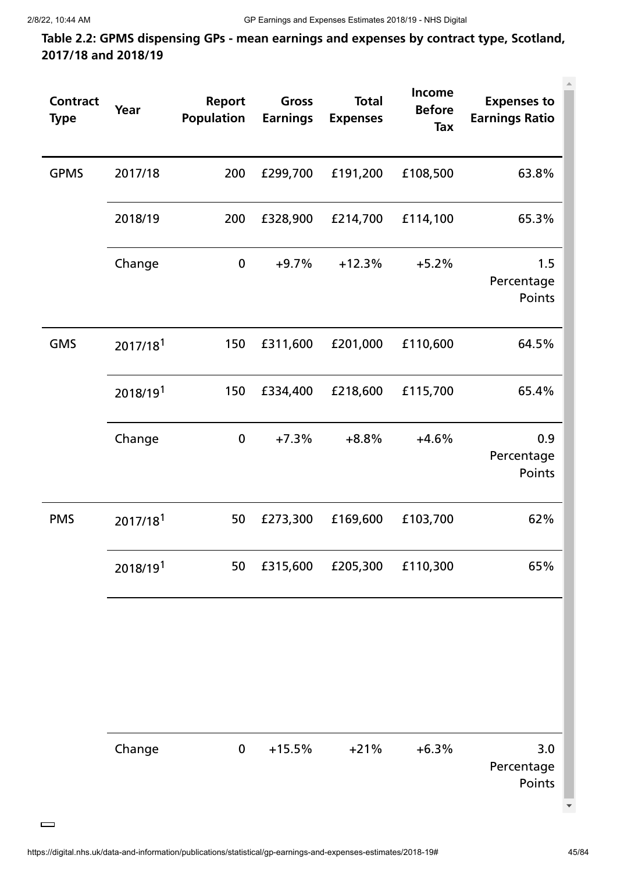**Table 2.2: GPMS dispensing GPs - mean earnings and expenses by contract type, Scotland, 2017/18 and 2018/19**

| <b>Contract</b><br><b>Type</b> | Year                 | <b>Report</b><br><b>Population</b> | Gross<br><b>Earnings</b> | <b>Total</b><br><b>Expenses</b> | Income<br><b>Before</b><br>Tax | <b>Expenses to</b><br><b>Earnings Ratio</b> |
|--------------------------------|----------------------|------------------------------------|--------------------------|---------------------------------|--------------------------------|---------------------------------------------|
| <b>GPMS</b>                    | 2017/18              | 200                                | £299,700                 | £191,200                        | £108,500                       | 63.8%                                       |
|                                | 2018/19              | 200                                | £328,900                 | £214,700                        | £114,100                       | 65.3%                                       |
|                                | Change               | $\boldsymbol{0}$                   | $+9.7%$                  | $+12.3%$                        | $+5.2%$                        | 1.5<br>Percentage<br>Points                 |
| <b>GMS</b>                     | 2017/18 <sup>1</sup> | 150                                | £311,600                 | £201,000                        | £110,600                       | 64.5%                                       |
|                                | 2018/191             | 150                                | £334,400                 | £218,600                        | £115,700                       | 65.4%                                       |
|                                | Change               | $\boldsymbol{0}$                   | $+7.3%$                  | $+8.8%$                         | $+4.6%$                        | 0.9<br>Percentage<br>Points                 |
| <b>PMS</b>                     | 2017/18 <sup>1</sup> | 50                                 | £273,300                 | £169,600                        | £103,700                       | 62%                                         |
|                                | 2018/191             | 50                                 | £315,600                 | £205,300                        | £110,300                       | 65%                                         |
|                                |                      |                                    |                          |                                 |                                |                                             |
|                                | Change               | $\pmb{0}$                          | $+15.5%$                 | $+21%$                          | $+6.3%$                        | 3.0<br>Percentage<br>Points                 |

 $\qquad \qquad$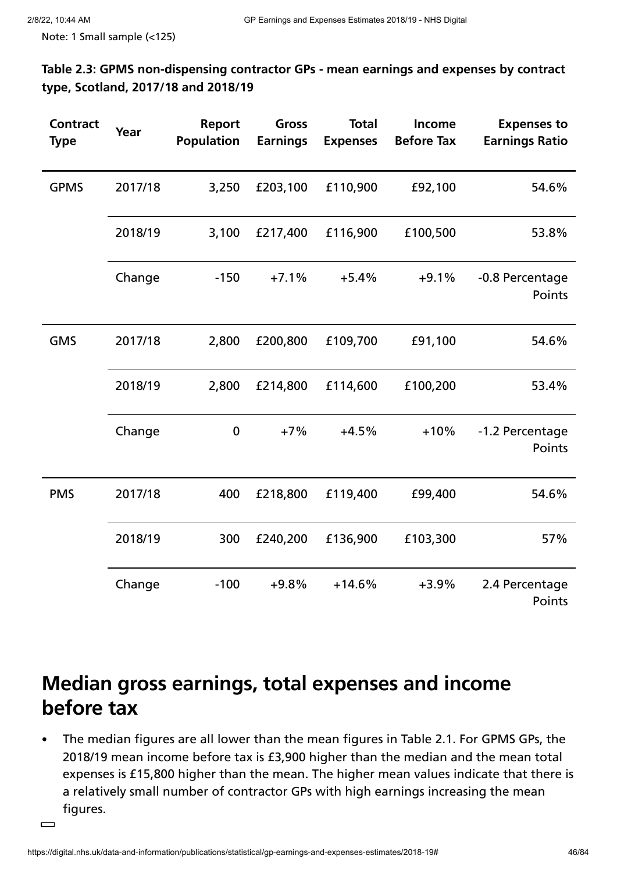Note: 1 Small sample (<125)

**Table 2.3: GPMS non-dispensing contractor GPs - mean earnings and expenses by contract type, Scotland, 2017/18 and 2018/19**

| <b>Contract</b><br><b>Type</b> | Year    | <b>Report</b><br><b>Population</b> | <b>Gross</b><br><b>Earnings</b> | <b>Total</b><br><b>Expenses</b> | Income<br><b>Before Tax</b> | <b>Expenses to</b><br><b>Earnings Ratio</b> |
|--------------------------------|---------|------------------------------------|---------------------------------|---------------------------------|-----------------------------|---------------------------------------------|
| <b>GPMS</b>                    | 2017/18 | 3,250                              | £203,100                        | £110,900                        | £92,100                     | 54.6%                                       |
|                                | 2018/19 | 3,100                              | £217,400                        | £116,900                        | £100,500                    | 53.8%                                       |
|                                | Change  | $-150$                             | $+7.1%$                         | $+5.4%$                         | $+9.1%$                     | -0.8 Percentage<br>Points                   |
| <b>GMS</b>                     | 2017/18 | 2,800                              | £200,800                        | £109,700                        | £91,100                     | 54.6%                                       |
|                                | 2018/19 | 2,800                              | £214,800                        | £114,600                        | £100,200                    | 53.4%                                       |
|                                | Change  | $\mathbf 0$                        | $+7%$                           | $+4.5%$                         | $+10%$                      | -1.2 Percentage<br>Points                   |
| <b>PMS</b>                     | 2017/18 | 400                                | £218,800                        | £119,400                        | £99,400                     | 54.6%                                       |
|                                | 2018/19 | 300                                | £240,200                        | £136,900                        | £103,300                    | 57%                                         |
|                                | Change  | $-100$                             | $+9.8%$                         | $+14.6%$                        | $+3.9%$                     | 2.4 Percentage<br>Points                    |

# **Median gross earnings, total expenses and income before tax**

The median figures are all lower than the mean figures in Table 2.1. For GPMS GPs, the  $\bullet$ 2018/19 mean income before tax is £3,900 higher than the median and the mean total expenses is £15,800 higher than the mean. The higher mean values indicate that there is a relatively small number of contractor GPs with high earnings increasing the mean figures.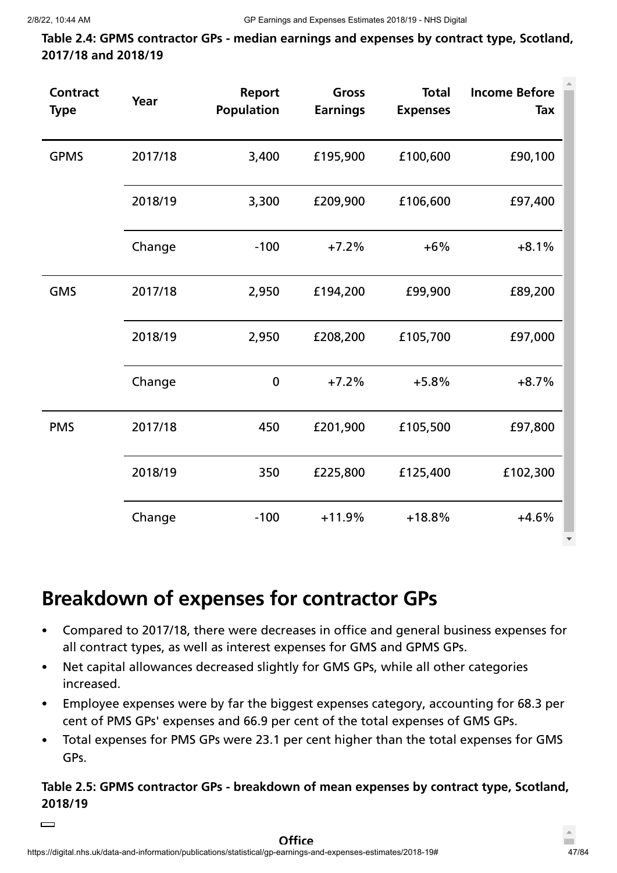**Table 2.4: GPMS contractor GPs - median earnings and expenses by contract type, Scotland, 2017/18 and 2018/19**

| <b>Contract</b><br><b>Type</b> | Year    | <b>Report</b><br><b>Population</b> | <b>Gross</b><br><b>Earnings</b> | <b>Total</b><br><b>Expenses</b> | <b>Income Before</b><br>Tax |
|--------------------------------|---------|------------------------------------|---------------------------------|---------------------------------|-----------------------------|
| <b>GPMS</b>                    | 2017/18 | 3,400                              | £195,900                        | £100,600                        | £90,100                     |
|                                | 2018/19 | 3,300                              | £209,900                        | £106,600                        | £97,400                     |
|                                | Change  | $-100$                             | $+7.2%$                         | $+6%$                           | $+8.1%$                     |
| <b>GMS</b>                     | 2017/18 | 2,950                              | £194,200                        | £99,900                         | £89,200                     |
|                                | 2018/19 | 2,950                              | £208,200                        | £105,700                        | £97,000                     |
|                                | Change  | $\mathbf 0$                        | $+7.2%$                         | $+5.8%$                         | $+8.7%$                     |
| <b>PMS</b>                     | 2017/18 | 450                                | £201,900                        | £105,500                        | £97,800                     |
|                                | 2018/19 | 350                                | £225,800                        | £125,400                        | £102,300                    |
|                                | Change  | $-100$                             | $+11.9%$                        | $+18.8%$                        | $+4.6%$                     |

# **Breakdown of expenses for contractor GPs**

- Compared to 2017/18, there were decreases in office and general business expenses for  $\bullet$ all contract types, as well as interest expenses for GMS and GPMS GPs.
- Net capital allowances decreased slightly for GMS GPs, while all other categories  $\bullet$ increased.
- Employee expenses were by far the biggest expenses category, accounting for 68.3 per  $\bullet$  . cent of PMS GPs' expenses and 66.9 per cent of the total expenses of GMS GPs.
- Total expenses for PMS GPs were 23.1 per cent higher than the total expenses for GMS  $\bullet$ GPs.

# **Table 2.5: GPMS contractor GPs - breakdown of mean expenses by contract type, Scotland, 2018/19**

 $\qquad \qquad$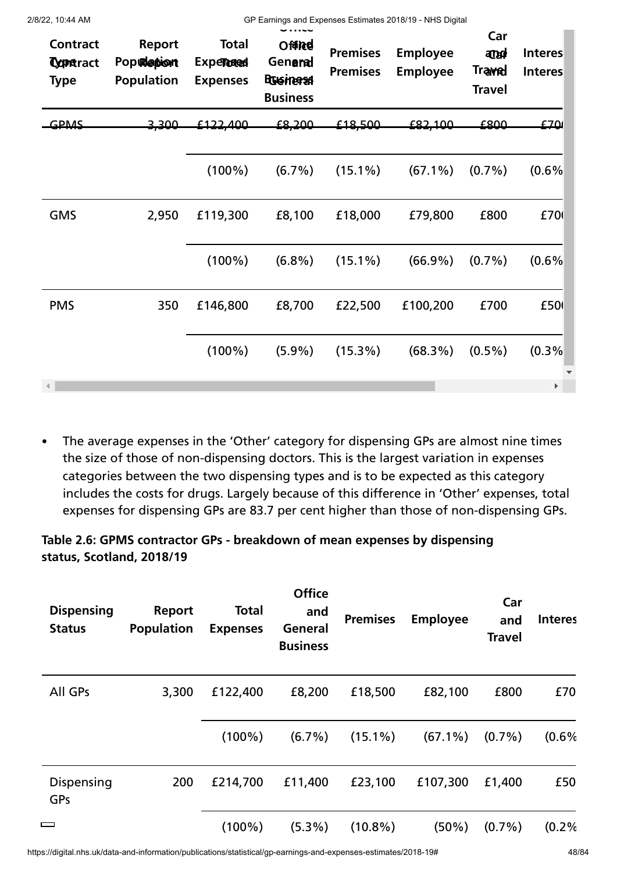| 2/8/22, 10:44 AM                                  |                                                  |                                                      |                                                                 |                                    | GP Earnings and Expenses Estimates 2018/19 - NHS Digital |                                                       |                           |
|---------------------------------------------------|--------------------------------------------------|------------------------------------------------------|-----------------------------------------------------------------|------------------------------------|----------------------------------------------------------|-------------------------------------------------------|---------------------------|
| <b>Contract</b><br><b>Coparact</b><br><b>Type</b> | <b>Report</b><br>Population<br><b>Population</b> | <b>Total</b><br><b>Experteded</b><br><b>Expenses</b> | <b>Office</b><br>Genama<br><b>Rusinersst</b><br><b>Business</b> | <b>Premises</b><br><b>Premises</b> | <b>Employee</b><br><b>Employee</b>                       | Car<br><b>argad</b><br><b>Traved</b><br><b>Travel</b> | <b>Interes</b><br>Interes |
| GPMS                                              | 3.300                                            | £122.400                                             | £8,200                                                          | £18500                             | £82,100                                                  | وρΩ                                                   | £70                       |
|                                                   |                                                  | $(100\%)$                                            | $(6.7\%)$                                                       | $(15.1\%)$                         | $(67.1\%)$                                               | $(0.7\%)$                                             | (0.6%                     |
| <b>GMS</b>                                        | 2,950                                            | £119,300                                             | £8,100                                                          | £18,000                            | £79,800                                                  | £800                                                  | £701                      |
|                                                   |                                                  | $(100\%)$                                            | $(6.8\%)$                                                       | $(15.1\%)$                         | $(66.9\%)$                                               | $(0.7\%)$                                             | (0.6%                     |
| <b>PMS</b>                                        | 350                                              | £146,800                                             | £8,700                                                          | £22,500                            | £100,200                                                 | £700                                                  | £501                      |
|                                                   |                                                  | $(100\%)$                                            | $(5.9\%)$                                                       | $(15.3\%)$                         | $(68.3\%)$                                               | $(0.5\%)$                                             | (0.3%                     |
|                                                   |                                                  |                                                      |                                                                 |                                    |                                                          |                                                       | $\blacktriangleright$     |

The average expenses in the 'Other' category for dispensing GPs are almost nine times  $\bullet$ the size of those of non-dispensing doctors. This is the largest variation in expenses categories between the two dispensing types and is to be expected as this category includes the costs for drugs. Largely because of this difference in 'Other' expenses, total expenses for dispensing GPs are 83.7 per cent higher than those of non-dispensing GPs.

# **Table 2.6: GPMS contractor GPs - breakdown of mean expenses by dispensing status, Scotland, 2018/19**

| <b>Dispensing</b><br><b>Status</b> | Report<br><b>Population</b> | <b>Total</b><br><b>Expenses</b> | <b>Office</b><br>and<br>General<br><b>Business</b> | <b>Premises</b> | <b>Employee</b> | Car<br>and<br><b>Travel</b> | <b>Interes</b> |
|------------------------------------|-----------------------------|---------------------------------|----------------------------------------------------|-----------------|-----------------|-----------------------------|----------------|
| All GPs                            | 3,300                       | £122,400                        | £8,200                                             | £18,500         | £82,100         | £800                        | £70            |
|                                    |                             | $(100\%)$                       | $(6.7\%)$                                          | $(15.1\%)$      | $(67.1\%)$      | $(0.7\%)$                   | (0.6%          |
| Dispensing<br>GPs                  | 200                         | £214,700                        | £11,400                                            | £23,100         | £107,300        | £1,400                      | £50            |
| $\overline{\phantom{0}}$           |                             | $(100\%)$                       | $(5.3\%)$                                          | $(10.8\%)$      | $(50\%)$        | $(0.7\%)$                   | (0.2%          |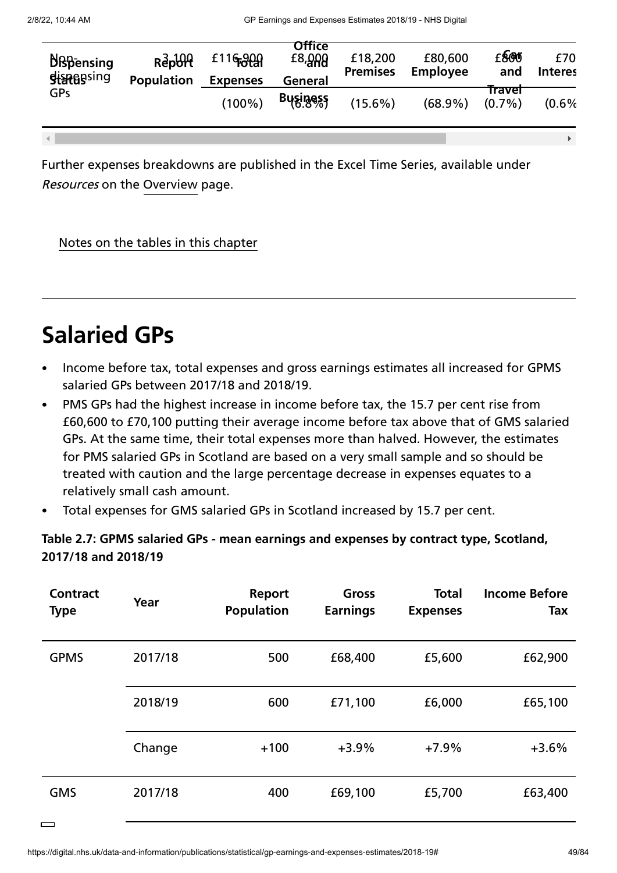$-4$ 

 $\Box$ 

| <b>N</b> Bpensing<br><b>Sistes</b> sing | $R^3$ <sub>Repo</sub><br><b>Population</b> | £116,909<br><b>Expenses</b> | <b>Office</b><br>$E8, Q$ RA<br>General | £18,200<br><b>Premises</b> | £80,600<br><b>Employee</b> | £800<br>and         | £70<br><b>Interes</b> |
|-----------------------------------------|--------------------------------------------|-----------------------------|----------------------------------------|----------------------------|----------------------------|---------------------|-----------------------|
| GPs                                     |                                            | $(100\%)$                   | Business                               | $(15.6\%)$                 | $(68.9\%)$                 | fravel<br>$(0.7\%)$ | (0.6%                 |

Further expenses breakdowns are published in the Excel Time Series, available under Resources on the [Overview](https://digital.nhs.uk/data-and-information/publications/statistical/gp-earnings-and-expenses-estimates/2018-19) page.

### Notes on the tables in this chapter

# **Salaried GPs**

- Income before tax, total expenses and gross earnings estimates all increased for GPMS salaried GPs between 2017/18 and 2018/19.
- PMS GPs had the highest increase in income before tax, the 15.7 per cent rise from £60,600 to £70,100 putting their average income before tax above that of GMS salaried GPs. At the same time, their total expenses more than halved. However, the estimates for PMS salaried GPs in Scotland are based on a very small sample and so should be treated with caution and the large percentage decrease in expenses equates to a relatively small cash amount.
- Total expenses for GMS salaried GPs in Scotland increased by 15.7 per cent.

### **Table 2.7: GPMS salaried GPs - mean earnings and expenses by contract type, Scotland, 2017/18 and 2018/19**

| <b>Contract</b><br><b>Type</b> | Year    | Report<br><b>Population</b> | <b>Gross</b><br><b>Earnings</b> | <b>Total</b><br><b>Expenses</b> | <b>Income Before</b><br><b>Tax</b> |
|--------------------------------|---------|-----------------------------|---------------------------------|---------------------------------|------------------------------------|
| <b>GPMS</b>                    | 2017/18 | 500                         | £68,400                         | £5,600                          | £62,900                            |
|                                | 2018/19 | 600                         | £71,100                         | £6,000                          | £65,100                            |
|                                | Change  | $+100$                      | $+3.9%$                         | $+7.9%$                         | $+3.6%$                            |
| <b>GMS</b>                     | 2017/18 | 400                         | £69,100                         | £5,700                          | £63,400                            |

 $\mathbf{F}$  .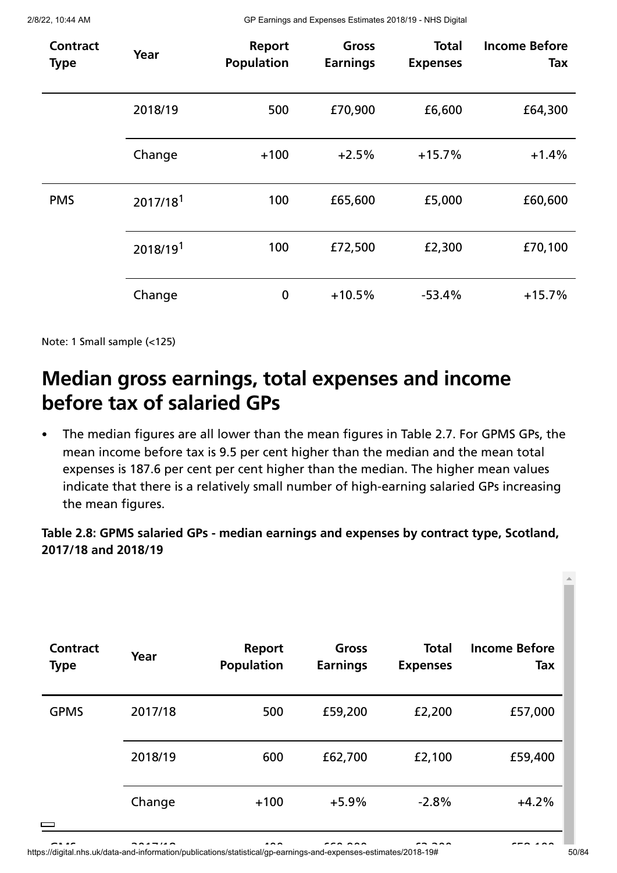| <b>Contract</b><br><b>Type</b> | Year                 | Report<br><b>Population</b> | <b>Gross</b><br><b>Earnings</b> | <b>Total</b><br><b>Expenses</b> | <b>Income Before</b><br>Tax |
|--------------------------------|----------------------|-----------------------------|---------------------------------|---------------------------------|-----------------------------|
|                                | 2018/19              | 500                         | £70,900                         | £6,600                          | £64,300                     |
|                                | Change               | $+100$                      | $+2.5%$                         | $+15.7%$                        | $+1.4%$                     |
| <b>PMS</b>                     | 2017/18 <sup>1</sup> | 100                         | £65,600                         | £5,000                          | £60,600                     |
|                                | 2018/191             | 100                         | £72,500                         | £2,300                          | £70,100                     |
|                                | Change               | $\mathbf 0$                 | $+10.5%$                        | $-53.4%$                        | $+15.7%$                    |

Note: 1 Small sample (<125)

# **Median gross earnings, total expenses and income before tax of salaried GPs**

The median figures are all lower than the mean figures in Table 2.7. For GPMS GPs, the mean income before tax is 9.5 per cent higher than the median and the mean total expenses is 187.6 per cent per cent higher than the median. The higher mean values indicate that there is a relatively small number of high-earning salaried GPs increasing the mean figures.

**Table 2.8: GPMS salaried GPs - median earnings and expenses by contract type, Scotland, 2017/18 and 2018/19**

| <b>Contract</b><br><b>Type</b> | Year    | <b>Report</b><br><b>Population</b> | Gross<br><b>Earnings</b> | <b>Total</b><br><b>Expenses</b> | <b>Income Before</b><br>Tax |
|--------------------------------|---------|------------------------------------|--------------------------|---------------------------------|-----------------------------|
| <b>GPMS</b>                    | 2017/18 | 500                                | £59,200                  | £2,200                          | £57,000                     |
|                                | 2018/19 | 600                                | £62,700                  | £2,100                          | £59,400                     |
| $\equiv$                       | Change  | $+100$                             | $+5.9%$                  | $-2.8%$                         | $+4.2%$                     |

المستعدد المستحدم المستحدم المستحدم المستحدم المستحدم المستحدم المستحدم المستحدم المستحدم المستحدم المستحدم المستحدم<br>50/84 50/84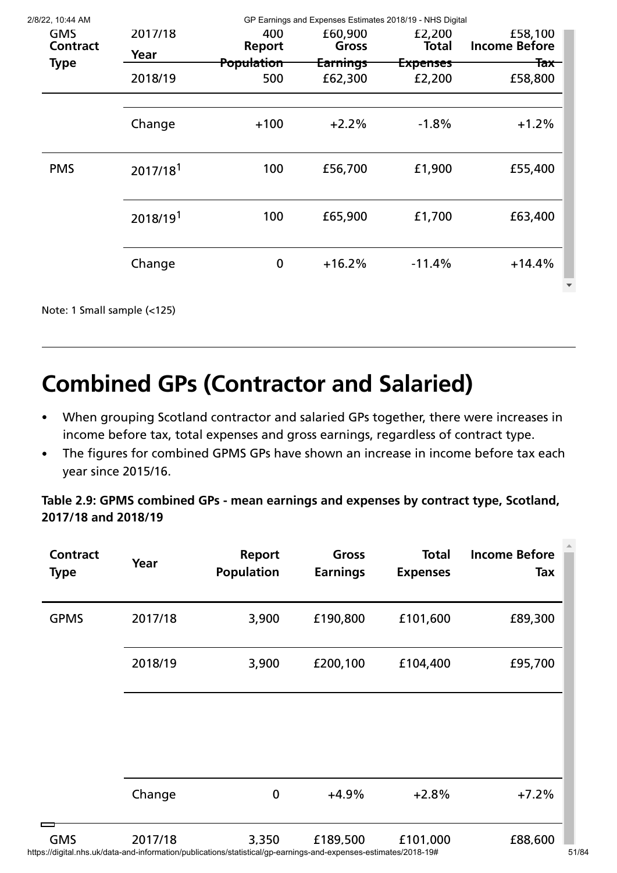| 2/8/22, 10:44 AM              |                      |                      | GP Earnings and Expenses Estimates 2018/19 - NHS Digital |                        |                                 |
|-------------------------------|----------------------|----------------------|----------------------------------------------------------|------------------------|---------------------------------|
| <b>GMS</b><br><b>Contract</b> | 2017/18              | 400<br><b>Report</b> | £60,900<br>Gross                                         | £2,200<br><b>Total</b> | £58,100<br><b>Income Before</b> |
|                               | Year                 |                      |                                                          |                        |                                 |
| <b>Type</b>                   | 2018/19              | Population<br>500    | <del>Earnings</del><br>£62,300                           | Expenses<br>£2,200     | <del>Tax -</del><br>£58,800     |
|                               | Change               | $+100$               | $+2.2%$                                                  | $-1.8%$                | $+1.2%$                         |
| <b>PMS</b>                    | 2017/18 <sup>1</sup> | 100                  | £56,700                                                  | £1,900                 | £55,400                         |
|                               | 2018/191             | 100                  | £65,900                                                  | £1,700                 | £63,400                         |
|                               | Change               | $\boldsymbol{0}$     | $+16.2%$                                                 | $-11.4%$               | $+14.4%$                        |
|                               |                      |                      |                                                          |                        |                                 |

Note: 1 Small sample (<125)

# **Combined GPs (Contractor and Salaried)**

- When grouping Scotland contractor and salaried GPs together, there were increases in  $\bullet$ income before tax, total expenses and gross earnings, regardless of contract type.
- The figures for combined GPMS GPs have shown an increase in income before tax each  $\bullet$ year since 2015/16.

**Table 2.9: GPMS combined GPs - mean earnings and expenses by contract type, Scotland, 2017/18 and 2018/19**

| <b>Contract</b><br><b>Type</b> | Year    | Report<br><b>Population</b> | Gross<br><b>Earnings</b> | <b>Total</b><br><b>Expenses</b> | <b>Income Before</b><br>Tax |
|--------------------------------|---------|-----------------------------|--------------------------|---------------------------------|-----------------------------|
| <b>GPMS</b>                    | 2017/18 | 3,900                       | £190,800                 | £101,600                        | £89,300                     |
|                                | 2018/19 | 3,900                       | £200,100                 | £104,400                        | £95,700                     |
|                                |         |                             |                          |                                 |                             |
|                                |         |                             |                          |                                 |                             |
|                                | Change  | $\boldsymbol{0}$            | $+4.9%$                  | $+2.8%$                         | $+7.2%$                     |
| <b>GMS</b>                     | 2017/18 | 3,350                       | £189,500                 | £101,000                        | £88,600                     |

https://digital.nhs.uk/data-and-information/publications/statistical/gp-earnings-and-expenses-estimates/2018-19# 51/84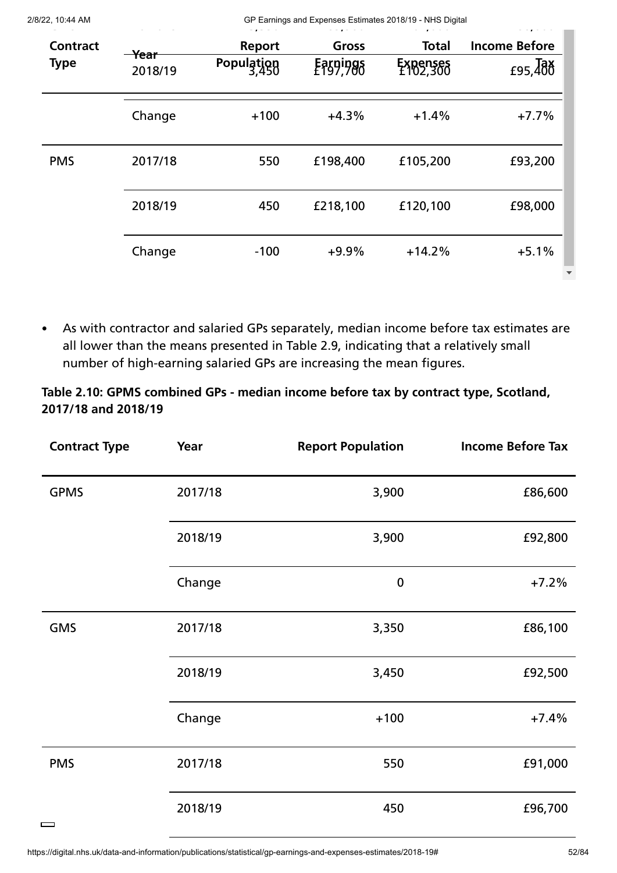| 2/8/22, 10:44 AM               |                            |                                      | GP Earnings and Expenses Estimates 2018/19 - NHS Digital |                                      |                                               |
|--------------------------------|----------------------------|--------------------------------------|----------------------------------------------------------|--------------------------------------|-----------------------------------------------|
| <b>Contract</b><br><b>Type</b> | <del>Year</del><br>2018/19 | <b>Report</b><br>Population<br>3,450 | Gross<br>Earpings                                        | <b>Total</b><br>Expenses<br>E102,300 | <b>Income Before</b><br>$f95, \overline{486}$ |
|                                | Change                     | $+100$                               | $+4.3%$                                                  | $+1.4%$                              | $+7.7%$                                       |
| <b>PMS</b>                     | 2017/18                    | 550                                  | £198,400                                                 | £105,200                             | £93,200                                       |
|                                | 2018/19                    | 450                                  | £218,100                                                 | £120,100                             | £98,000                                       |
|                                | Change                     | $-100$                               | $+9.9%$                                                  | $+14.2%$                             | $+5.1%$                                       |

As with contractor and salaried GPs separately, median income before tax estimates are  $\bullet$ all lower than the means presented in Table 2.9, indicating that a relatively small number of high-earning salaried GPs are increasing the mean figures.

# **Table 2.10: GPMS combined GPs - median income before tax by contract type, Scotland, 2017/18 and 2018/19**

| <b>Contract Type</b> | Year    | <b>Report Population</b> | <b>Income Before Tax</b> |
|----------------------|---------|--------------------------|--------------------------|
| <b>GPMS</b>          | 2017/18 | 3,900                    | £86,600                  |
|                      | 2018/19 | 3,900                    | £92,800                  |
|                      | Change  | $\bf{0}$                 | $+7.2%$                  |
| <b>GMS</b>           | 2017/18 | 3,350                    | £86,100                  |
|                      | 2018/19 | 3,450                    | £92,500                  |
|                      | Change  | $+100$                   | $+7.4%$                  |
| <b>PMS</b>           | 2017/18 | 550                      | £91,000                  |
|                      | 2018/19 | 450                      | £96,700                  |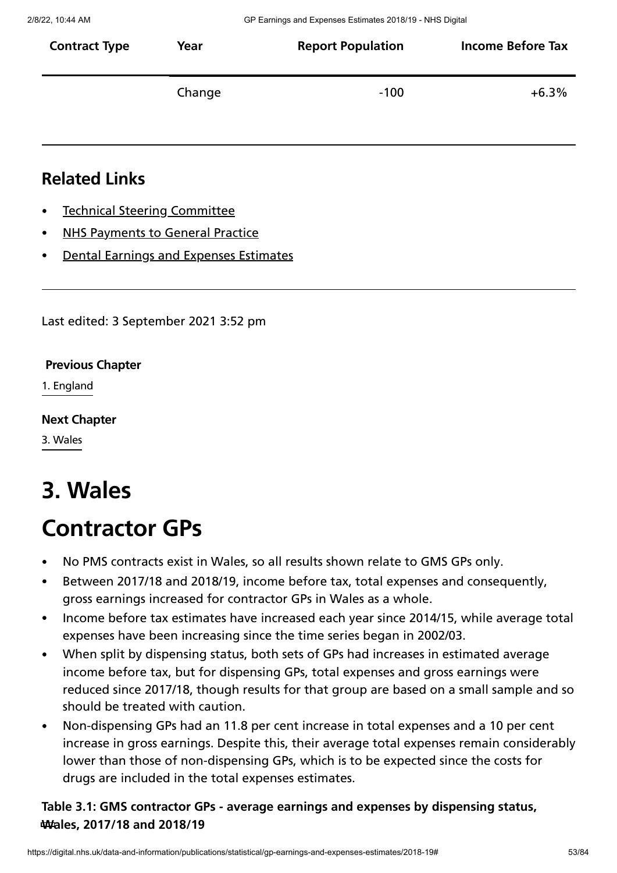| <b>Contract Type</b> | Year   | <b>Report Population</b> | <b>Income Before Tax</b> |
|----------------------|--------|--------------------------|--------------------------|
|                      | Change | -100                     | $+6.3\%$                 |

# **Related Links**

- Technical Steering [Committee](https://digital.nhs.uk/data-and-information/areas-of-interest/workforce/technical-steering-committee-tsc)
- NHS [Payments](https://digital.nhs.uk/data-and-information/publications/statistical/nhs-payments-to-general-practice) to General Practice
- Dental Earnings and Expenses [Estimates](https://digital.nhs.uk/data-and-information/publications/statistical/dental-earnings-and-expenses-estimates)

Last edited: 3 September 2021 3:52 pm

#### **[Previous](https://digital.nhs.uk/data-and-information/publications/statistical/gp-earnings-and-expenses-estimates/2018-19/england) Chapter**

1. England

#### **Next [Chapter](https://digital.nhs.uk/data-and-information/publications/statistical/gp-earnings-and-expenses-estimates/2018-19/wales)**

3. Wales

# **3. Wales**

# **Contractor GPs**

- No PMS contracts exist in Wales, so all results shown relate to GMS GPs only.
- Between 2017/18 and 2018/19, income before tax, total expenses and consequently,  $\bullet$ gross earnings increased for contractor GPs in Wales as a whole.
- Income before tax estimates have increased each year since 2014/15, while average total expenses have been increasing since the time series began in 2002/03.
- When split by dispensing status, both sets of GPs had increases in estimated average income before tax, but for dispensing GPs, total expenses and gross earnings were reduced since 2017/18, though results for that group are based on a small sample and so should be treated with caution.
- Non-dispensing GPs had an 11.8 per cent increase in total expenses and a 10 per cent increase in gross earnings. Despite this, their average total expenses remain considerably lower than those of non-dispensing GPs, which is to be expected since the costs for drugs are included in the total expenses estimates.

# **Table 3.1: GMS contractor GPs - average earnings and expenses by dispensing status, Wales, 2017/18 and 2018/19**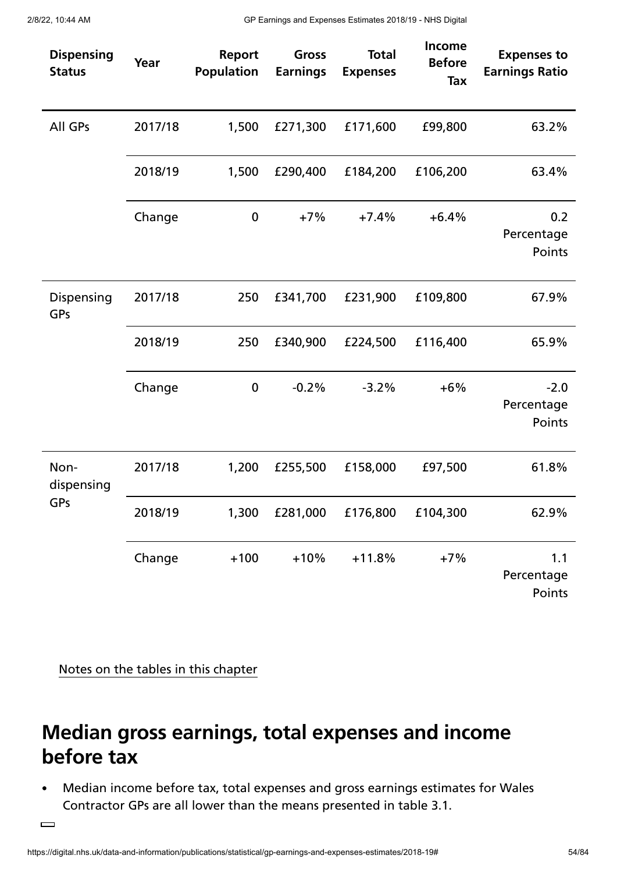| <b>Dispensing</b><br><b>Status</b> | Year    | <b>Report</b><br><b>Population</b> | Gross<br><b>Earnings</b> | <b>Total</b><br><b>Expenses</b> | <b>Income</b><br><b>Before</b><br>Tax | <b>Expenses to</b><br><b>Earnings Ratio</b> |
|------------------------------------|---------|------------------------------------|--------------------------|---------------------------------|---------------------------------------|---------------------------------------------|
| All GPs                            | 2017/18 | 1,500                              | £271,300                 | £171,600                        | £99,800                               | 63.2%                                       |
|                                    | 2018/19 | 1,500                              | £290,400                 | £184,200                        | £106,200                              | 63.4%                                       |
|                                    | Change  | $\boldsymbol{0}$                   | $+7%$                    | $+7.4%$                         | $+6.4%$                               | 0.2<br>Percentage<br>Points                 |
| Dispensing<br>GPs                  | 2017/18 | 250                                | £341,700                 | £231,900                        | £109,800                              | 67.9%                                       |
|                                    | 2018/19 | 250                                | £340,900                 | £224,500                        | £116,400                              | 65.9%                                       |
|                                    | Change  | $\boldsymbol{0}$                   | $-0.2%$                  | $-3.2%$                         | $+6%$                                 | $-2.0$<br>Percentage<br>Points              |
| Non-<br>dispensing                 | 2017/18 | 1,200                              | £255,500                 | £158,000                        | £97,500                               | 61.8%                                       |
| GPs                                | 2018/19 | 1,300                              | £281,000                 | £176,800                        | £104,300                              | 62.9%                                       |
|                                    | Change  | $+100$                             | $+10%$                   | $+11.8%$                        | $+7%$                                 | 1.1<br>Percentage<br>Points                 |

Notes on the tables in this chapter

# **Median gross earnings, total expenses and income before tax**

Median income before tax, total expenses and gross earnings estimates for Wales  $\bullet$ Contractor GPs are all lower than the means presented in table 3.1.

 $\Box$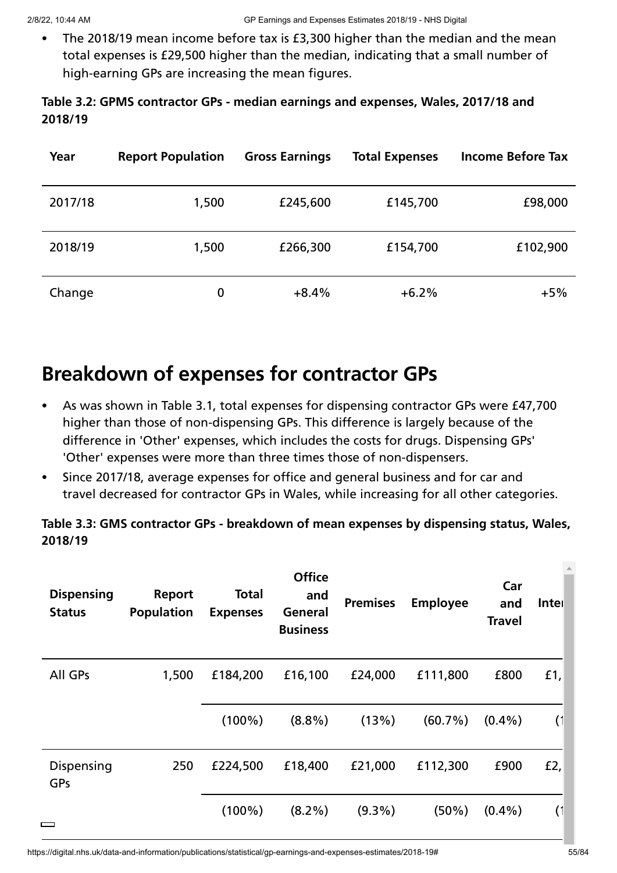The 2018/19 mean income before tax is £3,300 higher than the median and the mean total expenses is £29,500 higher than the median, indicating that a small number of high-earning GPs are increasing the mean figures.

# **Table 3.2: GPMS contractor GPs - median earnings and expenses, Wales, 2017/18 and 2018/19**

| Year    | <b>Report Population</b> | <b>Gross Earnings</b> | <b>Total Expenses</b> | <b>Income Before Tax</b> |
|---------|--------------------------|-----------------------|-----------------------|--------------------------|
| 2017/18 | 1,500                    | £245,600              | £145,700              | £98,000                  |
| 2018/19 | 1,500                    | £266,300              | £154,700              | £102,900                 |
| Change  | 0                        | $+8.4%$               | $+6.2%$               | $+5%$                    |

# **Breakdown of expenses for contractor GPs**

- As was shown in Table 3.1, total expenses for dispensing contractor GPs were £47,700  $\bullet$ higher than those of non-dispensing GPs. This difference is largely because of the difference in 'Other' expenses, which includes the costs for drugs. Dispensing GPs' 'Other' expenses were more than three times those of non-dispensers.
- Since 2017/18, average expenses for office and general business and for car and travel decreased for contractor GPs in Wales, while increasing for all other categories.

# **Table 3.3: GMS contractor GPs - breakdown of mean expenses by dispensing status, Wales, 2018/19**

| <b>Dispensing</b><br><b>Status</b> | Report<br><b>Population</b> | <b>Total</b><br><b>Expenses</b> | <b>Office</b><br>and<br>General<br><b>Business</b> | <b>Premises</b> | <b>Employee</b> | Car<br>and<br><b>Travel</b> | Inter  |
|------------------------------------|-----------------------------|---------------------------------|----------------------------------------------------|-----------------|-----------------|-----------------------------|--------|
| All GPs                            | 1,500                       | £184,200                        | £16,100                                            | £24,000         | £111,800        | £800                        | £1,    |
|                                    |                             | $(100\%)$                       | $(8.8\%)$                                          | (13%)           | (60.7%)         | $(0.4\%)$                   | (1)    |
| Dispensing<br>GPs                  | 250                         | £224,500                        | £18,400                                            | £21,000         | £112,300        | £900                        | $E2$ , |
|                                    |                             | $(100\%)$                       | $(8.2\%)$                                          | $(9.3\%)$       | $(50\%)$        | $(0.4\%)$                   | (1)    |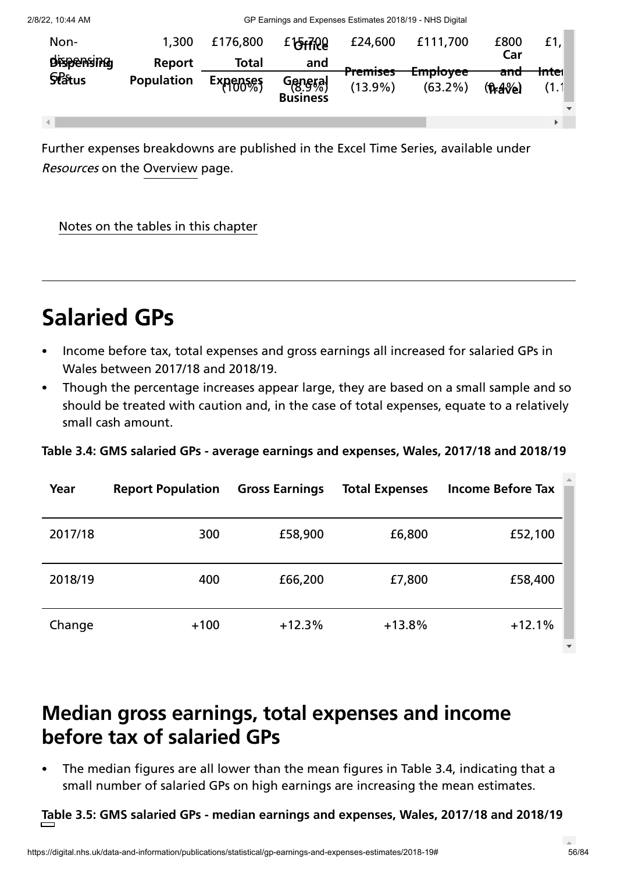| Non-<br><b>Dispensing</b> | 1,300<br>Report   | £176,800<br>Total | E 15+7:20<br>and           | £24,600                           | £111,700                          | £800<br>Car                | £1,               |  |
|---------------------------|-------------------|-------------------|----------------------------|-----------------------------------|-----------------------------------|----------------------------|-------------------|--|
| <b>Status</b>             | <b>Population</b> | <b>Expenses</b>   | General<br><b>Business</b> | <del>Premises</del><br>$(13.9\%)$ | <del>Lmpioyee</del><br>$(63.2\%)$ | <del>and</del><br>$(hA\%)$ | <del>Inte</del> r |  |
|                           |                   |                   |                            |                                   |                                   |                            |                   |  |

Further expenses breakdowns are published in the Excel Time Series, available under Resources on the [Overview](https://digital.nhs.uk/data-and-information/publications/statistical/gp-earnings-and-expenses-estimates/2018-19) page.

Notes on the tables in this chapter

# **Salaried GPs**

- Income before tax, total expenses and gross earnings all increased for salaried GPs in Wales between 2017/18 and 2018/19.
- Though the percentage increases appear large, they are based on a small sample and so should be treated with caution and, in the case of total expenses, equate to a relatively small cash amount.

**Table 3.4: GMS salaried GPs - average earnings and expenses, Wales, 2017/18 and 2018/19**

| Year    | <b>Report Population</b> | <b>Gross Earnings</b> | <b>Total Expenses</b> | <b>Income Before Tax</b> |
|---------|--------------------------|-----------------------|-----------------------|--------------------------|
| 2017/18 | 300                      | £58,900               | £6,800                | £52,100                  |
| 2018/19 | 400                      | £66,200               | £7,800                | £58,400                  |
| Change  | $+100$                   | $+12.3%$              | $+13.8%$              | $+12.1%$                 |

# **Median gross earnings, total expenses and income before tax of salaried GPs**

The median figures are all lower than the mean figures in Table 3.4, indicating that a  $\bullet$ small number of salaried GPs on high earnings are increasing the mean estimates.

**Table 3.5: GMS salaried GPs - median earnings and expenses, Wales, 2017/18 and 2018/19**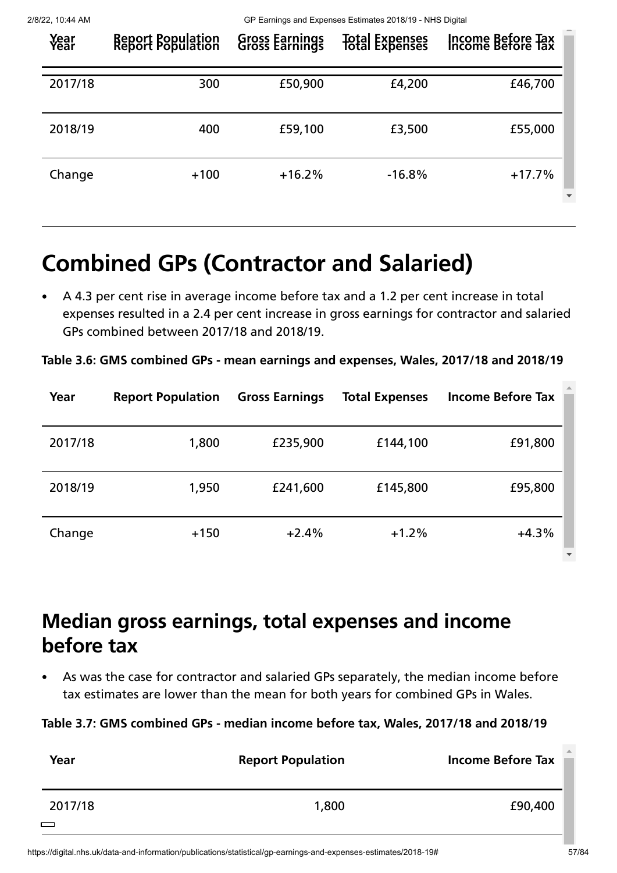| Year<br>Year | <b>Report Population</b><br>Report Population | <b>Gross Earnings</b><br>Gross Earnings | Total Expenses | Income Before Tax<br>Income Before Tax |
|--------------|-----------------------------------------------|-----------------------------------------|----------------|----------------------------------------|
| 2017/18      | 300                                           | £50,900                                 | £4,200         | £46,700                                |
| 2018/19      | 400                                           | £59,100                                 | £3,500         | £55,000                                |
| Change       | $+100$                                        | $+16.2%$                                | $-16.8%$       | $+17.7%$                               |

# **Combined GPs (Contractor and Salaried)**

A 4.3 per cent rise in average income before tax and a 1.2 per cent increase in total expenses resulted in a 2.4 per cent increase in gross earnings for contractor and salaried GPs combined between 2017/18 and 2018/19.

**Table 3.6: GMS combined GPs - mean earnings and expenses, Wales, 2017/18 and 2018/19**

| Year    | <b>Report Population</b> | <b>Gross Earnings</b> | <b>Total Expenses</b> | <b>Income Before Tax</b> |
|---------|--------------------------|-----------------------|-----------------------|--------------------------|
| 2017/18 | 1,800                    | £235,900              | £144,100              | £91,800                  |
| 2018/19 | 1,950                    | £241,600              | £145,800              | £95,800                  |
| Change  | $+150$                   | $+2.4%$               | $+1.2%$               | $+4.3%$                  |

# **Median gross earnings, total expenses and income before tax**

As was the case for contractor and salaried GPs separately, the median income before tax estimates are lower than the mean for both years for combined GPs in Wales.

**Table 3.7: GMS combined GPs - median income before tax, Wales, 2017/18 and 2018/19**

| Year              | <b>Report Population</b> | <b>Income Before Tax</b> |
|-------------------|--------------------------|--------------------------|
| 2017/18<br>$\Box$ | 1,800                    | £90,400                  |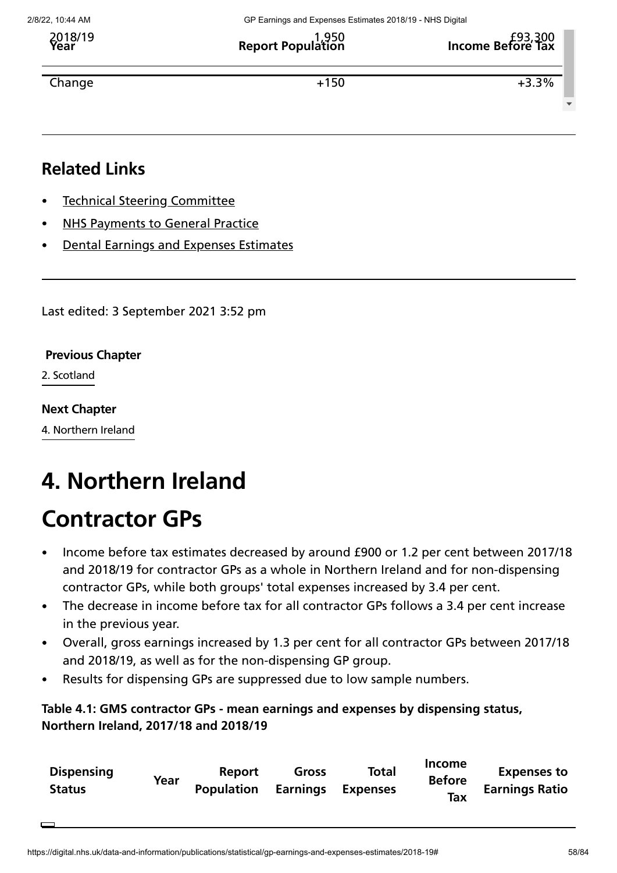**Year Report Population Income Before Tax** 2018/19 1,950 £93,300

 $\bullet$  +150  $\bullet$  +3.3%

**Related Links**

- Technical Steering [Committee](https://digital.nhs.uk/data-and-information/areas-of-interest/workforce/technical-steering-committee-tsc)
- NHS [Payments](https://digital.nhs.uk/data-and-information/publications/statistical/nhs-payments-to-general-practice) to General Practice
- Dental Earnings and Expenses [Estimates](https://digital.nhs.uk/data-and-information/publications/statistical/dental-earnings-and-expenses-estimates)

Last edited: 3 September 2021 3:52 pm

### **[Previous](https://digital.nhs.uk/data-and-information/publications/statistical/gp-earnings-and-expenses-estimates/2018-19/scotland) Chapter**

2. Scotland

### **Next [Chapter](https://digital.nhs.uk/data-and-information/publications/statistical/gp-earnings-and-expenses-estimates/2018-19/northern-ireland)**

4. Northern Ireland

# **4. Northern Ireland**

# **Contractor GPs**

- Income before tax estimates decreased by around £900 or 1.2 per cent between 2017/18 and 2018/19 for contractor GPs as a whole in Northern Ireland and for non-dispensing contractor GPs, while both groups' total expenses increased by 3.4 per cent.
- The decrease in income before tax for all contractor GPs follows a 3.4 per cent increase in the previous year.
- Overall, gross earnings increased by 1.3 per cent for all contractor GPs between 2017/18  $\bullet$ and 2018/19, as well as for the non-dispensing GP group.
- Results for dispensing GPs are suppressed due to low sample numbers.

### **Table 4.1: GMS contractor GPs - mean earnings and expenses by dispensing status, Northern Ireland, 2017/18 and 2018/19**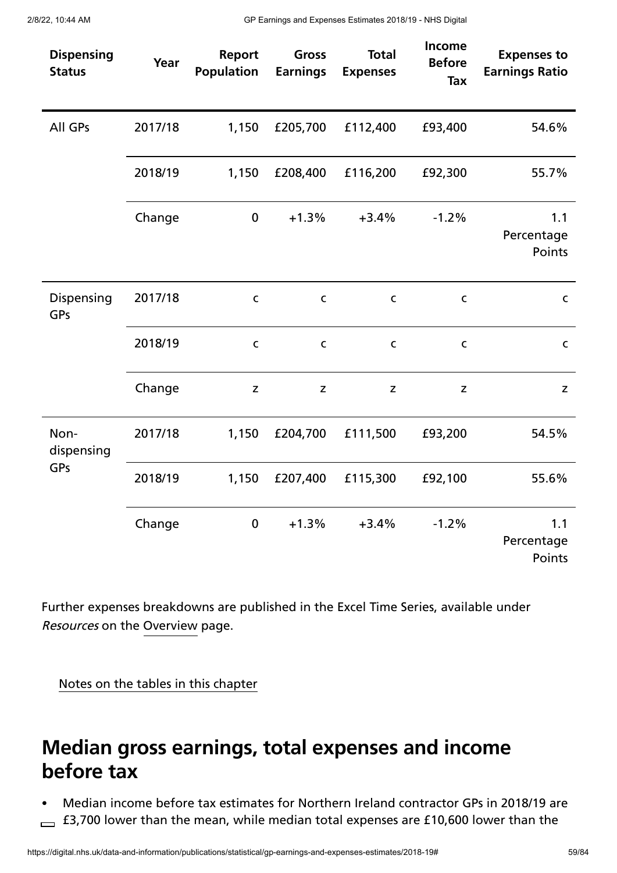| <b>Dispensing</b><br><b>Status</b> | Year    | Report<br><b>Population</b> | <b>Gross</b><br><b>Earnings</b> | <b>Total</b><br><b>Expenses</b> | Income<br><b>Before</b><br><b>Tax</b> | <b>Expenses to</b><br><b>Earnings Ratio</b> |
|------------------------------------|---------|-----------------------------|---------------------------------|---------------------------------|---------------------------------------|---------------------------------------------|
| All GPs                            | 2017/18 | 1,150                       | £205,700                        | £112,400                        | £93,400                               | 54.6%                                       |
|                                    | 2018/19 | 1,150                       | £208,400                        | £116,200                        | £92,300                               | 55.7%                                       |
|                                    | Change  | $\mathbf 0$                 | $+1.3%$                         | $+3.4%$                         | $-1.2%$                               | 1.1<br>Percentage<br>Points                 |
| Dispensing<br>GPs                  | 2017/18 | $\mathsf C$                 | $\mathsf C$                     | $\mathsf{C}$                    | $\mathsf C$                           | $\mathsf{C}$                                |
|                                    | 2018/19 | $\mathsf C$                 | $\mathsf{C}$                    | $\mathsf{C}$                    | $\mathsf C$                           | $\mathsf{C}$                                |
|                                    | Change  | $\mathsf Z$                 | $\mathsf Z$                     | $\mathsf Z$                     | $\mathsf{z}$                          | Z                                           |
| Non-<br>dispensing                 | 2017/18 | 1,150                       | £204,700                        | £111,500                        | £93,200                               | 54.5%                                       |
| GPs                                | 2018/19 | 1,150                       | £207,400                        | £115,300                        | £92,100                               | 55.6%                                       |
|                                    | Change  | $\boldsymbol{0}$            | $+1.3%$                         | $+3.4%$                         | $-1.2%$                               | 1.1<br>Percentage<br>Points                 |

Further expenses breakdowns are published in the Excel Time Series, available under Resources on the [Overview](https://digital.nhs.uk/data-and-information/publications/statistical/gp-earnings-and-expenses-estimates/2018-19) page.

Notes on the tables in this chapter

# **Median gross earnings, total expenses and income before tax**

Median income before tax estimates for Northern Ireland contractor GPs in 2018/19 are  $\overline{E}$  £3,700 lower than the mean, while median total expenses are £10,600 lower than the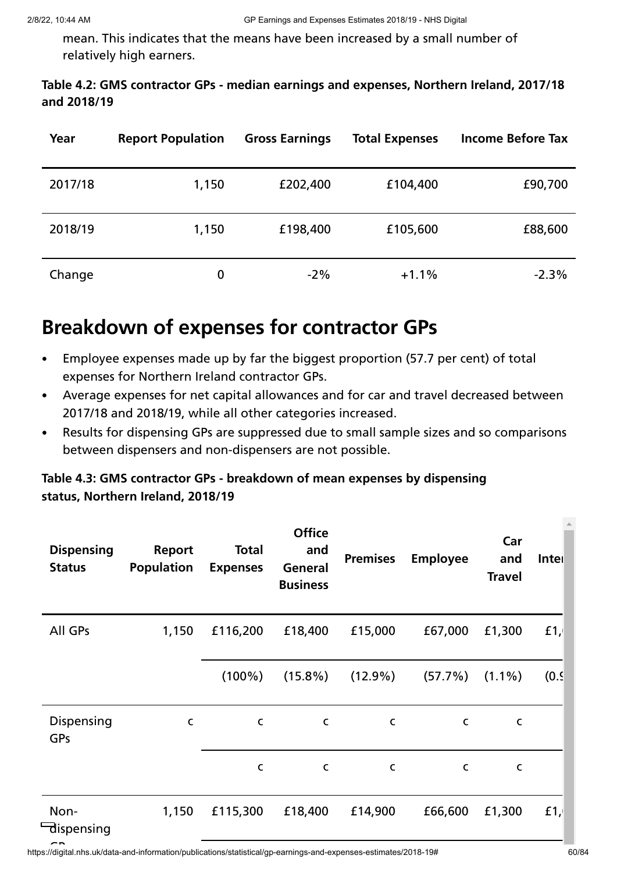mean. This indicates that the means have been increased by a small number of relatively high earners.

### **Table 4.2: GMS contractor GPs - median earnings and expenses, Northern Ireland, 2017/18 and 2018/19**

| Year    | <b>Report Population</b> | <b>Gross Earnings</b> | <b>Total Expenses</b> | <b>Income Before Tax</b> |
|---------|--------------------------|-----------------------|-----------------------|--------------------------|
| 2017/18 | 1,150                    | £202,400              | £104,400              | £90,700                  |
| 2018/19 | 1,150                    | £198,400              | £105,600              | £88,600                  |
| Change  | 0                        | $-2\%$                | $+1.1%$               | $-2.3%$                  |

# **Breakdown of expenses for contractor GPs**

- Employee expenses made up by far the biggest proportion (57.7 per cent) of total  $\bullet$ expenses for Northern Ireland contractor GPs.
- Average expenses for net capital allowances and for car and travel decreased between  $\bullet$ 2017/18 and 2018/19, while all other categories increased.
- Results for dispensing GPs are suppressed due to small sample sizes and so comparisons  $\bullet$ between dispensers and non-dispensers are not possible.

# **Table 4.3: GMS contractor GPs - breakdown of mean expenses by dispensing status, Northern Ireland, 2018/19**

| <b>Dispensing</b><br><b>Status</b> | <b>Report</b><br><b>Population</b> | <b>Total</b><br><b>Expenses</b> | <b>Office</b><br>and<br>General<br><b>Business</b> | <b>Premises</b> | <b>Employee</b> | Car<br>and<br><b>Travel</b> | Inter  |
|------------------------------------|------------------------------------|---------------------------------|----------------------------------------------------|-----------------|-----------------|-----------------------------|--------|
| All GPs                            | 1,150                              | £116,200                        | £18,400                                            | £15,000         | £67,000         | £1,300                      | $f1$ , |
|                                    |                                    | $(100\%)$                       | $(15.8\%)$                                         | $(12.9\%)$      | (57.7%)         | $(1.1\%)$                   | (0.9)  |
| Dispensing<br>GPs                  | C                                  | $\mathsf{C}$                    | C                                                  | $\mathsf{C}$    | $\mathsf{C}$    | C                           |        |
|                                    |                                    | $\mathsf{C}$                    | C                                                  | $\mathsf C$     | $\mathsf{C}$    | $\mathsf{C}$                |        |
| Non-<br>dispensing                 | 1,150                              | £115,300                        | £18,400                                            | £14,900         | £66,600         | £1,300                      | $f1$ , |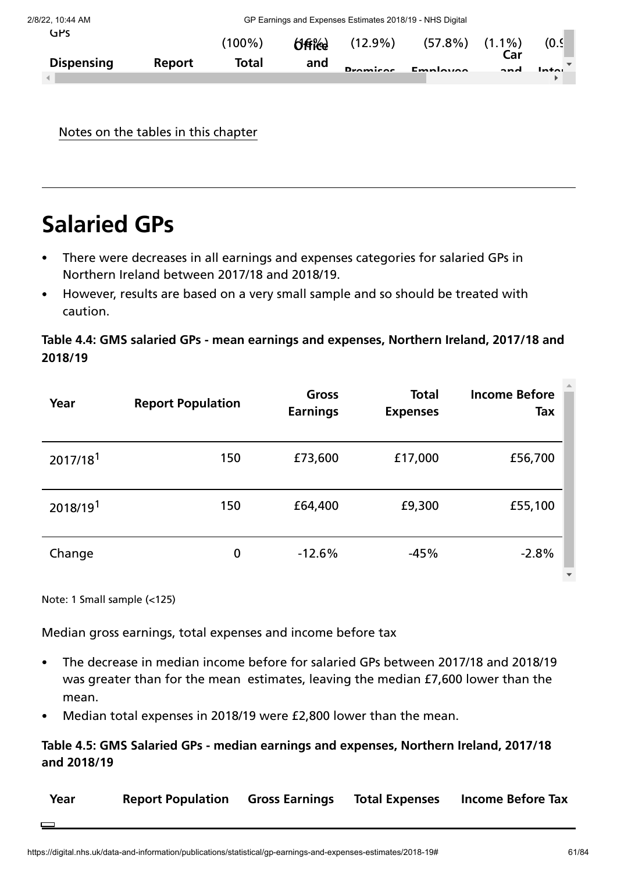| 2/8/22, 10:44 AM  |               | GP Earnings and Expenses Estimates 2018/19 - NHS Digital |               |                 |                      |                   |       |
|-------------------|---------------|----------------------------------------------------------|---------------|-----------------|----------------------|-------------------|-------|
| GPS               |               | (100%)                                                   | <b>Office</b> | $(12.9\%)$      | $(57.8\%)$ $(1.1\%)$ |                   | (0.9) |
| <b>Dispensing</b> | <b>Report</b> | Total                                                    | and           | <b>Dromicos</b> | Employee             | Car<br><b>ond</b> | Intou |
|                   |               |                                                          |               |                 |                      |                   |       |

Notes on the tables in this chapter

# **Salaried GPs**

- There were decreases in all earnings and expenses categories for salaried GPs in Northern Ireland between 2017/18 and 2018/19.
- However, results are based on a very small sample and so should be treated with caution.

### **Table 4.4: GMS salaried GPs - mean earnings and expenses, Northern Ireland, 2017/18 and 2018/19**

| Year                 | <b>Report Population</b> | Gross<br><b>Earnings</b> | <b>Total</b><br><b>Expenses</b> | <b>Income Before</b><br>Tax |
|----------------------|--------------------------|--------------------------|---------------------------------|-----------------------------|
| 2017/18 <sup>1</sup> | 150                      | £73,600                  | £17,000                         | £56,700                     |
| 2018/191             | 150                      | £64,400                  | £9,300                          | £55,100                     |
| Change               | 0                        | $-12.6%$                 | $-45%$                          | $-2.8%$                     |

Note: 1 Small sample (<125)

Median gross earnings, total expenses and income before tax

- The decrease in median income before for salaried GPs between 2017/18 and 2018/19 was greater than for the mean estimates, leaving the median £7,600 lower than the mean.
- Median total expenses in 2018/19 were £2,800 lower than the mean.

### **Table 4.5: GMS Salaried GPs - median earnings and expenses, Northern Ireland, 2017/18 and 2018/19**

| Year | <b>Report Population Gross Earnings Total Expenses</b> |  | <b>Income Before Tax</b> |
|------|--------------------------------------------------------|--|--------------------------|
|      |                                                        |  |                          |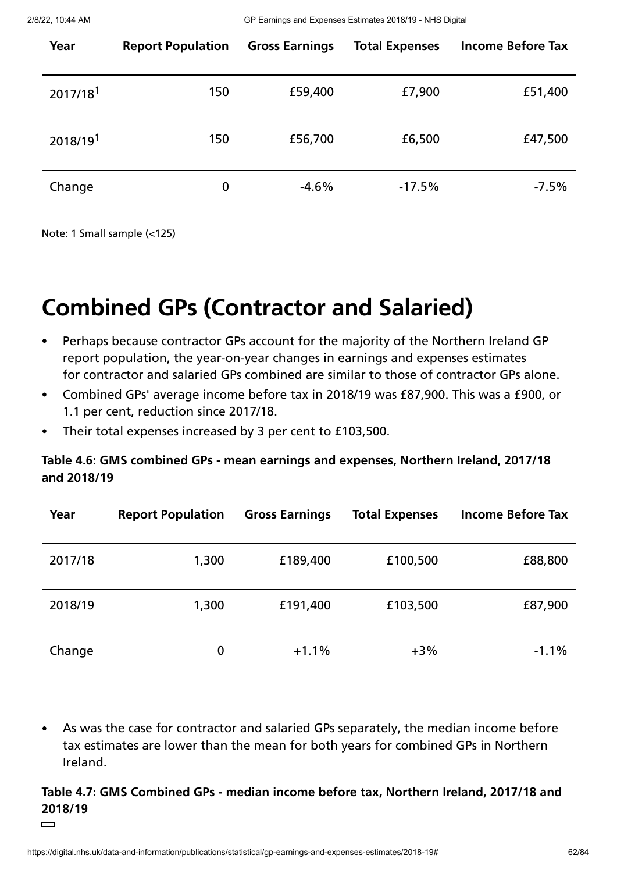| Year                 | <b>Report Population</b> | <b>Gross Earnings</b> | <b>Total Expenses</b> | <b>Income Before Tax</b> |
|----------------------|--------------------------|-----------------------|-----------------------|--------------------------|
| 2017/18 <sup>1</sup> | 150                      | £59,400               | £7,900                | £51,400                  |
| 2018/19 <sup>1</sup> | 150                      | £56,700               | £6,500                | £47,500                  |
| Change               | $\mathbf 0$              | $-4.6%$               | $-17.5%$              | $-7.5%$                  |

Note: 1 Small sample (<125)

# **Combined GPs (Contractor and Salaried)**

- Perhaps because contractor GPs account for the majority of the Northern Ireland GP report population, the year-on-year changes in earnings and expenses estimates for contractor and salaried GPs combined are similar to those of contractor GPs alone.
- Combined GPs' average income before tax in 2018/19 was £87,900. This was a £900, or  $\bullet$ 1.1 per cent, reduction since 2017/18.
- Their total expenses increased by 3 per cent to £103,500.  $\bullet$

# **Table 4.6: GMS combined GPs - mean earnings and expenses, Northern Ireland, 2017/18 and 2018/19**

| Year    | <b>Report Population</b> | <b>Gross Earnings</b> | <b>Total Expenses</b> | <b>Income Before Tax</b> |
|---------|--------------------------|-----------------------|-----------------------|--------------------------|
| 2017/18 | 1,300                    | £189,400              | £100,500              | £88,800                  |
| 2018/19 | 1,300                    | £191,400              | £103,500              | £87,900                  |
| Change  | 0                        | $+1.1%$               | $+3%$                 | $-1.1%$                  |

As was the case for contractor and salaried GPs separately, the median income before  $\bullet$ tax estimates are lower than the mean for both years for combined GPs in Northern Ireland.

# **Table 4.7: GMS Combined GPs - median income before tax, Northern Ireland, 2017/18 and 2018/19**

 $\Box$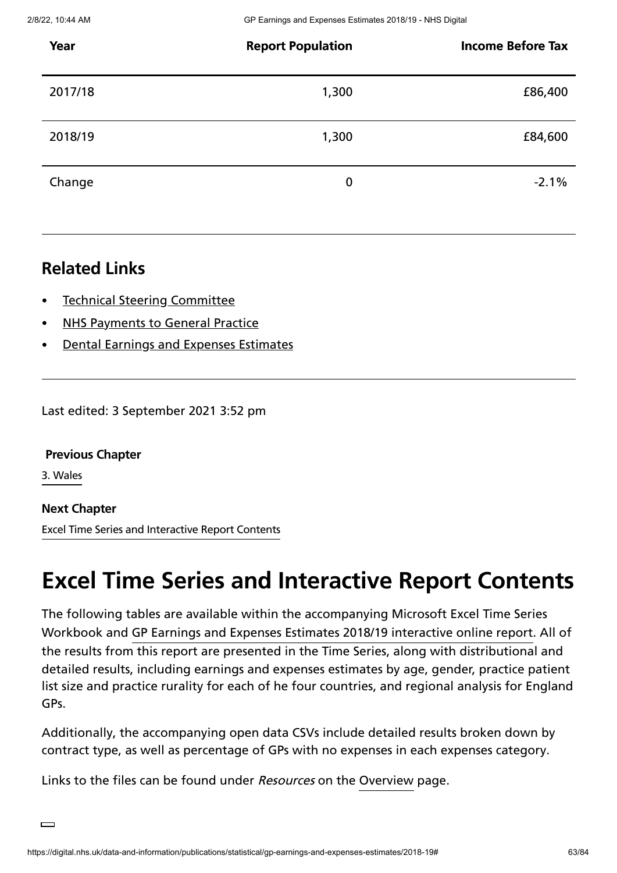| Year    | <b>Report Population</b> | <b>Income Before Tax</b> |
|---------|--------------------------|--------------------------|
| 2017/18 | 1,300                    | £86,400                  |
| 2018/19 | 1,300                    | £84,600                  |
| Change  | $\boldsymbol{0}$         | $-2.1%$                  |

# **Related Links**

- Technical Steering [Committee](https://digital.nhs.uk/data-and-information/areas-of-interest/workforce/technical-steering-committee-tsc)
- NHS [Payments](https://digital.nhs.uk/data-and-information/publications/statistical/nhs-payments-to-general-practice) to General Practice
- Dental Earnings and Expenses [Estimates](https://digital.nhs.uk/data-and-information/publications/statistical/dental-earnings-and-expenses-estimates)

Last edited: 3 September 2021 3:52 pm

**[Previous](https://digital.nhs.uk/data-and-information/publications/statistical/gp-earnings-and-expenses-estimates/2018-19/wales) Chapter**

3. Wales

### **Next Chapter**

Excel Time Series and [Interactive](https://digital.nhs.uk/data-and-information/publications/statistical/gp-earnings-and-expenses-estimates/2018-19/time-series-contents) Report Contents

# **Excel Time Series and Interactive Report Contents**

The following tables are available within the accompanying Microsoft Excel Time Series Workbook and GP Earnings and Expenses Estimates 2018/19 [interactive](https://app.powerbi.com/view?r=eyJrIjoiM2VlOWJiOWQtNzA1OS00ZmRmLThlNDYtNDc2MzhkYzg4ZDM5IiwidCI6IjUwZjYwNzFmLWJiZmUtNDAxYS04ODAzLTY3Mzc0OGU2MjllMiIsImMiOjh9&pageName=ReportSection9) online report. All of the results from this report are presented in the Time Series, along with distributional and detailed results, including earnings and expenses estimates by age, gender, practice patient list size and practice rurality for each of he four countries, and regional analysis for England GPs.

Additionally, the accompanying open data CSVs include detailed results broken down by contract type, as well as percentage of GPs with no expenses in each expenses category.

Links to the files can be found under *Resources* on the [Overview](https://digital.nhs.uk/data-and-information/publications/statistical/gp-earnings-and-expenses-estimates/2018-19) page.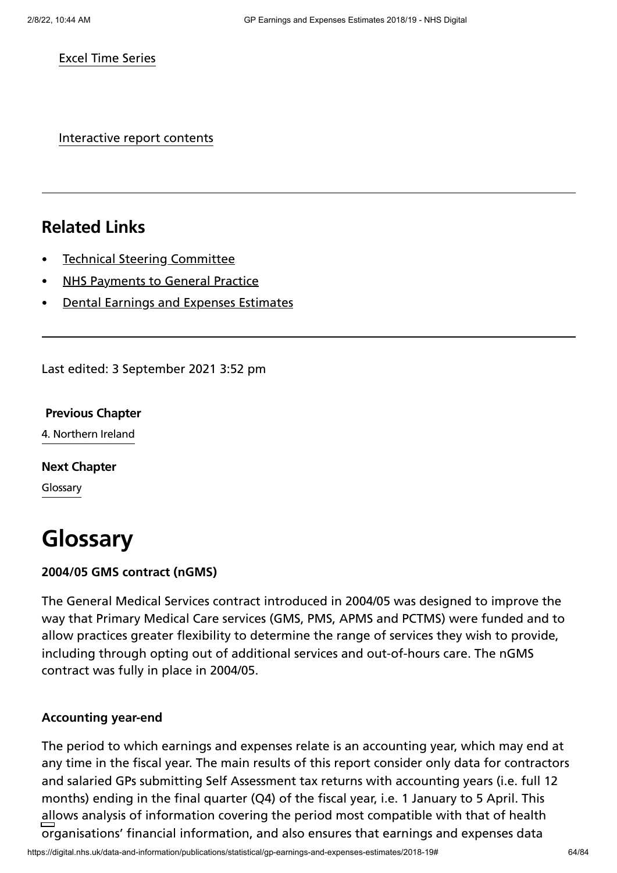#### Excel Time Series

Interactive report contents

# **Related Links**

- Technical Steering [Committee](https://digital.nhs.uk/data-and-information/areas-of-interest/workforce/technical-steering-committee-tsc)
- NHS [Payments](https://digital.nhs.uk/data-and-information/publications/statistical/nhs-payments-to-general-practice) to General Practice
- Dental Earnings and Expenses [Estimates](https://digital.nhs.uk/data-and-information/publications/statistical/dental-earnings-and-expenses-estimates)

Last edited: 3 September 2021 3:52 pm

# **[Previous](https://digital.nhs.uk/data-and-information/publications/statistical/gp-earnings-and-expenses-estimates/2018-19/northern-ireland) Chapter**

4. Northern Ireland

**Next [Chapter](https://digital.nhs.uk/data-and-information/publications/statistical/gp-earnings-and-expenses-estimates/2018-19/glossary)**

Glossary

# **Glossary**

#### **2004/05 GMS contract (nGMS)**

The General Medical Services contract introduced in 2004/05 was designed to improve the way that Primary Medical Care services (GMS, PMS, APMS and PCTMS) were funded and to allow practices greater flexibility to determine the range of services they wish to provide, including through opting out of additional services and out-of-hours care. The nGMS contract was fully in place in 2004/05.

#### **Accounting year-end**

The period to which earnings and expenses relate is an accounting year, which may end at any time in the fiscal year. The main results of this report consider only data for contractors and salaried GPs submitting Self Assessment tax returns with accounting years (i.e. full 12 months) ending in the final quarter (Q4) of the fiscal year, i.e. 1 January to 5 April. This allows analysis of information covering the period most compatible with that of health organisations' financial information, and also ensures that earnings and expenses data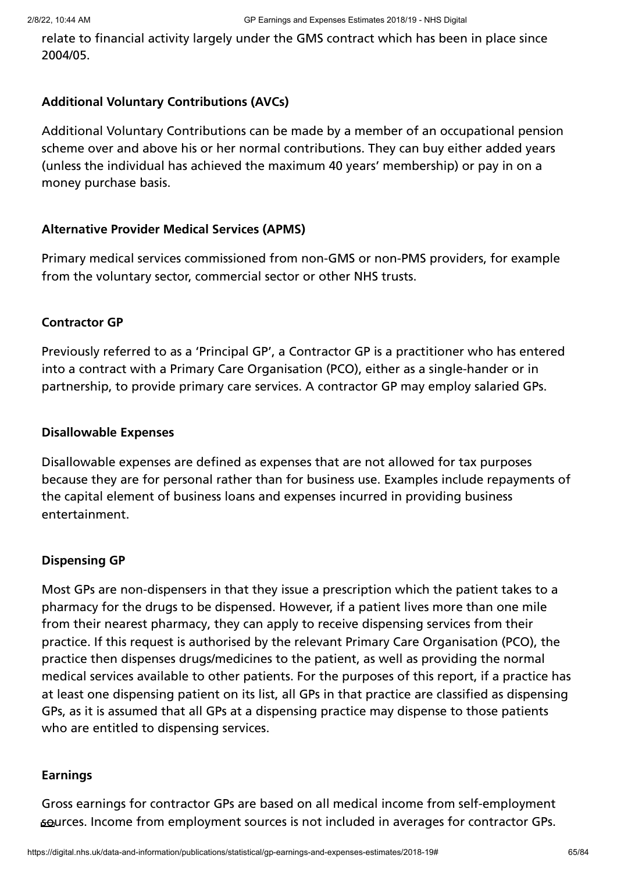relate to financial activity largely under the GMS contract which has been in place since 2004/05.

### **Additional Voluntary Contributions (AVCs)**

Additional Voluntary Contributions can be made by a member of an occupational pension scheme over and above his or her normal contributions. They can buy either added years (unless the individual has achieved the maximum 40 years' membership) or pay in on a money purchase basis.

### **Alternative Provider Medical Services (APMS)**

Primary medical services commissioned from non-GMS or non-PMS providers, for example from the voluntary sector, commercial sector or other NHS trusts.

### **Contractor GP**

Previously referred to as a 'Principal GP', a Contractor GP is a practitioner who has entered into a contract with a Primary Care Organisation (PCO), either as a single-hander or in partnership, to provide primary care services. A contractor GP may employ salaried GPs.

### **Disallowable Expenses**

Disallowable expenses are defined as expenses that are not allowed for tax purposes because they are for personal rather than for business use. Examples include repayments of the capital element of business loans and expenses incurred in providing business entertainment.

### **Dispensing GP**

Most GPs are non-dispensers in that they issue a prescription which the patient takes to a pharmacy for the drugs to be dispensed. However, if a patient lives more than one mile from their nearest pharmacy, they can apply to receive dispensing services from their practice. If this request is authorised by the relevant Primary Care Organisation (PCO), the practice then dispenses drugs/medicines to the patient, as well as providing the normal medical services available to other patients. For the purposes of this report, if a practice has at least one dispensing patient on its list, all GPs in that practice are classified as dispensing GPs, as it is assumed that all GPs at a dispensing practice may dispense to those patients who are entitled to dispensing services.

### **Earnings**

Gross earnings for contractor GPs are based on all medical income from self-employment sources. Income from employment sources is not included in averages for contractor GPs.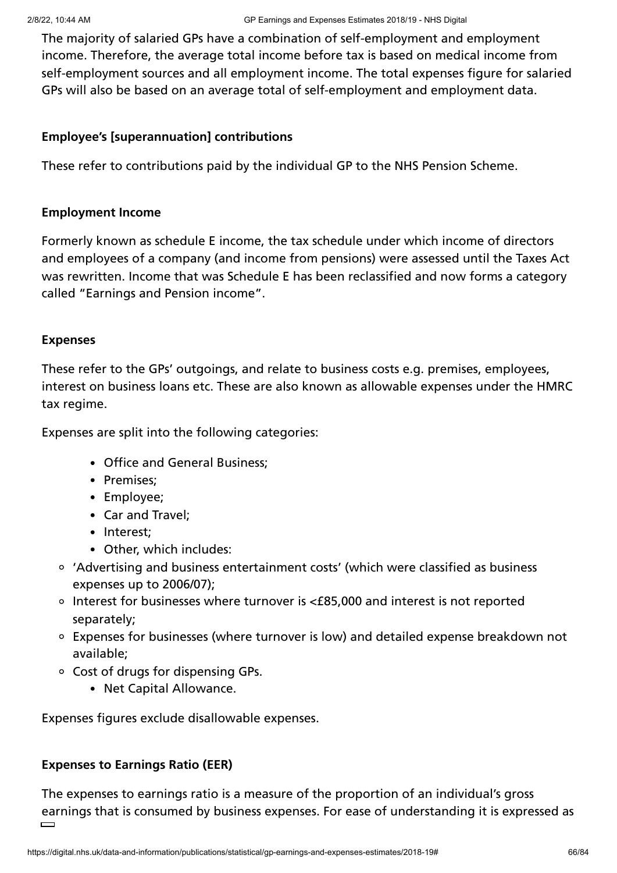The majority of salaried GPs have a combination of self-employment and employment income. Therefore, the average total income before tax is based on medical income from self-employment sources and all employment income. The total expenses figure for salaried GPs will also be based on an average total of self-employment and employment data.

### **Employee's [superannuation] contributions**

These refer to contributions paid by the individual GP to the NHS Pension Scheme.

### **Employment Income**

Formerly known as schedule E income, the tax schedule under which income of directors and employees of a company (and income from pensions) were assessed until the Taxes Act was rewritten. Income that was Schedule E has been reclassified and now forms a category called "Earnings and Pension income".

### **Expenses**

These refer to the GPs' outgoings, and relate to business costs e.g. premises, employees, interest on business loans etc. These are also known as allowable expenses under the HMRC tax regime.

Expenses are split into the following categories:

- Office and General Business;
- Premises;
- Employee;
- Car and Travel;
- Interest:
- Other, which includes:
- 'Advertising and business entertainment costs' (which were classified as business expenses up to 2006/07);
- Interest for businesses where turnover is <£85,000 and interest is not reported separately;
- Expenses for businesses (where turnover is low) and detailed expense breakdown not available;
- Cost of drugs for dispensing GPs.
	- Net Capital Allowance.

Expenses figures exclude disallowable expenses.

# **Expenses to Earnings Ratio (EER)**

The expenses to earnings ratio is a measure of the proportion of an individual's gross earnings that is consumed by business expenses. For ease of understanding it is expressed as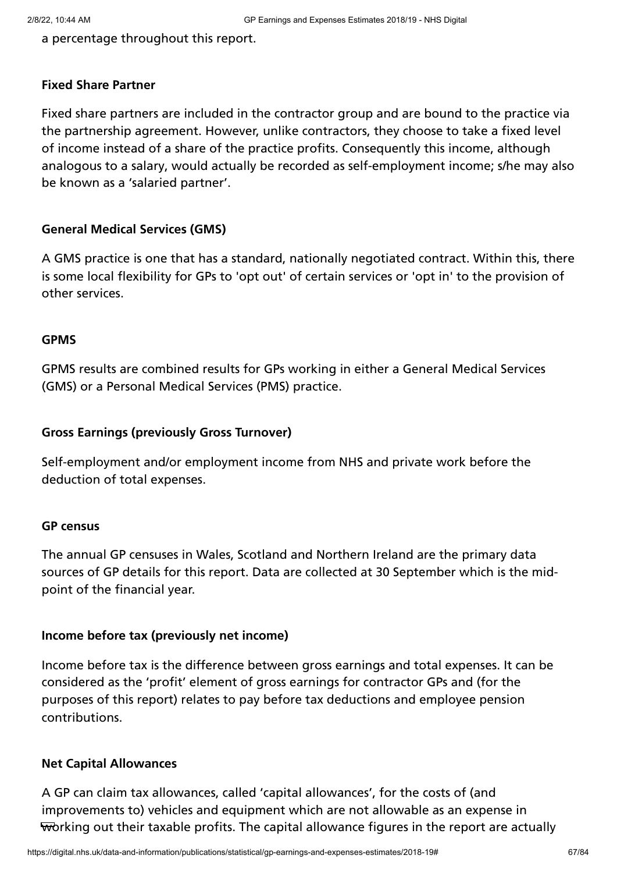a percentage throughout this report.

### **Fixed Share Partner**

Fixed share partners are included in the contractor group and are bound to the practice via the partnership agreement. However, unlike contractors, they choose to take a fixed level of income instead of a share of the practice profits. Consequently this income, although analogous to a salary, would actually be recorded as self-employment income; s/he may also be known as a 'salaried partner'.

### **General Medical Services (GMS)**

A GMS practice is one that has a standard, nationally negotiated contract. Within this, there is some local flexibility for GPs to 'opt out' of certain services or 'opt in' to the provision of other services.

### **GPMS**

GPMS results are combined results for GPs working in either a General Medical Services (GMS) or a Personal Medical Services (PMS) practice.

### **Gross Earnings (previously Gross Turnover)**

Self-employment and/or employment income from NHS and private work before the deduction of total expenses.

### **GP census**

The annual GP censuses in Wales, Scotland and Northern Ireland are the primary data sources of GP details for this report. Data are collected at 30 September which is the midpoint of the financial year.

### **Income before tax (previously net income)**

Income before tax is the difference between gross earnings and total expenses. It can be considered as the 'profit' element of gross earnings for contractor GPs and (for the purposes of this report) relates to pay before tax deductions and employee pension contributions.

### **Net Capital Allowances**

A GP can claim tax allowances, called 'capital allowances', for the costs of (and improvements to) vehicles and equipment which are not allowable as an expense in working out their taxable profits. The capital allowance figures in the report are actually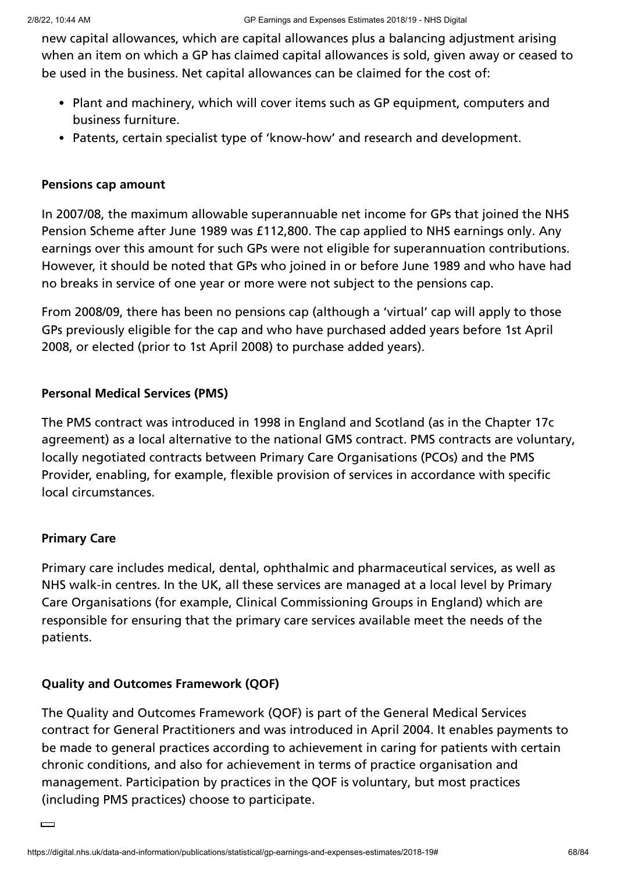new capital allowances, which are capital allowances plus a balancing adjustment arising when an item on which a GP has claimed capital allowances is sold, given away or ceased to be used in the business. Net capital allowances can be claimed for the cost of:

- Plant and machinery, which will cover items such as GP equipment, computers and business furniture.
- Patents, certain specialist type of 'know-how' and research and development.

#### **Pensions cap amount**

In 2007/08, the maximum allowable superannuable net income for GPs that joined the NHS Pension Scheme after June 1989 was £112,800. The cap applied to NHS earnings only. Any earnings over this amount for such GPs were not eligible for superannuation contributions. However, it should be noted that GPs who joined in or before June 1989 and who have had no breaks in service of one year or more were not subject to the pensions cap.

From 2008/09, there has been no pensions cap (although a 'virtual' cap will apply to those GPs previously eligible for the cap and who have purchased added years before 1st April 2008, or elected (prior to 1st April 2008) to purchase added years).

### **Personal Medical Services (PMS)**

The PMS contract was introduced in 1998 in England and Scotland (as in the Chapter 17c agreement) as a local alternative to the national GMS contract. PMS contracts are voluntary, locally negotiated contracts between Primary Care Organisations (PCOs) and the PMS Provider, enabling, for example, flexible provision of services in accordance with specific local circumstances.

### **Primary Care**

Primary care includes medical, dental, ophthalmic and pharmaceutical services, as well as NHS walk-in centres. In the UK, all these services are managed at a local level by Primary Care Organisations (for example, Clinical Commissioning Groups in England) which are responsible for ensuring that the primary care services available meet the needs of the patients.

### **Quality and Outcomes Framework (QOF)**

The Quality and Outcomes Framework (QOF) is part of the General Medical Services contract for General Practitioners and was introduced in April 2004. It enables payments to be made to general practices according to achievement in caring for patients with certain chronic conditions, and also for achievement in terms of practice organisation and management. Participation by practices in the QOF is voluntary, but most practices (including PMS practices) choose to participate.

 $\equiv$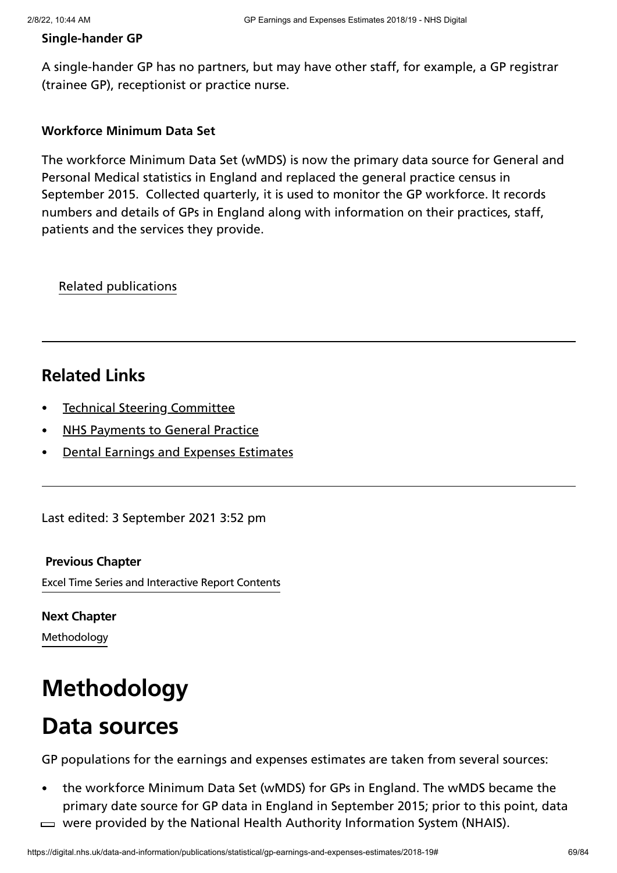### **Single-hander GP**

A single-hander GP has no partners, but may have other staff, for example, a GP registrar (trainee GP), receptionist or practice nurse.

### **Workforce Minimum Data Set**

The workforce Minimum Data Set (wMDS) is now the primary data source for General and Personal Medical statistics in England and replaced the general practice census in September 2015. Collected quarterly, it is used to monitor the GP workforce. It records numbers and details of GPs in England along with information on their practices, staff, patients and the services they provide.

Related publications

# **Related Links**

- Technical Steering [Committee](https://digital.nhs.uk/data-and-information/areas-of-interest/workforce/technical-steering-committee-tsc)
- NHS [Payments](https://digital.nhs.uk/data-and-information/publications/statistical/nhs-payments-to-general-practice) to General Practice
- Dental Earnings and Expenses [Estimates](https://digital.nhs.uk/data-and-information/publications/statistical/dental-earnings-and-expenses-estimates)

Last edited: 3 September 2021 3:52 pm

#### **[Previous](https://digital.nhs.uk/data-and-information/publications/statistical/gp-earnings-and-expenses-estimates/2018-19/time-series-contents) Chapter**

Excel Time Series and Interactive Report Contents

**[Methodology](https://digital.nhs.uk/data-and-information/publications/statistical/gp-earnings-and-expenses-estimates/2018-19/methodology) Next Chapter**

# **Methodology**

# **Data sources**

GP populations for the earnings and expenses estimates are taken from several sources:

- the workforce Minimum Data Set (wMDS) for GPs in England. The wMDS became the primary date source for GP data in England in September 2015; prior to this point, data
- $\Rightarrow$  were provided by the National Health Authority Information System (NHAIS).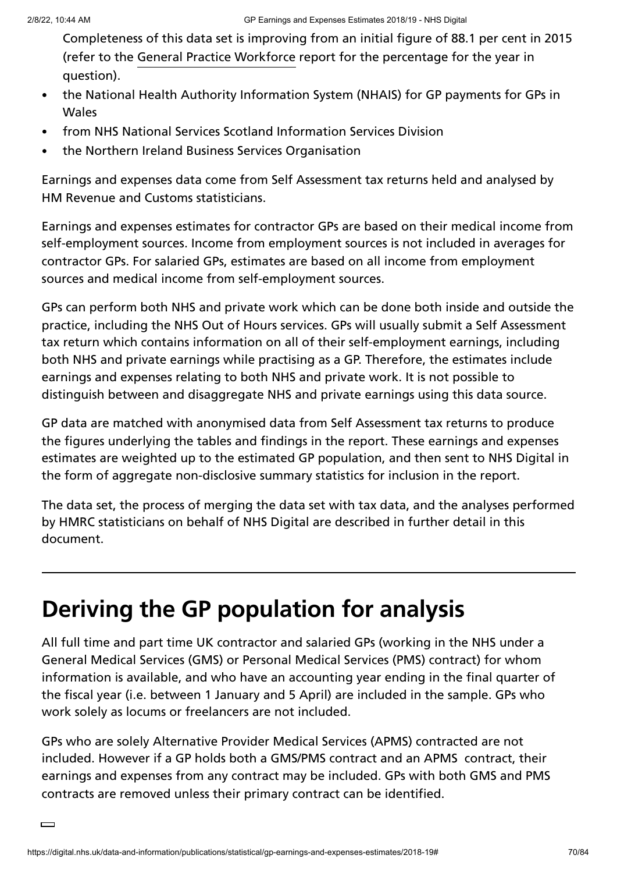Completeness of this data set is improving from an initial figure of 88.1 per cent in 2015 (refer to the General Practice [Workforce](https://digital.nhs.uk/data-and-information/publications/statistical/general-and-personal-medical-services) report for the percentage for the year in question).

- the National Health Authority Information System (NHAIS) for GP payments for GPs in **Wales**
- from NHS National Services Scotland Information Services Division
- the Northern Ireland Business Services Organisation

Earnings and expenses data come from Self Assessment tax returns held and analysed by HM Revenue and Customs statisticians.

Earnings and expenses estimates for contractor GPs are based on their medical income from self-employment sources. Income from employment sources is not included in averages for contractor GPs. For salaried GPs, estimates are based on all income from employment sources and medical income from self-employment sources.

GPs can perform both NHS and private work which can be done both inside and outside the practice, including the NHS Out of Hours services. GPs will usually submit a Self Assessment tax return which contains information on all of their self-employment earnings, including both NHS and private earnings while practising as a GP. Therefore, the estimates include earnings and expenses relating to both NHS and private work. It is not possible to distinguish between and disaggregate NHS and private earnings using this data source.

GP data are matched with anonymised data from Self Assessment tax returns to produce the figures underlying the tables and findings in the report. These earnings and expenses estimates are weighted up to the estimated GP population, and then sent to NHS Digital in the form of aggregate non-disclosive summary statistics for inclusion in the report.

The data set, the process of merging the data set with tax data, and the analyses performed by HMRC statisticians on behalf of NHS Digital are described in further detail in this document.

# **Deriving the GP population for analysis**

All full time and part time UK contractor and salaried GPs (working in the NHS under a General Medical Services (GMS) or Personal Medical Services (PMS) contract) for whom information is available, and who have an accounting year ending in the final quarter of the fiscal year (i.e. between 1 January and 5 April) are included in the sample. GPs who work solely as locums or freelancers are not included.

GPs who are solely Alternative Provider Medical Services (APMS) contracted are not included. However if a GP holds both a GMS/PMS contract and an APMS contract, their earnings and expenses from any contract may be included. GPs with both GMS and PMS contracts are removed unless their primary contract can be identified.

 $\Box$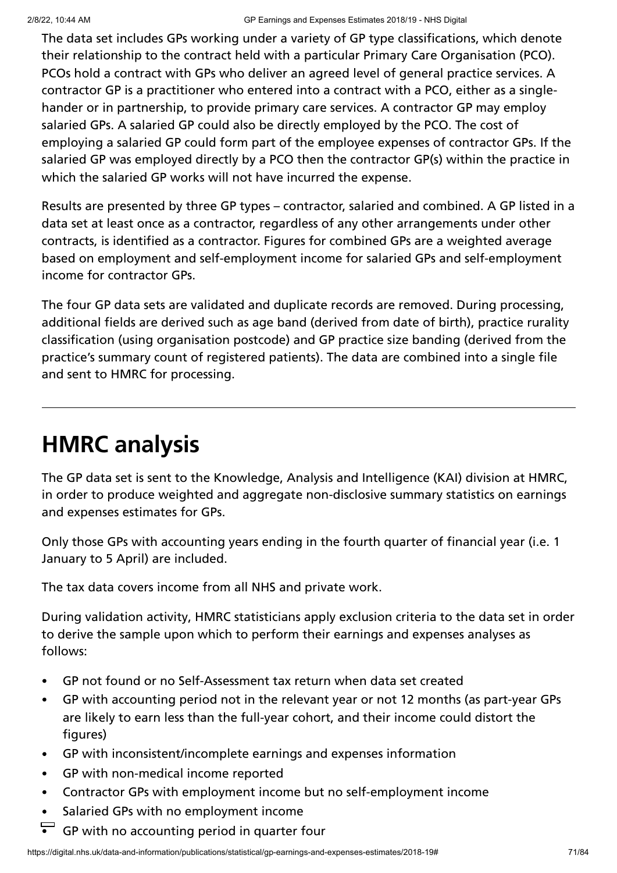The data set includes GPs working under a variety of GP type classifications, which denote their relationship to the contract held with a particular Primary Care Organisation (PCO). PCOs hold a contract with GPs who deliver an agreed level of general practice services. A contractor GP is a practitioner who entered into a contract with a PCO, either as a singlehander or in partnership, to provide primary care services. A contractor GP may employ salaried GPs. A salaried GP could also be directly employed by the PCO. The cost of employing a salaried GP could form part of the employee expenses of contractor GPs. If the salaried GP was employed directly by a PCO then the contractor GP(s) within the practice in which the salaried GP works will not have incurred the expense.

Results are presented by three GP types – contractor, salaried and combined. A GP listed in a data set at least once as a contractor, regardless of any other arrangements under other contracts, is identified as a contractor. Figures for combined GPs are a weighted average based on employment and self-employment income for salaried GPs and self-employment income for contractor GPs.

The four GP data sets are validated and duplicate records are removed. During processing, additional fields are derived such as age band (derived from date of birth), practice rurality classification (using organisation postcode) and GP practice size banding (derived from the practice's summary count of registered patients). The data are combined into a single file and sent to HMRC for processing.

# **HMRC analysis**

The GP data set is sent to the Knowledge, Analysis and Intelligence (KAI) division at HMRC, in order to produce weighted and aggregate non-disclosive summary statistics on earnings and expenses estimates for GPs.

Only those GPs with accounting years ending in the fourth quarter of financial year (i.e. 1 January to 5 April) are included.

The tax data covers income from all NHS and private work.

During validation activity, HMRC statisticians apply exclusion criteria to the data set in order to derive the sample upon which to perform their earnings and expenses analyses as follows:

- GP not found or no Self-Assessment tax return when data set created  $\bullet$
- GP with accounting period not in the relevant year or not 12 months (as part-year GPs  $\bullet$ are likely to earn less than the full-year cohort, and their income could distort the figures)
- GP with inconsistent/incomplete earnings and expenses information  $\bullet$
- GP with non-medical income reported  $\bullet$
- Contractor GPs with employment income but no self-employment income  $\bullet$
- Salaried GPs with no employment income  $\bullet$
- GP with no accounting period in quarter four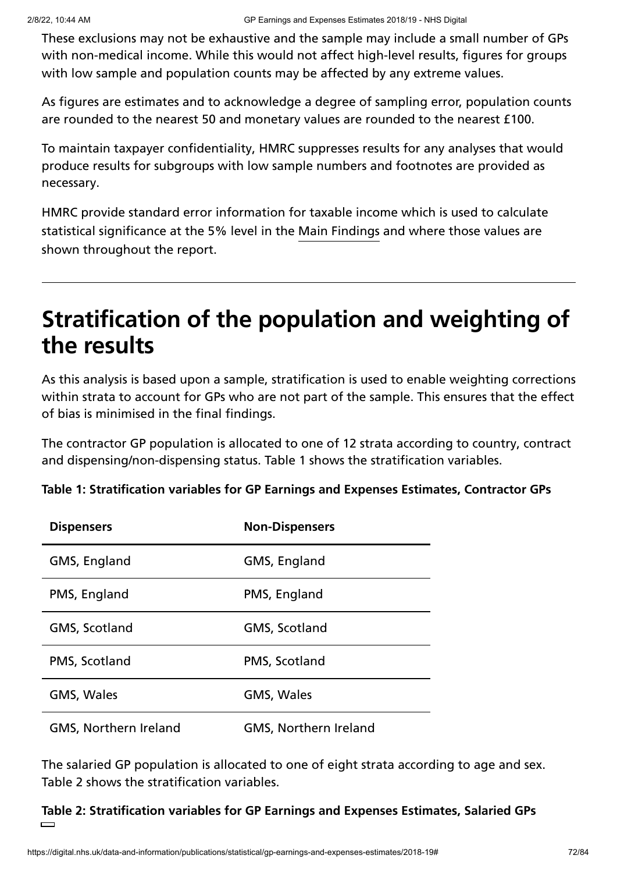These exclusions may not be exhaustive and the sample may include a small number of GPs with non-medical income. While this would not affect high-level results, figures for groups with low sample and population counts may be affected by any extreme values.

As figures are estimates and to acknowledge a degree of sampling error, population counts are rounded to the nearest 50 and monetary values are rounded to the nearest £100.

To maintain taxpayer confidentiality, HMRC suppresses results for any analyses that would produce results for subgroups with low sample numbers and footnotes are provided as necessary.

HMRC provide standard error information for taxable income which is used to calculate statistical significance at the 5% level in the Main [Findings](https://digital.nhs.uk/data-and-information/publications/statistical/gp-earnings-and-expenses-estimates/2018-19/main-findings) and where those values are shown throughout the report.

# **Stratification of the population and weighting of the results**

As this analysis is based upon a sample, stratification is used to enable weighting corrections within strata to account for GPs who are not part of the sample. This ensures that the effect of bias is minimised in the final findings.

The contractor GP population is allocated to one of 12 strata according to country, contract and dispensing/non-dispensing status. Table 1 shows the stratification variables.

| <b>Dispensers</b>            | <b>Non-Dispensers</b>        |
|------------------------------|------------------------------|
| GMS, England                 | GMS, England                 |
| PMS, England                 | PMS, England                 |
| GMS, Scotland                | GMS, Scotland                |
| PMS, Scotland                | PMS, Scotland                |
| <b>GMS, Wales</b>            | <b>GMS, Wales</b>            |
| <b>GMS, Northern Ireland</b> | <b>GMS, Northern Ireland</b> |

**Table 1: Stratification variables for GP Earnings and Expenses Estimates, Contractor GPs**

The salaried GP population is allocated to one of eight strata according to age and sex. Table 2 shows the stratification variables.

**Table 2: Stratification variables for GP Earnings and Expenses Estimates, Salaried GPs**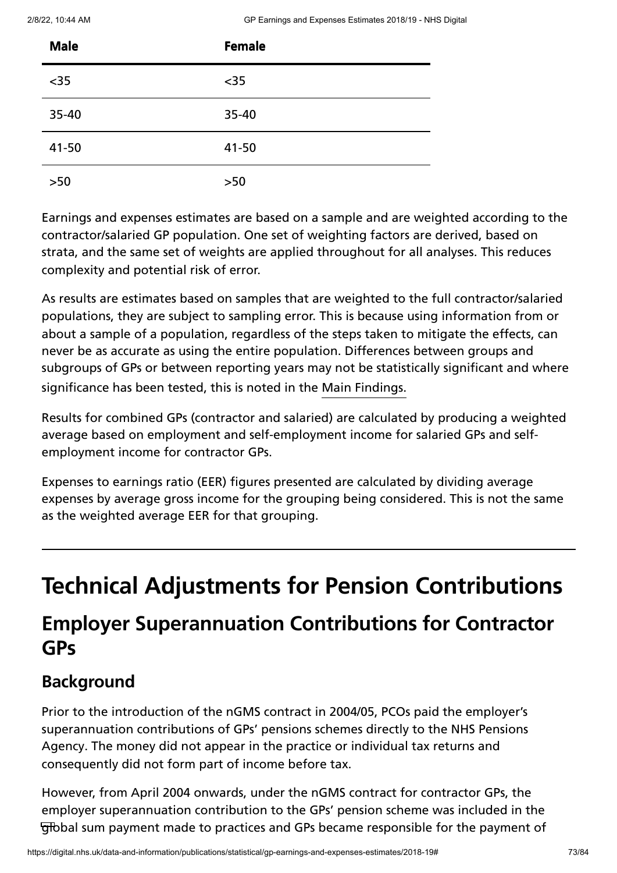| <b>Male</b> | <b>Female</b> |
|-------------|---------------|
| $35$        | $35$          |
| 35-40       | 35-40         |
| 41-50       | 41-50         |
| $>50$       | $>50$         |

Earnings and expenses estimates are based on a sample and are weighted according to the contractor/salaried GP population. One set of weighting factors are derived, based on strata, and the same set of weights are applied throughout for all analyses. This reduces complexity and potential risk of error.

As results are estimates based on samples that are weighted to the full contractor/salaried populations, they are subject to sampling error. This is because using information from or about a sample of a population, regardless of the steps taken to mitigate the effects, can never be as accurate as using the entire population. Differences between groups and subgroups of GPs or between reporting years may not be statistically significant and where significance has been tested, this is noted in the Main [Findings.](https://digital.nhs.uk/data-and-information/publications/statistical/gp-earnings-and-expenses-estimates/2018-19/main-findings)

Results for combined GPs (contractor and salaried) are calculated by producing a weighted average based on employment and self-employment income for salaried GPs and selfemployment income for contractor GPs.

Expenses to earnings ratio (EER) figures presented are calculated by dividing average expenses by average gross income for the grouping being considered. This is not the same as the weighted average EER for that grouping.

# **Technical Adjustments for Pension Contributions**

## **Employer Superannuation Contributions for Contractor GPs**

#### **Background**

Prior to the introduction of the nGMS contract in 2004/05, PCOs paid the employer's superannuation contributions of GPs' pensions schemes directly to the NHS Pensions Agency. The money did not appear in the practice or individual tax returns and consequently did not form part of income before tax.

However, from April 2004 onwards, under the nGMS contract for contractor GPs, the employer superannuation contribution to the GPs' pension scheme was included in the global sum payment made to practices and GPs became responsible for the payment of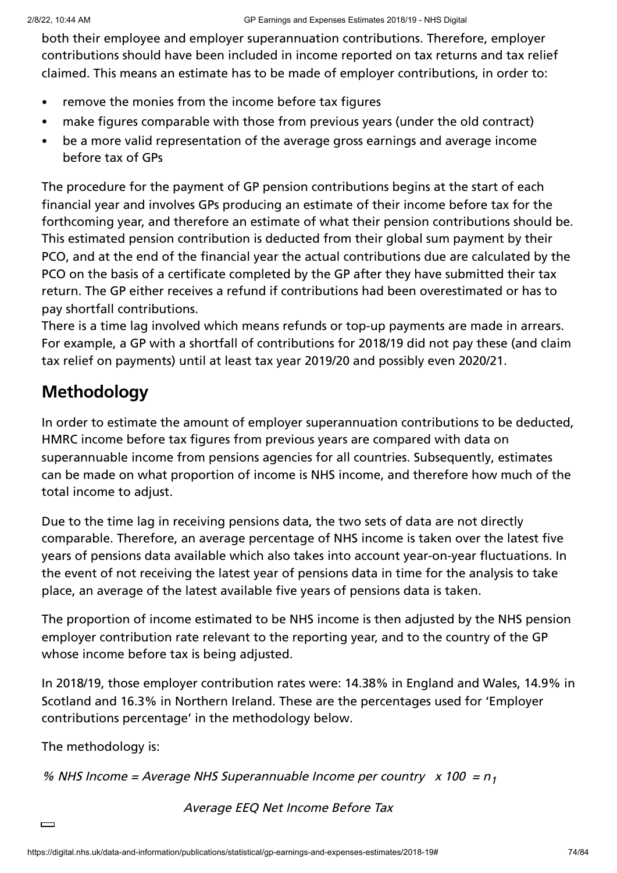both their employee and employer superannuation contributions. Therefore, employer contributions should have been included in income reported on tax returns and tax relief claimed. This means an estimate has to be made of employer contributions, in order to:

- remove the monies from the income before tax figures  $\bullet$
- make figures comparable with those from previous years (under the old contract)  $\bullet$
- be a more valid representation of the average gross earnings and average income  $\bullet$ before tax of GPs

The procedure for the payment of GP pension contributions begins at the start of each financial year and involves GPs producing an estimate of their income before tax for the forthcoming year, and therefore an estimate of what their pension contributions should be. This estimated pension contribution is deducted from their global sum payment by their PCO, and at the end of the financial year the actual contributions due are calculated by the PCO on the basis of a certificate completed by the GP after they have submitted their tax return. The GP either receives a refund if contributions had been overestimated or has to pay shortfall contributions.

There is a time lag involved which means refunds or top-up payments are made in arrears. For example, a GP with a shortfall of contributions for 2018/19 did not pay these (and claim tax relief on payments) until at least tax year 2019/20 and possibly even 2020/21.

#### **Methodology**

In order to estimate the amount of employer superannuation contributions to be deducted, HMRC income before tax figures from previous years are compared with data on superannuable income from pensions agencies for all countries. Subsequently, estimates can be made on what proportion of income is NHS income, and therefore how much of the total income to adjust.

Due to the time lag in receiving pensions data, the two sets of data are not directly comparable. Therefore, an average percentage of NHS income is taken over the latest five years of pensions data available which also takes into account year-on-year fluctuations. In the event of not receiving the latest year of pensions data in time for the analysis to take place, an average of the latest available five years of pensions data is taken.

The proportion of income estimated to be NHS income is then adjusted by the NHS pension employer contribution rate relevant to the reporting year, and to the country of the GP whose income before tax is being adjusted.

In 2018/19, those employer contribution rates were: 14.38% in England and Wales, 14.9% in Scotland and 16.3% in Northern Ireland. These are the percentages used for 'Employer contributions percentage' in the methodology below.

The methodology is:

% NHS Income = Average NHS Superannuable Income per country  $x$  100 =  $n_1$ 

Average EEQ Net Income Before Tax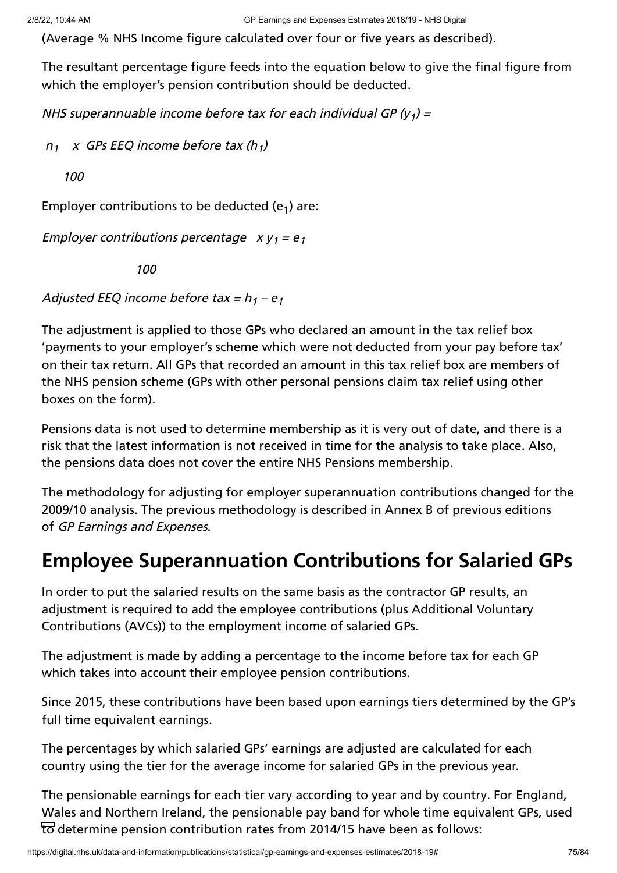(Average % NHS Income figure calculated over four or five years as described).

The resultant percentage figure feeds into the equation below to give the final figure from which the employer's pension contribution should be deducted.

NHS superannuable income before tax for each individual GP (y<sub>1</sub>) =

 $n_1$  x GPs EEQ income before tax (h<sub>1</sub>)

100

Employer contributions to be deducted  $(e_1)$  are:

Employer contributions percentage  $xy_1 = e_1$ 

100

Adjusted EEQ income before tax =  $h_1 - e_1$ 

The adjustment is applied to those GPs who declared an amount in the tax relief box 'payments to your employer's scheme which were not deducted from your pay before tax' on their tax return. All GPs that recorded an amount in this tax relief box are members of the NHS pension scheme (GPs with other personal pensions claim tax relief using other boxes on the form).

Pensions data is not used to determine membership as it is very out of date, and there is a risk that the latest information is not received in time for the analysis to take place. Also, the pensions data does not cover the entire NHS Pensions membership.

The methodology for adjusting for employer superannuation contributions changed for the 2009/10 analysis. The previous methodology is described in Annex B of previous editions of GP Earnings and Expenses.

## **Employee Superannuation Contributions for Salaried GPs**

In order to put the salaried results on the same basis as the contractor GP results, an adjustment is required to add the employee contributions (plus Additional Voluntary Contributions (AVCs)) to the employment income of salaried GPs.

The adjustment is made by adding a percentage to the income before tax for each GP which takes into account their employee pension contributions.

Since 2015, these contributions have been based upon earnings tiers determined by the GP's full time equivalent earnings.

The percentages by which salaried GPs' earnings are adjusted are calculated for each country using the tier for the average income for salaried GPs in the previous year.

The pensionable earnings for each tier vary according to year and by country. For England, Wales and Northern Ireland, the pensionable pay band for whole time equivalent GPs, used to determine pension contribution rates from 2014/15 have been as follows: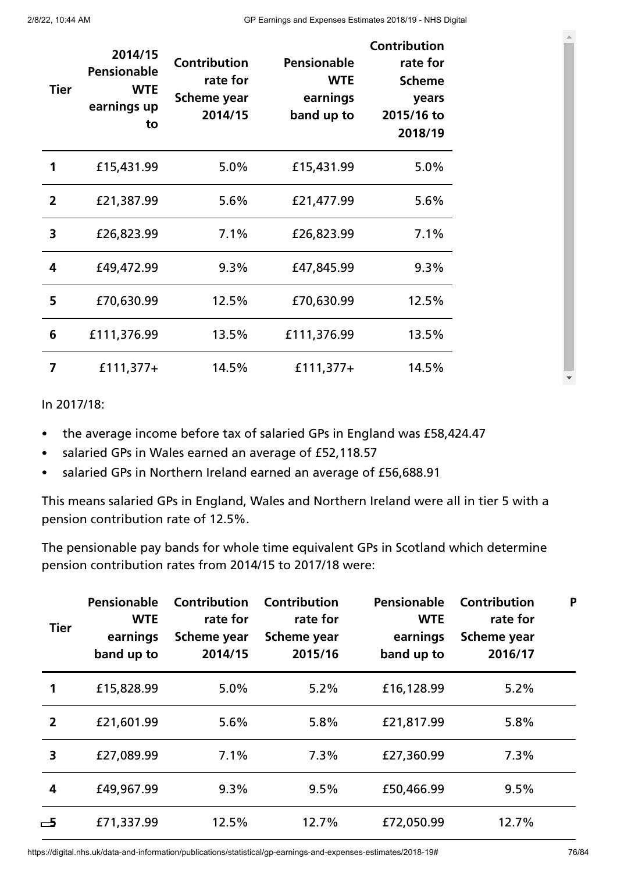| <b>Tier</b>    | 2014/15<br><b>Pensionable</b><br><b>WTE</b><br>earnings up<br>to | <b>Contribution</b><br>rate for<br><b>Scheme year</b><br>2014/15 | <b>Pensionable</b><br><b>WTE</b><br>earnings<br>band up to | <b>Contribution</b><br>rate for<br><b>Scheme</b><br>years<br>2015/16 to<br>2018/19 |
|----------------|------------------------------------------------------------------|------------------------------------------------------------------|------------------------------------------------------------|------------------------------------------------------------------------------------|
| 1              | £15,431.99                                                       | 5.0%                                                             | £15,431.99                                                 | 5.0%                                                                               |
| $\overline{2}$ | £21,387.99                                                       | 5.6%                                                             | £21,477.99                                                 | 5.6%                                                                               |
| 3              | £26,823.99                                                       | 7.1%                                                             | £26,823.99                                                 | 7.1%                                                                               |
| 4              | £49,472.99                                                       | 9.3%                                                             | £47,845.99                                                 | 9.3%                                                                               |
| 5              | £70,630.99                                                       | 12.5%                                                            | £70,630.99                                                 | 12.5%                                                                              |
| 6              | £111,376.99                                                      | 13.5%                                                            | £111,376.99                                                | 13.5%                                                                              |
| 7              | $£111,377+$                                                      | 14.5%                                                            | $£111,377+$                                                | 14.5%                                                                              |

#### In 2017/18:

- the average income before tax of salaried GPs in England was £58,424.47
- salaried GPs in Wales earned an average of £52,118.57  $\bullet$
- salaried GPs in Northern Ireland earned an average of £56,688.91  $\bullet$

This means salaried GPs in England, Wales and Northern Ireland were all in tier 5 with a pension contribution rate of 12.5%.

The pensionable pay bands for whole time equivalent GPs in Scotland which determine pension contribution rates from 2014/15 to 2017/18 were:

| <b>Tier</b>    | Pensionable<br><b>WTE</b><br>earnings<br>band up to | <b>Contribution</b><br>rate for<br>Scheme year<br>2014/15 | <b>Contribution</b><br>rate for<br><b>Scheme year</b><br>2015/16 | Pensionable<br><b>WTE</b><br>earnings<br>band up to | <b>Contribution</b><br>rate for<br>Scheme year<br>2016/17 | P |
|----------------|-----------------------------------------------------|-----------------------------------------------------------|------------------------------------------------------------------|-----------------------------------------------------|-----------------------------------------------------------|---|
|                | £15,828.99                                          | 5.0%                                                      | 5.2%                                                             | £16,128.99                                          | 5.2%                                                      |   |
| $\overline{2}$ | £21,601.99                                          | 5.6%                                                      | 5.8%                                                             | £21,817.99                                          | 5.8%                                                      |   |
| 3              | £27,089.99                                          | 7.1%                                                      | 7.3%                                                             | £27,360.99                                          | 7.3%                                                      |   |
| 4              | £49,967.99                                          | 9.3%                                                      | 9.5%                                                             | £50,466.99                                          | 9.5%                                                      |   |
| 一5             | £71,337.99                                          | 12.5%                                                     | 12.7%                                                            | £72,050.99                                          | 12.7%                                                     |   |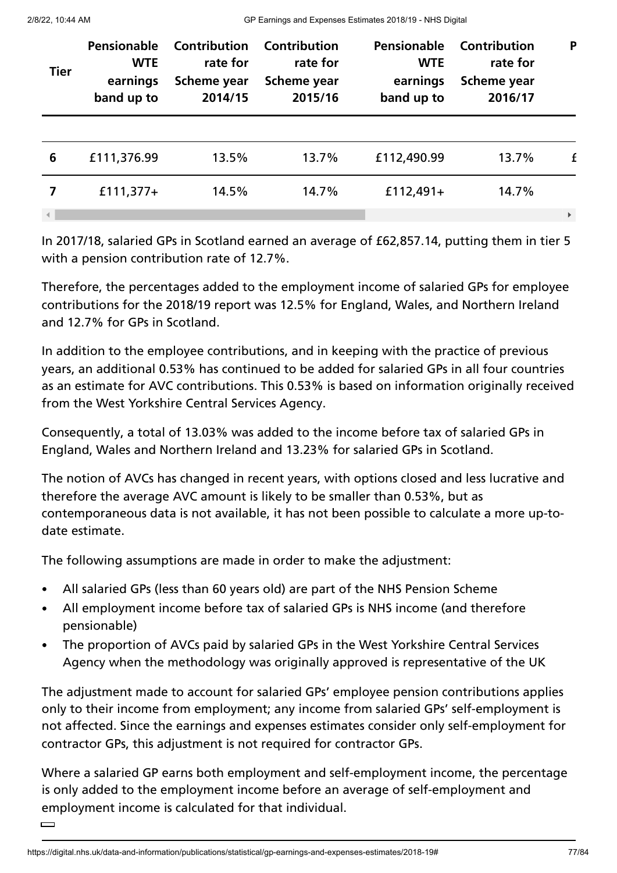2/8/22, 10:44 AM GP Earnings and Expenses Estimates 2018/19 - NHS Digital

| <b>Tier</b> | Pensionable<br><b>WTE</b><br>earnings<br>band up to | <b>Contribution</b><br>rate for<br>Scheme year<br>2014/15 | Contribution<br>rate for<br>Scheme year<br>2015/16 | Pensionable<br><b>WTE</b><br>earnings<br>band up to | Contribution<br>rate for<br>Scheme year<br>2016/17 | P                     |
|-------------|-----------------------------------------------------|-----------------------------------------------------------|----------------------------------------------------|-----------------------------------------------------|----------------------------------------------------|-----------------------|
|             |                                                     |                                                           |                                                    |                                                     |                                                    |                       |
| 6           | £111,376.99                                         | 13.5%                                                     | 13.7%                                              | £112,490.99                                         | 13.7%                                              | f                     |
| 7           | $£111,377+$                                         | 14.5%                                                     | 14.7%                                              | £112,491+                                           | 14.7%                                              |                       |
|             |                                                     |                                                           |                                                    |                                                     |                                                    | $\blacktriangleright$ |

In 2017/18, salaried GPs in Scotland earned an average of £62,857.14, putting them in tier 5 with a pension contribution rate of 12.7%.

Therefore, the percentages added to the employment income of salaried GPs for employee contributions for the 2018/19 report was 12.5% for England, Wales, and Northern Ireland and 12.7% for GPs in Scotland.

In addition to the employee contributions, and in keeping with the practice of previous years, an additional 0.53% has continued to be added for salaried GPs in all four countries as an estimate for AVC contributions. This 0.53% is based on information originally received from the West Yorkshire Central Services Agency.

Consequently, a total of 13.03% was added to the income before tax of salaried GPs in England, Wales and Northern Ireland and 13.23% for salaried GPs in Scotland.

The notion of AVCs has changed in recent years, with options closed and less lucrative and therefore the average AVC amount is likely to be smaller than 0.53%, but as contemporaneous data is not available, it has not been possible to calculate a more up-todate estimate.

The following assumptions are made in order to make the adjustment:

- All salaried GPs (less than 60 years old) are part of the NHS Pension Scheme
- All employment income before tax of salaried GPs is NHS income (and therefore pensionable)
- The proportion of AVCs paid by salaried GPs in the West Yorkshire Central Services Agency when the methodology was originally approved is representative of the UK

The adjustment made to account for salaried GPs' employee pension contributions applies only to their income from employment; any income from salaried GPs' self-employment is not affected. Since the earnings and expenses estimates consider only self-employment for contractor GPs, this adjustment is not required for contractor GPs.

Where a salaried GP earns both employment and self-employment income, the percentage is only added to the employment income before an average of self-employment and employment income is calculated for that individual.

 $\Box$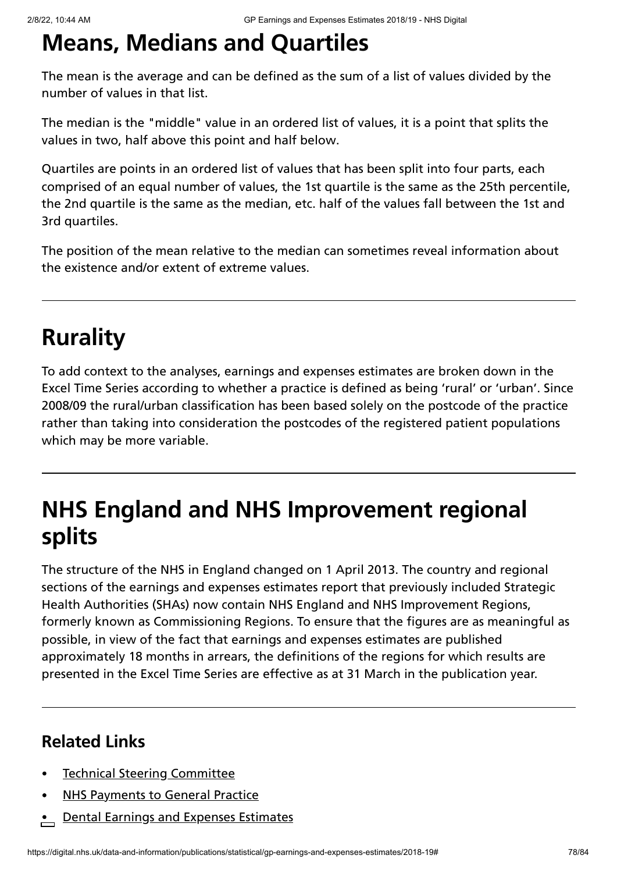# **Means, Medians and Quartiles**

The mean is the average and can be defined as the sum of a list of values divided by the number of values in that list.

The median is the "middle" value in an ordered list of values, it is a point that splits the values in two, half above this point and half below.

Quartiles are points in an ordered list of values that has been split into four parts, each comprised of an equal number of values, the 1st quartile is the same as the 25th percentile, the 2nd quartile is the same as the median, etc. half of the values fall between the 1st and 3rd quartiles.

The position of the mean relative to the median can sometimes reveal information about the existence and/or extent of extreme values.

# **Rurality**

To add context to the analyses, earnings and expenses estimates are broken down in the Excel Time Series according to whether a practice is defined as being 'rural' or 'urban'. Since 2008/09 the rural/urban classification has been based solely on the postcode of the practice rather than taking into consideration the postcodes of the registered patient populations which may be more variable.

# **NHS England and NHS Improvement regional splits**

The structure of the NHS in England changed on 1 April 2013. The country and regional sections of the earnings and expenses estimates report that previously included Strategic Health Authorities (SHAs) now contain NHS England and NHS Improvement Regions, formerly known as Commissioning Regions. To ensure that the figures are as meaningful as possible, in view of the fact that earnings and expenses estimates are published approximately 18 months in arrears, the definitions of the regions for which results are presented in the Excel Time Series are effective as at 31 March in the publication year.

### **Related Links**

- Technical Steering [Committee](https://digital.nhs.uk/data-and-information/areas-of-interest/workforce/technical-steering-committee-tsc)
- NHS [Payments](https://digital.nhs.uk/data-and-information/publications/statistical/nhs-payments-to-general-practice) to General Practice
- Dental Earnings and Expenses [Estimates](https://digital.nhs.uk/data-and-information/publications/statistical/dental-earnings-and-expenses-estimates)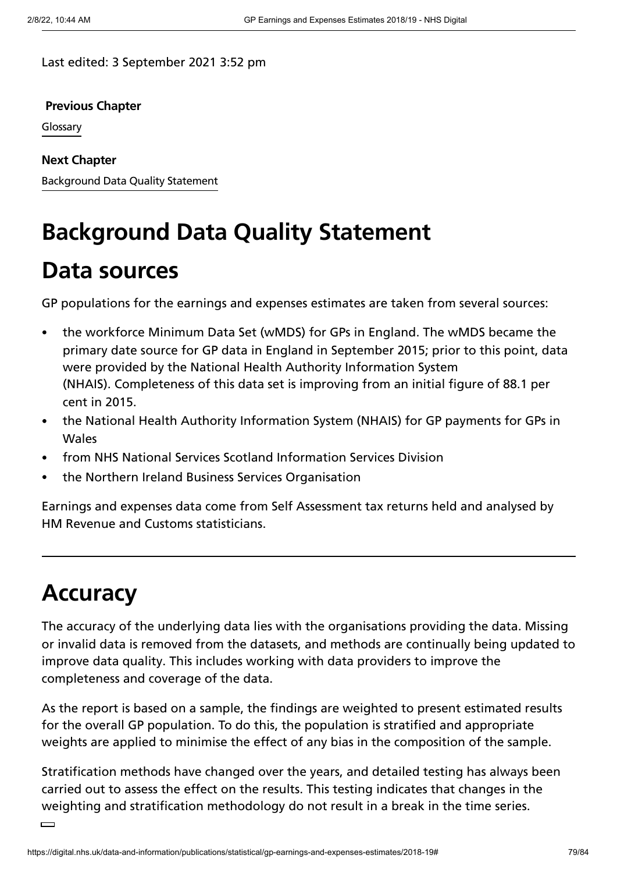Last edited: 3 September 2021 3:52 pm

**[Previous](https://digital.nhs.uk/data-and-information/publications/statistical/gp-earnings-and-expenses-estimates/2018-19/glossary) Chapter**

Glossary

**Next Chapter**

[Background](https://digital.nhs.uk/data-and-information/publications/statistical/gp-earnings-and-expenses-estimates/2018-19/data-quality-statement) Data Quality Statement

# **Background Data Quality Statement**

## **Data sources**

GP populations for the earnings and expenses estimates are taken from several sources:

- the workforce Minimum Data Set (wMDS) for GPs in England. The wMDS became the  $\bullet$ primary date source for GP data in England in September 2015; prior to this point, data were provided by the National Health Authority Information System (NHAIS). Completeness of this data set is improving from an initial figure of 88.1 per cent in 2015.
- the National Health Authority Information System (NHAIS) for GP payments for GPs in Wales
- from NHS National Services Scotland Information Services Division
- the Northern Ireland Business Services Organisation

Earnings and expenses data come from Self Assessment tax returns held and analysed by HM Revenue and Customs statisticians.

# **Accuracy**

The accuracy of the underlying data lies with the organisations providing the data. Missing or invalid data is removed from the datasets, and methods are continually being updated to improve data quality. This includes working with data providers to improve the completeness and coverage of the data.

As the report is based on a sample, the findings are weighted to present estimated results for the overall GP population. To do this, the population is stratified and appropriate weights are applied to minimise the effect of any bias in the composition of the sample.

Stratification methods have changed over the years, and detailed testing has always been carried out to assess the effect on the results. This testing indicates that changes in the weighting and stratification methodology do not result in a break in the time series.

 $\Box$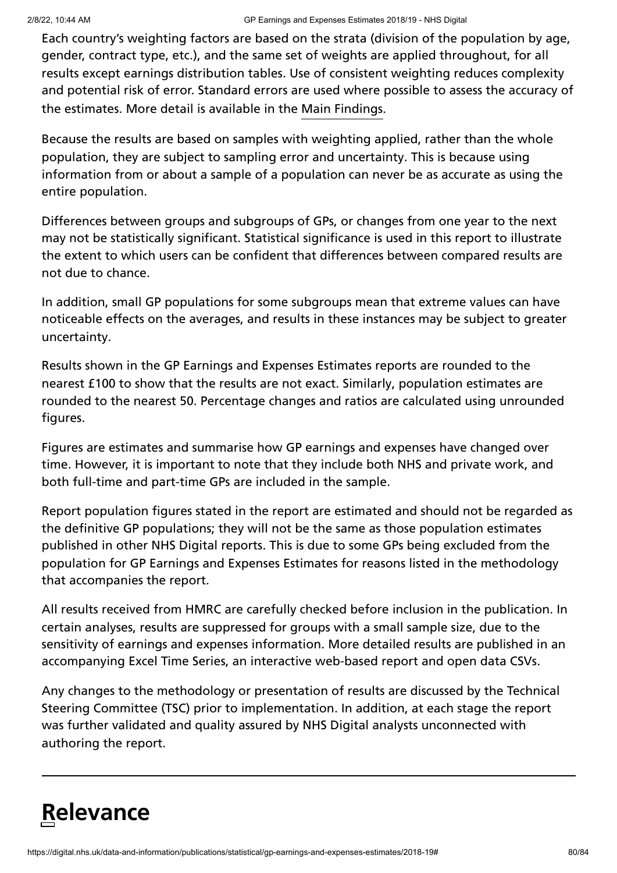Each country's weighting factors are based on the strata (division of the population by age, gender, contract type, etc.), and the same set of weights are applied throughout, for all results except earnings distribution tables. Use of consistent weighting reduces complexity and potential risk of error. Standard errors are used where possible to assess the accuracy of the estimates. More detail is available in the Main [Findings](https://digital.nhs.uk/data-and-information/publications/statistical/gp-earnings-and-expenses-estimates/2018-19/main-findings).

Because the results are based on samples with weighting applied, rather than the whole population, they are subject to sampling error and uncertainty. This is because using information from or about a sample of a population can never be as accurate as using the entire population.

Differences between groups and subgroups of GPs, or changes from one year to the next may not be statistically significant. Statistical significance is used in this report to illustrate the extent to which users can be confident that differences between compared results are not due to chance.

In addition, small GP populations for some subgroups mean that extreme values can have noticeable effects on the averages, and results in these instances may be subject to greater uncertainty.

Results shown in the GP Earnings and Expenses Estimates reports are rounded to the nearest £100 to show that the results are not exact. Similarly, population estimates are rounded to the nearest 50. Percentage changes and ratios are calculated using unrounded figures.

Figures are estimates and summarise how GP earnings and expenses have changed over time. However, it is important to note that they include both NHS and private work, and both full-time and part-time GPs are included in the sample.

Report population figures stated in the report are estimated and should not be regarded as the definitive GP populations; they will not be the same as those population estimates published in other NHS Digital reports. This is due to some GPs being excluded from the population for GP Earnings and Expenses Estimates for reasons listed in the methodology that accompanies the report.

All results received from HMRC are carefully checked before inclusion in the publication. In certain analyses, results are suppressed for groups with a small sample size, due to the sensitivity of earnings and expenses information. More detailed results are published in an accompanying Excel Time Series, an interactive web-based report and open data CSVs.

Any changes to the methodology or presentation of results are discussed by the Technical Steering Committee (TSC) prior to implementation. In addition, at each stage the report was further validated and quality assured by NHS Digital analysts unconnected with authoring the report.

# **Relevance**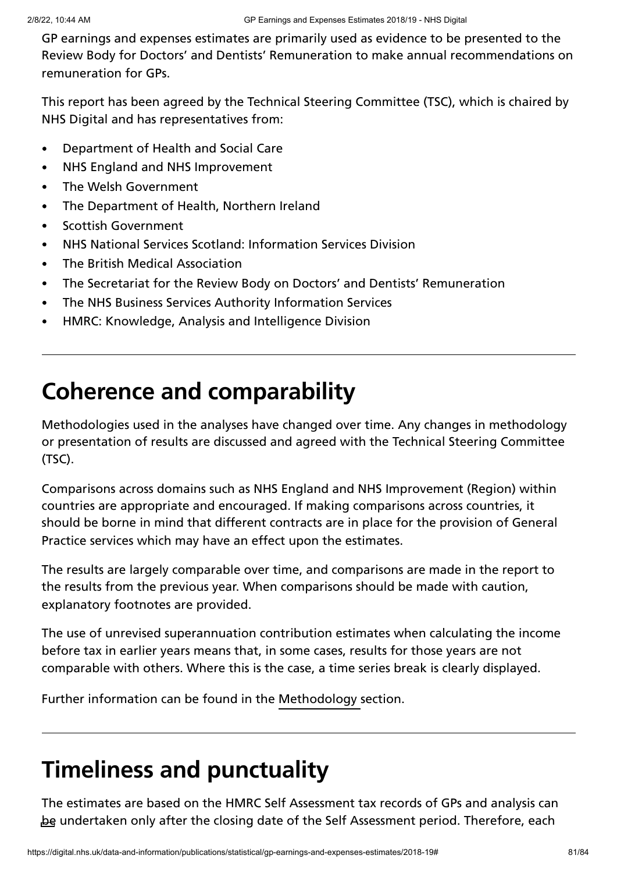GP earnings and expenses estimates are primarily used as evidence to be presented to the Review Body for Doctors' and Dentists' Remuneration to make annual recommendations on remuneration for GPs.

This report has been agreed by the Technical Steering Committee (TSC), which is chaired by NHS Digital and has representatives from:

- Department of Health and Social Care  $\bullet$
- NHS England and NHS Improvement  $\bullet$
- The Welsh Government  $\bullet$
- The Department of Health, Northern Ireland  $\bullet$
- Scottish Government  $\bullet$
- NHS National Services Scotland: Information Services Division  $\bullet$
- The British Medical Association  $\bullet$
- The Secretariat for the Review Body on Doctors' and Dentists' Remuneration  $\bullet$
- The NHS Business Services Authority Information Services  $\bullet$
- HMRC: Knowledge, Analysis and Intelligence Division  $\bullet$

## **Coherence and comparability**

Methodologies used in the analyses have changed over time. Any changes in methodology or presentation of results are discussed and agreed with the Technical Steering Committee (TSC).

Comparisons across domains such as NHS England and NHS Improvement (Region) within countries are appropriate and encouraged. If making comparisons across countries, it should be borne in mind that different contracts are in place for the provision of General Practice services which may have an effect upon the estimates.

The results are largely comparable over time, and comparisons are made in the report to the results from the previous year. When comparisons should be made with caution, explanatory footnotes are provided.

The use of unrevised superannuation contribution estimates when calculating the income before tax in earlier years means that, in some cases, results for those years are not comparable with others. Where this is the case, a time series break is clearly displayed.

Further information can be found in the [Methodology](https://digital.nhs.uk/data-and-information/publications/statistical/gp-earnings-and-expenses-estimates/2018-19/methodology) section.

## **Timeliness and punctuality**

The estimates are based on the HMRC Self Assessment tax records of GPs and analysis can be undertaken only after the closing date of the Self Assessment period. Therefore, each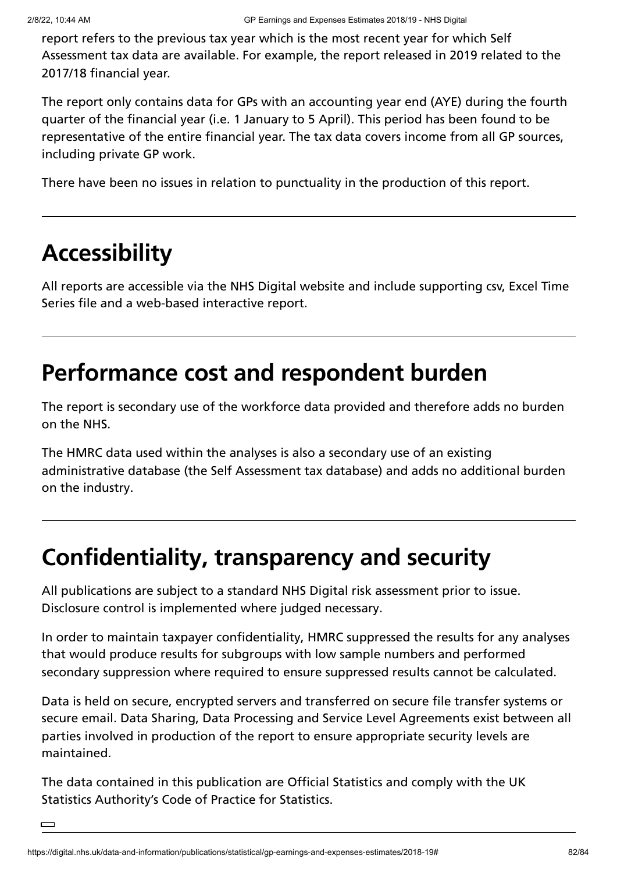report refers to the previous tax year which is the most recent year for which Self Assessment tax data are available. For example, the report released in 2019 related to the 2017/18 financial year.

The report only contains data for GPs with an accounting year end (AYE) during the fourth quarter of the financial year (i.e. 1 January to 5 April). This period has been found to be representative of the entire financial year. The tax data covers income from all GP sources, including private GP work.

There have been no issues in relation to punctuality in the production of this report.

# **Accessibility**

All reports are accessible via the NHS Digital website and include supporting csv, Excel Time Series file and a web-based interactive report.

## **Performance cost and respondent burden**

The report is secondary use of the workforce data provided and therefore adds no burden on the NHS.

The HMRC data used within the analyses is also a secondary use of an existing administrative database (the Self Assessment tax database) and adds no additional burden on the industry.

# **Confidentiality, transparency and security**

All publications are subject to a standard NHS Digital risk assessment prior to issue. Disclosure control is implemented where judged necessary.

In order to maintain taxpayer confidentiality, HMRC suppressed the results for any analyses that would produce results for subgroups with low sample numbers and performed secondary suppression where required to ensure suppressed results cannot be calculated.

Data is held on secure, encrypted servers and transferred on secure file transfer systems or secure email. Data Sharing, Data Processing and Service Level Agreements exist between all parties involved in production of the report to ensure appropriate security levels are maintained.

The data contained in this publication are Official Statistics and comply with the UK Statistics Authority's Code of Practice for Statistics.

 $\Box$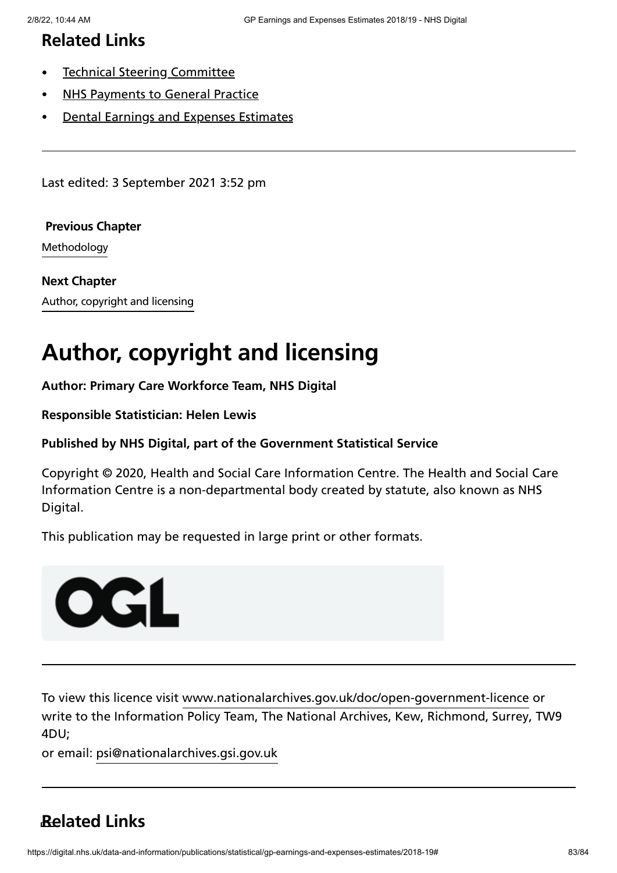### **Related Links**

- $\bullet$ Technical Steering [Committee](https://digital.nhs.uk/data-and-information/areas-of-interest/workforce/technical-steering-committee-tsc)
- NHS [Payments](https://digital.nhs.uk/data-and-information/publications/statistical/nhs-payments-to-general-practice) to General Practice
- Dental Earnings and Expenses [Estimates](https://digital.nhs.uk/data-and-information/publications/statistical/dental-earnings-and-expenses-estimates)

Last edited: 3 September 2021 3:52 pm

#### **Previous Chapter**

[Methodology](https://digital.nhs.uk/data-and-information/publications/statistical/gp-earnings-and-expenses-estimates/2018-19/methodology)

Author, copyright and licensing **Next [Chapter](https://digital.nhs.uk/data-and-information/publications/statistical/gp-earnings-and-expenses-estimates/2018-19/author-copyright-and-licensing)**

## **Author, copyright and licensing**

**Author: Primary Care Workforce Team, NHS Digital**

**Responsible Statistician: Helen Lewis**

#### **Published by NHS Digital, part of the Government Statistical Service**

Copyright © 2020, Health and Social Care Information Centre. The Health and Social Care Information Centre is a non-departmental body created by statute, also known as NHS Digital.

This publication may be requested in large print or other formats.



To view this licence visit [www.nationalarchives.gov.uk/doc/open-government-licence](http://www.nationalarchives.gov.uk/doc/open-government-licence/version/3/) or write to the Information Policy Team, The National Archives, Kew, Richmond, Surrey, TW9 4DU;

or email: [psi@nationalarchives.gsi.gov.uk](mailto:psi@nationalarchives.gsi.gov.uk)

### **Related Links**